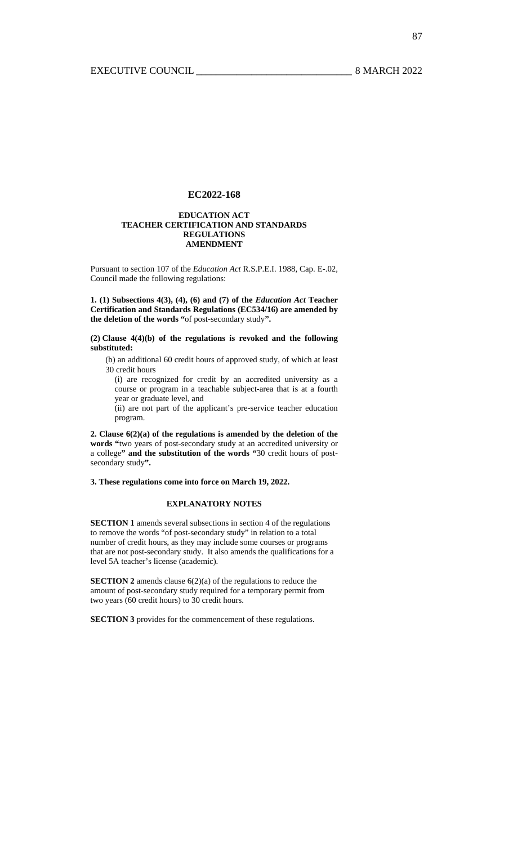## **EDUCATION ACT TEACHER CERTIFICATION AND STANDARDS REGULATIONS AMENDMENT**

Pursuant to section 107 of the *Education Act* R.S.P.E.I. 1988, Cap. E-.02, Council made the following regulations:

**1. (1) Subsections 4(3), (4), (6) and (7) of the** *Education Act* **Teacher Certification and Standards Regulations (EC534/16) are amended by the deletion of the words "**of post-secondary study**".** 

**(2) Clause 4(4)(b) of the regulations is revoked and the following substituted:** 

(b) an additional 60 credit hours of approved study, of which at least 30 credit hours

(i) are recognized for credit by an accredited university as a course or program in a teachable subject-area that is at a fourth year or graduate level, and

(ii) are not part of the applicant's pre-service teacher education program.

**2. Clause 6(2)(a) of the regulations is amended by the deletion of the words "**two years of post-secondary study at an accredited university or a college**" and the substitution of the words "**30 credit hours of postsecondary study**".** 

**3. These regulations come into force on March 19, 2022.** 

## **EXPLANATORY NOTES**

**SECTION 1** amends several subsections in section 4 of the regulations to remove the words "of post-secondary study" in relation to a total number of credit hours, as they may include some courses or programs that are not post-secondary study. It also amends the qualifications for a level 5A teacher's license (academic).

**SECTION 2** amends clause  $6(2)(a)$  of the regulations to reduce the amount of post-secondary study required for a temporary permit from two years (60 credit hours) to 30 credit hours.

**SECTION 3** provides for the commencement of these regulations.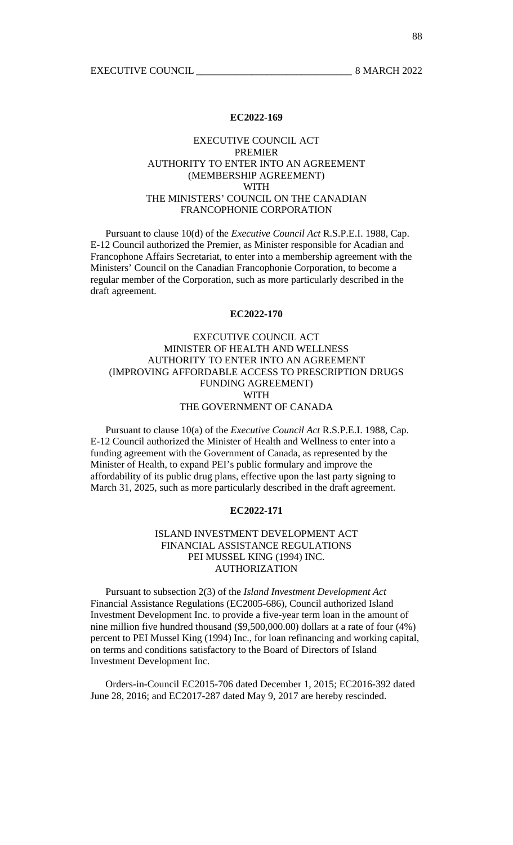# EXECUTIVE COUNCIL ACT PREMIER AUTHORITY TO ENTER INTO AN AGREEMENT (MEMBERSHIP AGREEMENT) WITH THE MINISTERS' COUNCIL ON THE CANADIAN FRANCOPHONIE CORPORATION

 Pursuant to clause 10(d) of the *Executive Council Act* R.S.P.E.I. 1988, Cap. E-12 Council authorized the Premier, as Minister responsible for Acadian and Francophone Affairs Secretariat, to enter into a membership agreement with the Ministers' Council on the Canadian Francophonie Corporation, to become a regular member of the Corporation, such as more particularly described in the draft agreement.

# **EC2022-170**

# EXECUTIVE COUNCIL ACT MINISTER OF HEALTH AND WELLNESS AUTHORITY TO ENTER INTO AN AGREEMENT (IMPROVING AFFORDABLE ACCESS TO PRESCRIPTION DRUGS FUNDING AGREEMENT) WITH THE GOVERNMENT OF CANADA

 Pursuant to clause 10(a) of the *Executive Council Act* R.S.P.E.I. 1988, Cap. E-12 Council authorized the Minister of Health and Wellness to enter into a funding agreement with the Government of Canada, as represented by the Minister of Health, to expand PEI's public formulary and improve the affordability of its public drug plans, effective upon the last party signing to March 31, 2025, such as more particularly described in the draft agreement.

# **EC2022-171**

# ISLAND INVESTMENT DEVELOPMENT ACT FINANCIAL ASSISTANCE REGULATIONS PEI MUSSEL KING (1994) INC. AUTHORIZATION

 Pursuant to subsection 2(3) of the *Island Investment Development Act* Financial Assistance Regulations (EC2005-686), Council authorized Island Investment Development Inc. to provide a five-year term loan in the amount of nine million five hundred thousand (\$9,500,000.00) dollars at a rate of four (4%) percent to PEI Mussel King (1994) Inc., for loan refinancing and working capital, on terms and conditions satisfactory to the Board of Directors of Island Investment Development Inc.

 Orders-in-Council EC2015-706 dated December 1, 2015; EC2016-392 dated June 28, 2016; and EC2017-287 dated May 9, 2017 are hereby rescinded.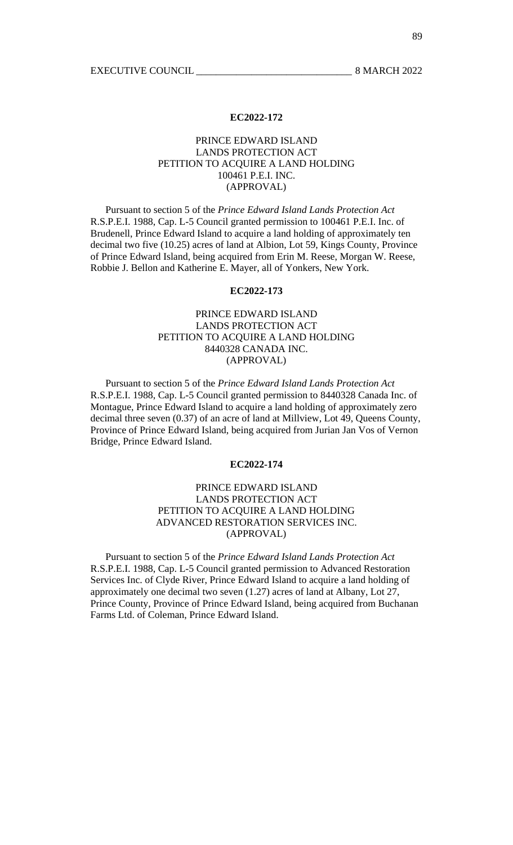# PRINCE EDWARD ISLAND LANDS PROTECTION ACT PETITION TO ACQUIRE A LAND HOLDING 100461 P.E.I. INC. (APPROVAL)

 Pursuant to section 5 of the *Prince Edward Island Lands Protection Act* R.S.P.E.I. 1988, Cap. L-5 Council granted permission to 100461 P.E.I. Inc. of Brudenell, Prince Edward Island to acquire a land holding of approximately ten decimal two five (10.25) acres of land at Albion, Lot 59, Kings County, Province of Prince Edward Island, being acquired from Erin M. Reese, Morgan W. Reese, Robbie J. Bellon and Katherine E. Mayer, all of Yonkers, New York.

# **EC2022-173**

# PRINCE EDWARD ISLAND LANDS PROTECTION ACT PETITION TO ACQUIRE A LAND HOLDING 8440328 CANADA INC. (APPROVAL)

 Pursuant to section 5 of the *Prince Edward Island Lands Protection Act* R.S.P.E.I. 1988, Cap. L-5 Council granted permission to 8440328 Canada Inc. of Montague, Prince Edward Island to acquire a land holding of approximately zero decimal three seven (0.37) of an acre of land at Millview, Lot 49, Queens County, Province of Prince Edward Island, being acquired from Jurian Jan Vos of Vernon Bridge, Prince Edward Island.

# **EC2022-174**

# PRINCE EDWARD ISLAND LANDS PROTECTION ACT PETITION TO ACQUIRE A LAND HOLDING ADVANCED RESTORATION SERVICES INC. (APPROVAL)

 Pursuant to section 5 of the *Prince Edward Island Lands Protection Act* R.S.P.E.I. 1988, Cap. L-5 Council granted permission to Advanced Restoration Services Inc. of Clyde River, Prince Edward Island to acquire a land holding of approximately one decimal two seven (1.27) acres of land at Albany, Lot 27, Prince County, Province of Prince Edward Island, being acquired from Buchanan Farms Ltd. of Coleman, Prince Edward Island.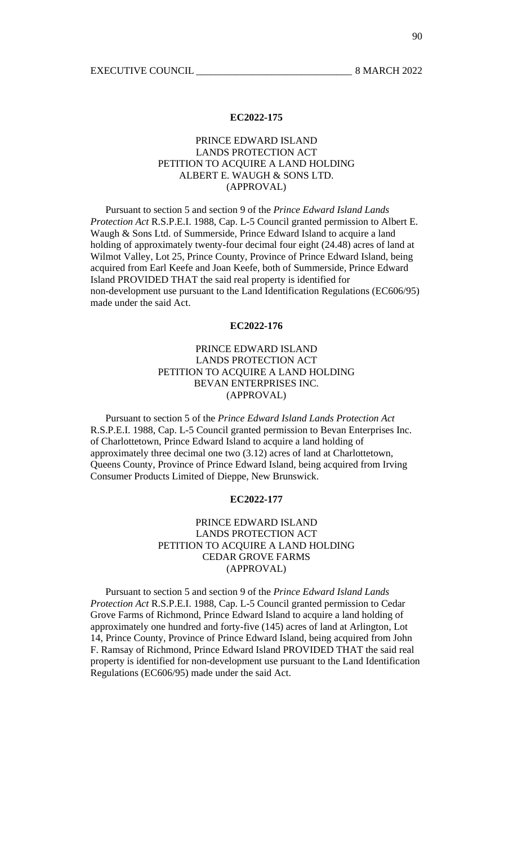# PRINCE EDWARD ISLAND LANDS PROTECTION ACT PETITION TO ACQUIRE A LAND HOLDING ALBERT E. WAUGH & SONS LTD. (APPROVAL)

 Pursuant to section 5 and section 9 of the *Prince Edward Island Lands Protection Act* R.S.P.E.I. 1988, Cap. L-5 Council granted permission to Albert E. Waugh & Sons Ltd. of Summerside, Prince Edward Island to acquire a land holding of approximately twenty-four decimal four eight (24.48) acres of land at Wilmot Valley, Lot 25, Prince County, Province of Prince Edward Island, being acquired from Earl Keefe and Joan Keefe, both of Summerside, Prince Edward Island PROVIDED THAT the said real property is identified for non-development use pursuant to the Land Identification Regulations (EC606/95) made under the said Act.

# **EC2022-176**

# PRINCE EDWARD ISLAND LANDS PROTECTION ACT PETITION TO ACQUIRE A LAND HOLDING BEVAN ENTERPRISES INC. (APPROVAL)

 Pursuant to section 5 of the *Prince Edward Island Lands Protection Act* R.S.P.E.I. 1988, Cap. L-5 Council granted permission to Bevan Enterprises Inc. of Charlottetown, Prince Edward Island to acquire a land holding of approximately three decimal one two (3.12) acres of land at Charlottetown, Queens County, Province of Prince Edward Island, being acquired from Irving Consumer Products Limited of Dieppe, New Brunswick.

# **EC2022-177**

# PRINCE EDWARD ISLAND LANDS PROTECTION ACT PETITION TO ACQUIRE A LAND HOLDING CEDAR GROVE FARMS (APPROVAL)

 Pursuant to section 5 and section 9 of the *Prince Edward Island Lands Protection Act* R.S.P.E.I. 1988, Cap. L-5 Council granted permission to Cedar Grove Farms of Richmond, Prince Edward Island to acquire a land holding of approximately one hundred and forty-five (145) acres of land at Arlington, Lot 14, Prince County, Province of Prince Edward Island, being acquired from John F. Ramsay of Richmond, Prince Edward Island PROVIDED THAT the said real property is identified for non-development use pursuant to the Land Identification Regulations (EC606/95) made under the said Act.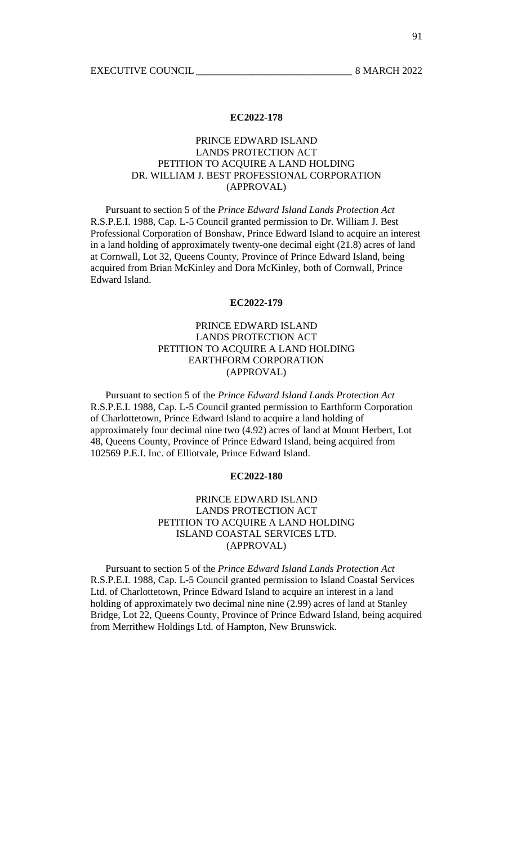# PRINCE EDWARD ISLAND LANDS PROTECTION ACT PETITION TO ACQUIRE A LAND HOLDING DR. WILLIAM J. BEST PROFESSIONAL CORPORATION (APPROVAL)

 Pursuant to section 5 of the *Prince Edward Island Lands Protection Act* R.S.P.E.I. 1988, Cap. L-5 Council granted permission to Dr. William J. Best Professional Corporation of Bonshaw, Prince Edward Island to acquire an interest in a land holding of approximately twenty-one decimal eight (21.8) acres of land at Cornwall, Lot 32, Queens County, Province of Prince Edward Island, being acquired from Brian McKinley and Dora McKinley, both of Cornwall, Prince Edward Island.

# **EC2022-179**

# PRINCE EDWARD ISLAND LANDS PROTECTION ACT PETITION TO ACQUIRE A LAND HOLDING EARTHFORM CORPORATION (APPROVAL)

 Pursuant to section 5 of the *Prince Edward Island Lands Protection Act* R.S.P.E.I. 1988, Cap. L-5 Council granted permission to Earthform Corporation of Charlottetown, Prince Edward Island to acquire a land holding of approximately four decimal nine two (4.92) acres of land at Mount Herbert, Lot 48, Queens County, Province of Prince Edward Island, being acquired from 102569 P.E.I. Inc. of Elliotvale, Prince Edward Island.

# **EC2022-180**

# PRINCE EDWARD ISLAND LANDS PROTECTION ACT PETITION TO ACQUIRE A LAND HOLDING ISLAND COASTAL SERVICES LTD. (APPROVAL)

 Pursuant to section 5 of the *Prince Edward Island Lands Protection Act* R.S.P.E.I. 1988, Cap. L-5 Council granted permission to Island Coastal Services Ltd. of Charlottetown, Prince Edward Island to acquire an interest in a land holding of approximately two decimal nine nine (2.99) acres of land at Stanley Bridge, Lot 22, Queens County, Province of Prince Edward Island, being acquired from Merrithew Holdings Ltd. of Hampton, New Brunswick.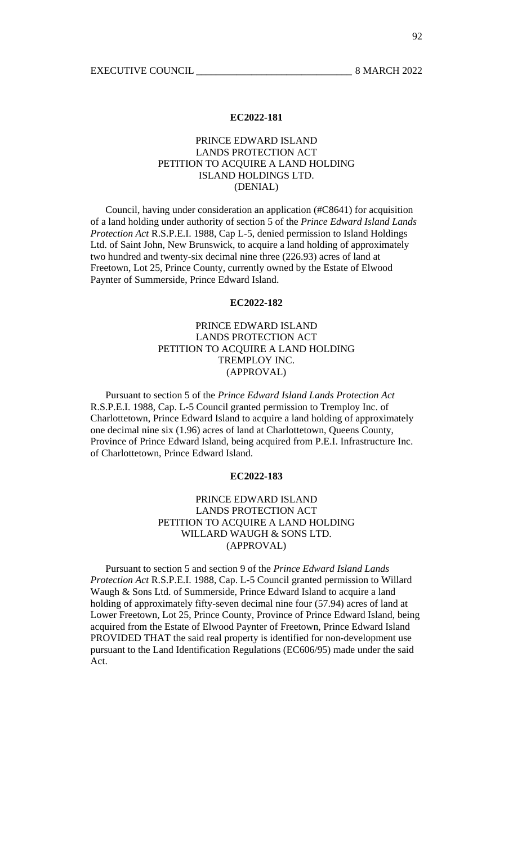# PRINCE EDWARD ISLAND LANDS PROTECTION ACT PETITION TO ACQUIRE A LAND HOLDING ISLAND HOLDINGS LTD. (DENIAL)

 Council, having under consideration an application (#C8641) for acquisition of a land holding under authority of section 5 of the *Prince Edward Island Lands Protection Act* R.S.P.E.I. 1988, Cap L-5, denied permission to Island Holdings Ltd. of Saint John, New Brunswick, to acquire a land holding of approximately two hundred and twenty-six decimal nine three (226.93) acres of land at Freetown, Lot 25, Prince County, currently owned by the Estate of Elwood Paynter of Summerside, Prince Edward Island.

# **EC2022-182**

# PRINCE EDWARD ISLAND LANDS PROTECTION ACT PETITION TO ACQUIRE A LAND HOLDING TREMPLOY INC. (APPROVAL)

 Pursuant to section 5 of the *Prince Edward Island Lands Protection Act* R.S.P.E.I. 1988, Cap. L-5 Council granted permission to Tremploy Inc. of Charlottetown, Prince Edward Island to acquire a land holding of approximately one decimal nine six (1.96) acres of land at Charlottetown, Queens County, Province of Prince Edward Island, being acquired from P.E.I. Infrastructure Inc. of Charlottetown, Prince Edward Island.

# **EC2022-183**

# PRINCE EDWARD ISLAND LANDS PROTECTION ACT PETITION TO ACQUIRE A LAND HOLDING WILLARD WAUGH & SONS LTD. (APPROVAL)

 Pursuant to section 5 and section 9 of the *Prince Edward Island Lands Protection Act* R.S.P.E.I. 1988, Cap. L-5 Council granted permission to Willard Waugh & Sons Ltd. of Summerside, Prince Edward Island to acquire a land holding of approximately fifty-seven decimal nine four (57.94) acres of land at Lower Freetown, Lot 25, Prince County, Province of Prince Edward Island, being acquired from the Estate of Elwood Paynter of Freetown, Prince Edward Island PROVIDED THAT the said real property is identified for non-development use pursuant to the Land Identification Regulations (EC606/95) made under the said Act.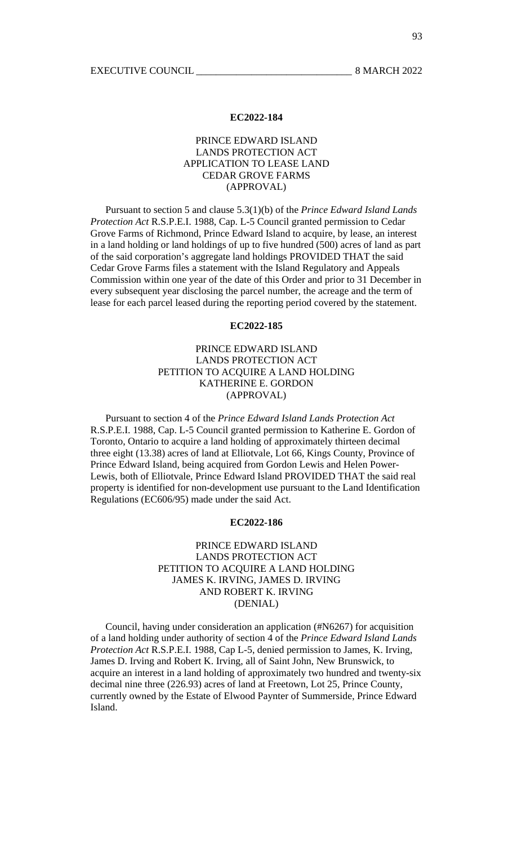# PRINCE EDWARD ISLAND LANDS PROTECTION ACT APPLICATION TO LEASE LAND CEDAR GROVE FARMS (APPROVAL)

 Pursuant to section 5 and clause 5.3(1)(b) of the *Prince Edward Island Lands Protection Act* R.S.P.E.I. 1988, Cap. L-5 Council granted permission to Cedar Grove Farms of Richmond, Prince Edward Island to acquire, by lease, an interest in a land holding or land holdings of up to five hundred (500) acres of land as part of the said corporation's aggregate land holdings PROVIDED THAT the said Cedar Grove Farms files a statement with the Island Regulatory and Appeals Commission within one year of the date of this Order and prior to 31 December in every subsequent year disclosing the parcel number, the acreage and the term of lease for each parcel leased during the reporting period covered by the statement.

# **EC2022-185**

# PRINCE EDWARD ISLAND LANDS PROTECTION ACT PETITION TO ACQUIRE A LAND HOLDING KATHERINE E. GORDON (APPROVAL)

 Pursuant to section 4 of the *Prince Edward Island Lands Protection Act* R.S.P.E.I. 1988, Cap. L-5 Council granted permission to Katherine E. Gordon of Toronto, Ontario to acquire a land holding of approximately thirteen decimal three eight (13.38) acres of land at Elliotvale, Lot 66, Kings County, Province of Prince Edward Island, being acquired from Gordon Lewis and Helen Power-Lewis, both of Elliotvale, Prince Edward Island PROVIDED THAT the said real property is identified for non-development use pursuant to the Land Identification Regulations (EC606/95) made under the said Act.

# **EC2022-186**

# PRINCE EDWARD ISLAND LANDS PROTECTION ACT PETITION TO ACQUIRE A LAND HOLDING JAMES K. IRVING, JAMES D. IRVING AND ROBERT K. IRVING (DENIAL)

 Council, having under consideration an application (#N6267) for acquisition of a land holding under authority of section 4 of the *Prince Edward Island Lands Protection Act* R.S.P.E.I. 1988, Cap L-5, denied permission to James, K. Irving, James D. Irving and Robert K. Irving, all of Saint John, New Brunswick, to acquire an interest in a land holding of approximately two hundred and twenty-six decimal nine three (226.93) acres of land at Freetown, Lot 25, Prince County, currently owned by the Estate of Elwood Paynter of Summerside, Prince Edward Island.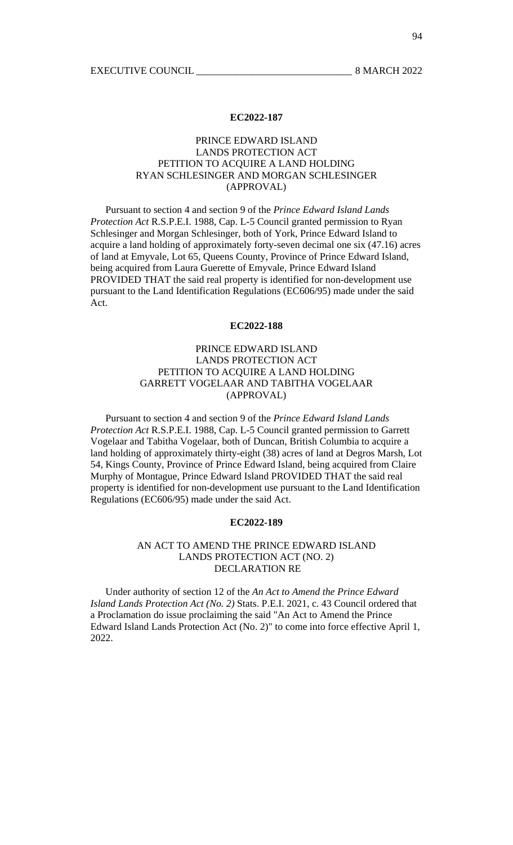# PRINCE EDWARD ISLAND LANDS PROTECTION ACT PETITION TO ACQUIRE A LAND HOLDING RYAN SCHLESINGER AND MORGAN SCHLESINGER (APPROVAL)

 Pursuant to section 4 and section 9 of the *Prince Edward Island Lands Protection Act* R.S.P.E.I. 1988, Cap. L-5 Council granted permission to Ryan Schlesinger and Morgan Schlesinger, both of York, Prince Edward Island to acquire a land holding of approximately forty-seven decimal one six (47.16) acres of land at Emyvale, Lot 65, Queens County, Province of Prince Edward Island, being acquired from Laura Guerette of Emyvale, Prince Edward Island PROVIDED THAT the said real property is identified for non-development use pursuant to the Land Identification Regulations (EC606/95) made under the said Act.

## **EC2022-188**

# PRINCE EDWARD ISLAND LANDS PROTECTION ACT PETITION TO ACQUIRE A LAND HOLDING GARRETT VOGELAAR AND TABITHA VOGELAAR (APPROVAL)

 Pursuant to section 4 and section 9 of the *Prince Edward Island Lands Protection Act* R.S.P.E.I. 1988, Cap. L-5 Council granted permission to Garrett Vogelaar and Tabitha Vogelaar, both of Duncan, British Columbia to acquire a land holding of approximately thirty-eight (38) acres of land at Degros Marsh, Lot 54, Kings County, Province of Prince Edward Island, being acquired from Claire Murphy of Montague, Prince Edward Island PROVIDED THAT the said real property is identified for non-development use pursuant to the Land Identification Regulations (EC606/95) made under the said Act.

# **EC2022-189**

# AN ACT TO AMEND THE PRINCE EDWARD ISLAND LANDS PROTECTION ACT (NO. 2) DECLARATION RE

 Under authority of section 12 of the *An Act to Amend the Prince Edward Island Lands Protection Act (No. 2)* Stats. P.E.I. 2021, c. 43 Council ordered that a Proclamation do issue proclaiming the said "An Act to Amend the Prince Edward Island Lands Protection Act (No. 2)" to come into force effective April 1, 2022.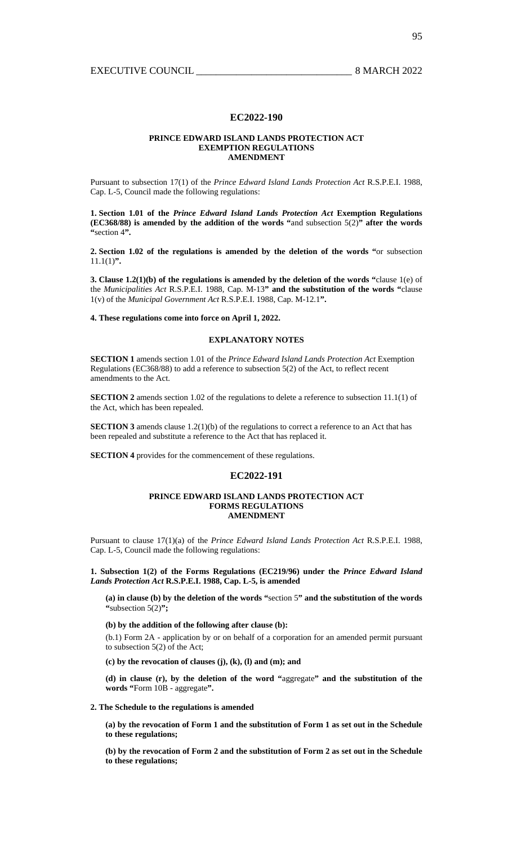## **PRINCE EDWARD ISLAND LANDS PROTECTION ACT EXEMPTION REGULATIONS AMENDMENT**

Pursuant to subsection 17(1) of the *Prince Edward Island Lands Protection Act* R.S.P.E.I. 1988, Cap. L-5, Council made the following regulations:

**1. Section 1.01 of the** *Prince Edward Island Lands Protection Act* **Exemption Regulations (EC368/88) is amended by the addition of the words "**and subsection 5(2)**" after the words "**section 4**".** 

**2. Section 1.02 of the regulations is amended by the deletion of the words "**or subsection 11.1(1)**".** 

**3. Clause 1.2(1)(b) of the regulations is amended by the deletion of the words "**clause 1(e) of the *Municipalities Act* R.S.P.E.I. 1988, Cap. M-13**" and the substitution of the words "**clause 1(v) of the *Municipal Government Act* R.S.P.E.I. 1988, Cap. M-12.1**".** 

**4. These regulations come into force on April 1, 2022.** 

# **EXPLANATORY NOTES**

**SECTION 1** amends section 1.01 of the *Prince Edward Island Lands Protection Act* Exemption Regulations (EC368/88) to add a reference to subsection 5(2) of the Act, to reflect recent amendments to the Act.

**SECTION 2** amends section 1.02 of the regulations to delete a reference to subsection 11.1(1) of the Act, which has been repealed.

**SECTION 3** amends clause 1.2(1)(b) of the regulations to correct a reference to an Act that has been repealed and substitute a reference to the Act that has replaced it.

**SECTION 4** provides for the commencement of these regulations.

## **EC2022-191**

## **PRINCE EDWARD ISLAND LANDS PROTECTION ACT FORMS REGULATIONS AMENDMENT**

Pursuant to clause 17(1)(a) of the *Prince Edward Island Lands Protection Act* R.S.P.E.I. 1988, Cap. L-5, Council made the following regulations:

**1. Subsection 1(2) of the Forms Regulations (EC219/96) under the** *Prince Edward Island Lands Protection Act* **R.S.P.E.I. 1988, Cap. L-5, is amended** 

**(a) in clause (b) by the deletion of the words "**section 5**" and the substitution of the words "**subsection 5(2)**";** 

**(b) by the addition of the following after clause (b):** 

(b.1) Form 2A - application by or on behalf of a corporation for an amended permit pursuant to subsection 5(2) of the Act;

**(c) by the revocation of clauses (j), (k), (l) and (m); and** 

**(d) in clause (r), by the deletion of the word "**aggregate**" and the substitution of the words "**Form 10B - aggregate**".** 

# **2. The Schedule to the regulations is amended**

**(a) by the revocation of Form 1 and the substitution of Form 1 as set out in the Schedule to these regulations;** 

**(b) by the revocation of Form 2 and the substitution of Form 2 as set out in the Schedule to these regulations;**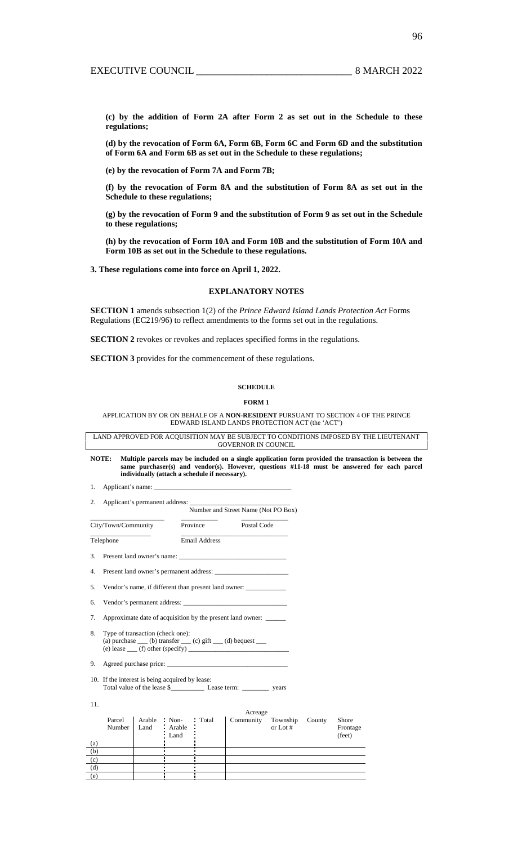**(c) by the addition of Form 2A after Form 2 as set out in the Schedule to these regulations;** 

**(d) by the revocation of Form 6A, Form 6B, Form 6C and Form 6D and the substitution of Form 6A and Form 6B as set out in the Schedule to these regulations;** 

**(e) by the revocation of Form 7A and Form 7B;** 

**(f) by the revocation of Form 8A and the substitution of Form 8A as set out in the Schedule to these regulations;** 

**(g) by the revocation of Form 9 and the substitution of Form 9 as set out in the Schedule to these regulations;** 

**(h) by the revocation of Form 10A and Form 10B and the substitution of Form 10A and Form 10B as set out in the Schedule to these regulations.** 

**3. These regulations come into force on April 1, 2022.** 

# **EXPLANATORY NOTES**

**SECTION 1** amends subsection 1(2) of the *Prince Edward Island Lands Protection Act* Forms Regulations (EC219/96) to reflect amendments to the forms set out in the regulations.

**SECTION 2** revokes or revokes and replaces specified forms in the regulations.

**SECTION 3** provides for the commencement of these regulations.

# **SCHEDULE**

# **FORM 1**

APPLICATION BY OR ON BEHALF OF A **NON-RESIDENT** PURSUANT TO SECTION 4 OF THE PRINCE EDWARD ISLAND LANDS PROTECTION ACT (the 'ACT')

LAND APPROVED FOR ACQUISITION MAY BE SUBJECT TO CONDITIONS IMPOSED BY THE LIEUTENANT GOVERNOR IN COUNCIL

**NOTE: Multiple parcels may be included on a single application form provided the transaction is between the same purchaser(s) and vendor(s). However, questions #11-18 must be answered for each parcel individually (attach a schedule if necessary).**

> Frontage (feet)

1. Applicant's name:

(a) (b) (c) (d) (e)

| 2. Applicant's permanent address: |                                     |  |
|-----------------------------------|-------------------------------------|--|
|                                   | Number and Street Name (Not PO Box) |  |

|     | City/Town/Community                             |  |                                             | Province             | Postal Code                                                                                                          |          |                           |
|-----|-------------------------------------------------|--|---------------------------------------------|----------------------|----------------------------------------------------------------------------------------------------------------------|----------|---------------------------|
|     | Telephone                                       |  |                                             | <b>Email Address</b> |                                                                                                                      |          |                           |
| 3.  |                                                 |  |                                             |                      |                                                                                                                      |          |                           |
|     |                                                 |  |                                             |                      |                                                                                                                      |          |                           |
| 5.  |                                                 |  |                                             |                      | Vendor's name, if different than present land owner: ____________________________                                    |          |                           |
| 6.  |                                                 |  |                                             |                      | Vendor's permanent address:                                                                                          |          |                           |
| 7.  |                                                 |  |                                             |                      | Approximate date of acquisition by the present land owner:                                                           |          |                           |
| 8.  | Type of transaction (check one):                |  |                                             |                      | (a) purchase $\_\_$ (b) transfer $\_\_$ (c) gift $\_\_$ (d) bequest $\_\_$<br>(e) lease $\qquad$ (f) other (specify) |          |                           |
| 9.  |                                                 |  |                                             |                      |                                                                                                                      |          |                           |
|     | 10. If the interest is being acquired by lease: |  |                                             |                      | Total value of the lease \$                                                                                          |          |                           |
| 11. |                                                 |  |                                             |                      |                                                                                                                      |          |                           |
|     |                                                 |  |                                             |                      | Acreage                                                                                                              |          |                           |
|     | Parcel                                          |  | Arable Non-<br>Number Land Arable<br>: Land | : Total              | Community Township County                                                                                            | or Lot # | Shore<br>Fronta<br>(feet) |

96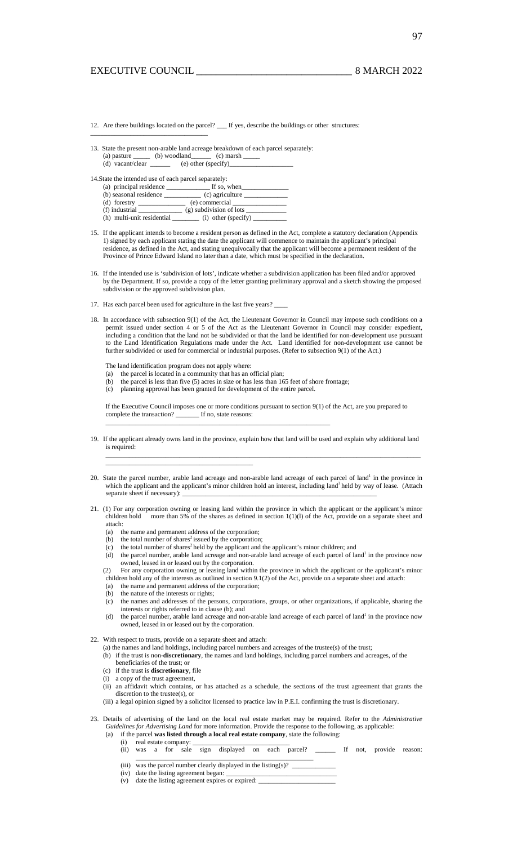\_\_\_\_\_\_\_\_\_\_\_\_\_\_\_\_\_\_\_\_\_\_\_\_\_\_\_\_\_\_\_\_\_\_\_

- 12. Are there buildings located on the parcel? \_\_\_ If yes, describe the buildings or other structures:
- 13. State the present non-arable land acreage breakdown of each parcel separately: (a) pasture \_\_\_\_\_\_ (b) woodland\_\_\_\_\_\_ (c) marsh \_\_\_\_\_\_ (d) vacant/clear  $\qquad \qquad$  (e) other (specify)

14.State the intended use of each parcel separately:

| (a) principal residence    | If so, when               |
|----------------------------|---------------------------|
| (b) seasonal residence     | $(c)$ agriculture         |
|                            | (e) commercial            |
| (f) industrial             | $(g)$ subdivision of lots |
| (h) multi-unit residential | $(i)$ other (specify)     |

- 15. If the applicant intends to become a resident person as defined in the Act, complete a statutory declaration (Appendix 1) signed by each applicant stating the date the applicant will commence to maintain the applicant's principal residence, as defined in the Act, and stating unequivocally that the applicant will become a permanent resident of the Province of Prince Edward Island no later than a date, which must be specified in the declaration.
- 16. If the intended use is 'subdivision of lots', indicate whether a subdivision application has been filed and/or approved by the Department. If so, provide a copy of the letter granting preliminary approval and a sketch showing the proposed subdivision or the approved subdivision plan.
- 17. Has each parcel been used for agriculture in the last five years?
- 18. In accordance with subsection 9(1) of the Act, the Lieutenant Governor in Council may impose such conditions on a permit issued under section 4 or 5 of the Act as the Lieutenant Governor in Council may consider expedient, including a condition that the land not be subdivided or that the land be identified for non-development use pursuant to the Land Identification Regulations made under the Act. Land identified for non-development use cannot be further subdivided or used for commercial or industrial purposes. (Refer to subsection 9(1) of the Act.)

The land identification program does not apply where:

- (a) the parcel is located in a community that has an official plan;
- (b) the parcel is less than five (5) acres in size or has less than 165 feet of shore frontage;
- (c) planning approval has been granted for development of the entire parcel.

If the Executive Council imposes one or more conditions pursuant to section 9(1) of the Act, are you prepared to complete the transaction? \_\_\_\_\_\_\_\_\_\_\_\_\_\_\_\_\_\_\_\_\_\_\_\_\_\_\_\_\_\_\_\_\_\_\_\_\_\_\_\_\_\_\_\_\_\_\_\_\_\_\_\_\_\_\_\_\_\_\_\_\_\_\_\_\_\_\_

- 19. If the applicant already owns land in the province, explain how that land will be used and explain why additional land is required: \_\_\_\_\_\_\_\_\_\_\_\_\_\_\_\_\_\_\_\_\_\_\_\_\_\_\_\_\_\_\_\_\_\_\_\_\_\_\_\_\_\_\_\_\_\_\_\_\_\_\_\_\_\_\_\_\_\_\_\_\_\_\_\_\_\_\_\_\_\_\_\_\_\_\_\_\_\_\_\_\_\_\_\_\_\_\_\_\_\_\_\_\_\_
- 20. State the parcel number, arable land acreage and non-arable land acreage of each parcel of land<sup>1</sup> in the province in which the applicant and the applicant's minor children hold an interest, including land<sup>1</sup> held by way of lease. (Attach separate sheet if necessary):
- 21. (1) For any corporation owning or leasing land within the province in which the applicant or the applicant's minor children hold more than 5% of the shares as defined in section 1(1)(l) of the Act, provide on a separate sheet and attach:
	- (a) the name and permanent address of the corporation;
	- (b) the total number of shares<sup>2</sup> issued by the corporation;

\_\_\_\_\_\_\_\_\_\_\_\_\_\_\_\_\_\_\_\_\_\_\_\_\_\_\_\_\_\_\_\_\_\_\_\_\_\_\_\_\_\_\_\_

- (c) the total number of shares<sup>2</sup> held by the applicant and the applicant's minor children; and
- (d) the parcel number, arable land acreage and non-arable land acreage of each parcel of land<sup>1</sup> in the province now owned, leased in or leased out by the corporation.
- (2) For any corporation owning or leasing land within the province in which the applicant or the applicant's minor children hold any of the interests as outlined in section 9.1(2) of the Act, provide on a separate sheet and attach:
	- (a) the name and permanent address of the corporation;
	- (b) the nature of the interests or rights;
	- (c) the names and addresses of the persons, corporations, groups, or other organizations, if applicable, sharing the interests or rights referred to in clause (b); and
	- (d) the parcel number, arable land acreage and non-arable land acreage of each parcel of land<sup>1</sup> in the province now owned, leased in or leased out by the corporation.
- 22. With respect to trusts, provide on a separate sheet and attach:
	- (a) the names and land holdings, including parcel numbers and acreages of the trustee(s) of the trust; (b) if the trust is non-**discretionary**, the names and land holdings, including parcel numbers and acreages, of the
	- beneficiaries of the trust; or
	- (c) if the trust is **discretionary**, file
	- (i) a copy of the trust agreement,
	- (ii) an affidavit which contains, or has attached as a schedule, the sections of the trust agreement that grants the discretion to the trustee(s), or
	- (iii) a legal opinion signed by a solicitor licensed to practice law in P.E.I. confirming the trust is discretionary.
- 23. Details of advertising of the land on the local real estate market may be required. Refer to the *Administrative Guidelines for Advertising Land* for more information. Provide the response to the following, as applicable: (a) if the parcel **was listed through a local real estate company**, state the following:
	- (i) real estate company: \_\_\_\_\_\_\_\_\_\_\_\_\_\_\_\_\_\_\_\_\_\_\_\_\_\_\_\_\_
	- (ii) was a for sale sign displayed on each parcel? \_\_\_\_\_\_ If not, provide reason: \_\_\_\_\_\_\_\_\_\_\_\_\_\_\_\_\_\_\_\_\_\_\_\_\_\_\_\_\_\_\_\_\_\_\_\_\_\_\_\_\_\_\_\_\_\_\_\_\_\_\_\_\_
	- (iii) was the parcel number clearly displayed in the listing(s)?  $\qquad$
	- (iv) date the listing agreement began: \_\_\_\_\_\_\_\_\_\_\_\_\_\_\_\_\_\_\_\_\_\_\_\_\_\_\_\_\_\_\_\_\_
	- (v) date the listing agreement expires or expired:  $\overline{\phantom{a}}$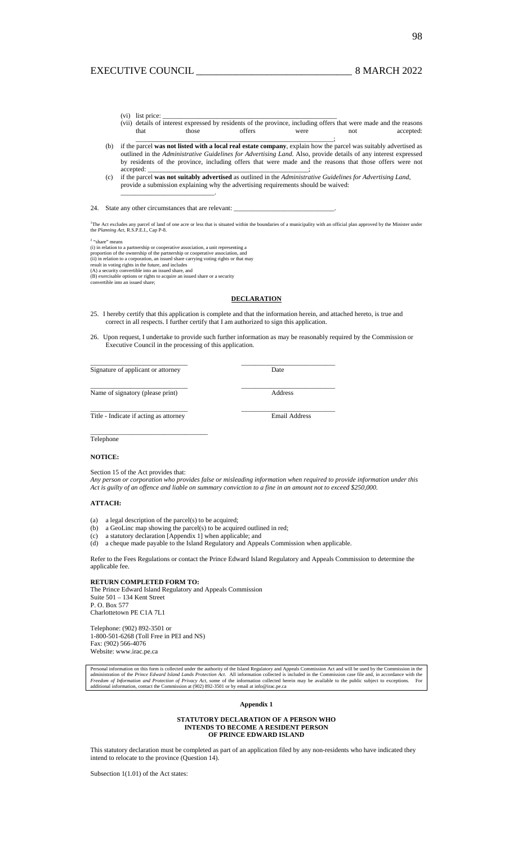- $(vi)$  list price: (vii) details of interest expressed by residents of the province, including offers that were made and the reasons
- that those offers were not accepted: \_\_\_\_\_\_\_\_\_\_\_\_\_\_\_\_\_\_\_\_\_\_\_\_\_\_\_\_\_\_\_\_\_\_\_\_\_\_\_\_\_\_\_\_\_\_\_\_\_\_\_\_\_\_\_\_\_\_\_;
- (b) if the parcel **was not listed with a local real estate company**, explain how the parcel was suitably advertised as outlined in the *Administrative Guidelines for Advertising Land*. Also, provide details of any interest expressed by residents of the province, including offers that were made and the reasons that those offers were not accepted:
- (c) if the parcel **was not suitably advertised** as outlined in the *Administrative Guidelines for Advertising Land*, provide a submission explaining why the advertising requirements should be waived: \_\_\_\_\_\_\_\_\_\_\_\_\_\_\_\_\_\_\_\_\_\_\_\_\_\_\_\_.

## 24. State any other circumstances that are relevant:

<sup>1</sup>The Act excludes any parcel of land of one acre or less that is situated within the boundaries of a municipality with an official plan approved by the Minister under the *Planning Act*, R.S.P.E.I., Cap P-8.

<sup>2</sup> "share" means<br>(i) in relation to a partnership or cooperative association, a unit representing a<br>proportion of the ownership of the partnership or cooperative association, and<br>(ii) in relation to a corporation, an iss

## **DECLARATION**

- 25. I hereby certify that this application is complete and that the information herein, and attached hereto, is true and correct in all respects. I further certify that I am authorized to sign this application.
- 26. Upon request, I undertake to provide such further information as may be reasonably required by the Commission or Executive Council in the processing of this application.

\_\_\_\_\_\_\_\_\_\_\_\_\_\_\_\_\_\_\_\_\_\_\_\_\_\_\_\_\_ \_\_\_\_\_\_\_\_\_\_\_\_\_\_\_\_\_\_\_\_\_\_\_\_\_\_\_\_

Signature of applicant or attorney Date

Name of signatory (please print) Address

\_\_\_\_\_\_\_\_\_\_\_\_\_\_\_\_\_\_\_\_\_\_\_\_\_\_\_\_\_ \_\_\_\_\_\_\_\_\_\_\_\_\_\_\_\_\_\_\_\_\_\_\_\_\_\_\_\_

Title - Indicate if acting as attorney Email Address

# \_\_\_\_\_\_\_\_\_\_\_\_\_\_\_\_\_\_\_\_\_\_\_\_\_\_\_\_\_ \_\_\_\_\_\_\_\_\_\_\_\_\_\_\_\_\_\_\_\_\_\_\_\_\_\_\_\_

 $\overline{\phantom{a}}$  , and the set of the set of the set of the set of the set of the set of the set of the set of the set of the set of the set of the set of the set of the set of the set of the set of the set of the set of the s Telephone

# **NOTICE:**

Section 15 of the Act provides that:

*Any person or corporation who provides false or misleading information when required to provide information under this Act is guilty of an offence and liable on summary conviction to a fine in an amount not to exceed \$250,000.* 

### **ATTACH:**

- (a) a legal description of the parcel(s) to be acquired;
- (b) a GeoLinc map showing the parcel(s) to be acquired outlined in red;
- (c) a statutory declaration [Appendix 1] when applicable; and
- (d) a cheque made payable to the Island Regulatory and Appeals Commission when applicable.

Refer to the Fees Regulations or contact the Prince Edward Island Regulatory and Appeals Commission to determine the applicable fee.

## **RETURN COMPLETED FORM TO:**

The Prince Edward Island Regulatory and Appeals Commission Suite 501 – 134 Kent Street P. O. Box 577 Charlottetown PE C1A 7L1

Telephone: (902) 892-3501 or 1-800-501-6268 (Toll Free in PEI and NS) Fax: (902) 566-4076 Website: www.irac.pe.ca

Personal information on this form is collected under the authority of the Island Regulatory and Appeals Commission Act and will be used by the Commission in the administration of the *Prince Edward Island Lands Protection* 

## **Appendix 1**

#### **STATUTORY DECLARATION OF A PERSON WHO INTENDS TO BECOME A RESIDENT PERSON OF PRINCE EDWARD ISLAND**

This statutory declaration must be completed as part of an application filed by any non-residents who have indicated they intend to relocate to the province (Question 14).

Subsection 1(1.01) of the Act states: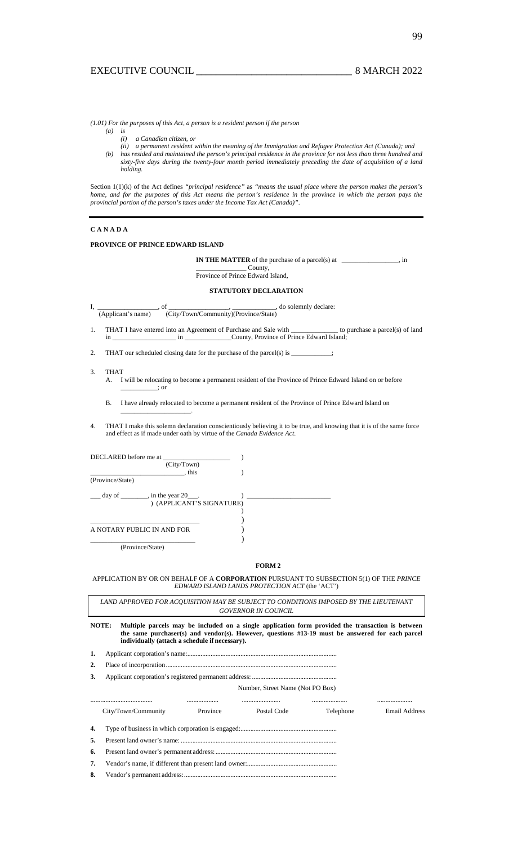*(1.01) For the purposes of this Act, a person is a resident person if the person* 

- *(a) is (i) a Canadian citizen, or* 
	- *(ii) a permanent resident within the meaning of the Immigration and Refugee Protection Act (Canada); and*
- *(b) has resided and maintained the person's principal residence in the province for not less than three hundred and sixty-five days during the twenty-four month period immediately preceding the date of acquisition of a land holding.*

Section 1(1)(k) of the Act defines *"principal residence"* as *"means the usual place where the person makes the person's home, and for the purposes of this Act means the person's residence in the province in which the person pays the provincial portion of the person's taxes under the Income Tax Act (Canada)"*.

## **C A N A D A**

## **PROVINCE OF PRINCE EDWARD ISLAND**

 $\overline{\phantom{a}}$  , where  $\overline{\phantom{a}}$  , where  $\overline{\phantom{a}}$  ,  $\overline{\phantom{a}}$  ,  $\overline{\phantom{a}}$  ,  $\overline{\phantom{a}}$  ,  $\overline{\phantom{a}}$  ,  $\overline{\phantom{a}}$  ,  $\overline{\phantom{a}}$  ,  $\overline{\phantom{a}}$  ,  $\overline{\phantom{a}}$  ,  $\overline{\phantom{a}}$  ,  $\overline{\phantom{a}}$  ,  $\overline{\phantom{a}}$  ,  $\overline{\phantom{a}}$  ,

**IN THE MATTER** of the purchase of a parcel(s) at \_\_\_\_\_\_\_\_\_\_\_\_\_, in

\_\_\_\_\_\_\_\_\_\_\_\_\_\_\_ County, Province of Prince Edward Island,

## **STATUTORY DECLARATION**

 $\frac{1}{\text{(Application's name)}}$ , of  $\frac{1}{\text{(City/Town/Community)(Province/State)}}$ , do solemnly declare: (City/Town/Community)(Province/State)

1. THAT I have entered into an Agreement of Purchase and Sale with \_\_\_\_\_\_\_\_\_\_\_\_\_\_ to purchase a parcel(s) of land in \_\_\_\_\_\_\_\_\_\_\_\_\_\_\_\_\_\_\_ in \_\_\_\_\_\_\_\_\_\_\_\_\_\_County, Province of Prince Edward Island;

2. THAT our scheduled closing date for the purchase of the parcel(s) is  $\qquad$ 

#### $\overline{3}$ . 3. THAT

- A. I will be relocating to become a permanent resident of the Province of Prince Edward Island on or before  $\overline{\phantom{a}}$ ; or
- B. I have already relocated to become a permanent resident of the Province of Prince Edward Island on
- 4. THAT I make this solemn declaration conscientiously believing it to be true, and knowing that it is of the same force and effect as if made under oath by virtue of the *Canada Evidence Act*.

| DECLARED before me at                         |  |
|-----------------------------------------------|--|
| (City/Town)                                   |  |
| $.$ this                                      |  |
| (Province/State)                              |  |
| $\alpha$ day of _________, in the year 20___. |  |
| ) (APPLICANT'S SIGNATURE)                     |  |
|                                               |  |
|                                               |  |
| A NOTARY PUBLIC IN AND FOR                    |  |
|                                               |  |
| (Province/State)                              |  |

## **FORM 2**

APPLICATION BY OR ON BEHALF OF A **CORPORATION** PURSUANT TO SUBSECTION 5(1) OF THE *PRINCE EDWARD ISLAND LANDS PROTECTION ACT* (the 'ACT')

*LAND APPROVED FOR ACQUISITION MAY BE SUBJECT TO CONDITIONS IMPOSED BY THE LIEUTENANT GOVERNOR IN COUNCIL* 

**NOTE: Multiple parcels may be included on a single application form provided the transaction is between the same purchaser(s) and vendor(s). However, questions #13-19 must be answered for each parcel individually (attach a schedule if necessary).** 

- **1.** Applicant corporation's name:..........................................................................................
- **2.** Place of incorporation.......................................................................................................

**3.** Applicant corporation's registered permanent address: ...................................................

Number, Street Name (Not PO Box)

| City/Town/Community | Province | Postal Code | <i>i</i> elephone | Email Address |
|---------------------|----------|-------------|-------------------|---------------|

**4.** Type of business in which corporation is engaged:.......................................................... **5.** Present land owner's name: ..............................................................................................

**6.** Present land owner's permanent address: .........................................................................

- **7.** Vendor's name, if different than present land owner:......................................................
- **8.** Vendor's permanent address:............................................................................................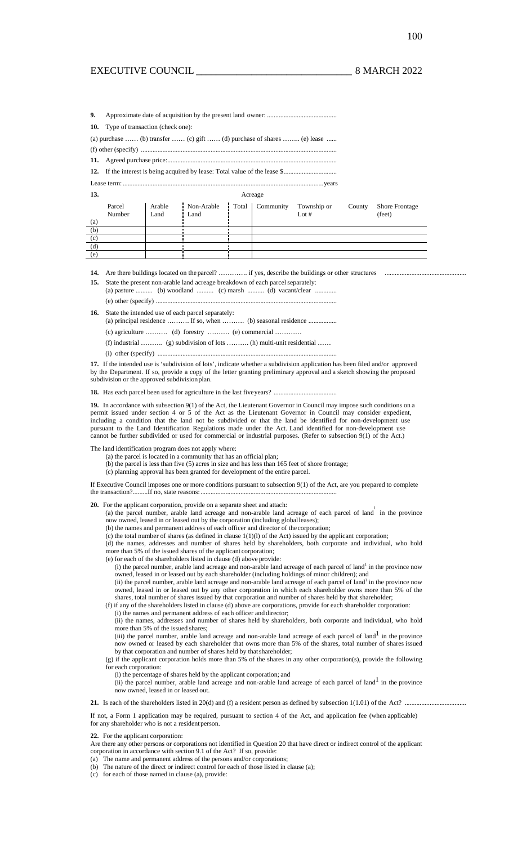| 9.                |                                                                         |                |                    |  |                             |         |        |                                 |  |  |
|-------------------|-------------------------------------------------------------------------|----------------|--------------------|--|-----------------------------|---------|--------|---------------------------------|--|--|
|                   | <b>10.</b> Type of transaction (check one):                             |                |                    |  |                             |         |        |                                 |  |  |
|                   | (a) purchase  (b) transfer  (c) gift  (d) purchase of shares  (e) lease |                |                    |  |                             |         |        |                                 |  |  |
|                   |                                                                         |                |                    |  |                             |         |        |                                 |  |  |
|                   |                                                                         |                |                    |  |                             |         |        |                                 |  |  |
|                   |                                                                         |                |                    |  |                             |         |        |                                 |  |  |
|                   |                                                                         |                |                    |  |                             |         |        |                                 |  |  |
| 13.               |                                                                         |                |                    |  | Acreage                     |         |        |                                 |  |  |
|                   | Parcel<br>Number                                                        | Arable<br>Land | Non-Arable<br>Land |  | Total Community Township or | Lot $#$ | County | <b>Shore Frontage</b><br>(feet) |  |  |
| $\left( a\right)$ |                                                                         |                |                    |  |                             |         |        |                                 |  |  |
| (b)               |                                                                         |                |                    |  |                             |         |        |                                 |  |  |
| (c)               |                                                                         |                |                    |  |                             |         |        |                                 |  |  |
| (d)               |                                                                         |                |                    |  |                             |         |        |                                 |  |  |
| (e)               |                                                                         |                |                    |  |                             |         |        |                                 |  |  |

14. Are there buildings located on the parcel? .................. if yes, describe the buildings or other structures

**15.** State the present non-arable land acreage breakdown of each parcel separately: (a) pasture .......... (b) woodland .......... (c) marsh .......... (d) vacant/clear .............

 $(e)$  other (specify) ....

**16.** State the intended use of each parcel separately:

(a) principal residence  $\dots$  If so, when  $\dots$  (b) seasonal residence  $\dots$ (c) agriculture ………. (d) forestry ………. (e) commercial …………

(f) industrial ………. (g) subdivision of lots ………. (h) multi-unit residential ……

 $(i)$  other (specify) ......

**17.** If the intended use is 'subdivision of lots', indicate whether a subdivision application has been filed and/or approved by the Department. If so, provide a copy of the letter granting preliminary approval and a sketch showing the proposed subdivision or the approved subdivision plan.

18. Has each parcel been used for agriculture in the last five years? ...

**19.** In accordance with subsection 9(1) of the Act, the Lieutenant Governor in Council may impose such conditions on a permit issued under section 4 or 5 of the Act as the Lieutenant Governor in Council may consider expedient, including a condition that the land not be subdivided or that the land be identified for non-development use pursuant to the Land Identification Regulations made under the Act. Land identified for non-development use cannot be further subdivided or used for commercial or industrial purposes. (Refer to subsection 9(1) of the Act.)

The land identification program does not apply where:

- (a) the parcel is located in a community that has an official plan;
- (b) the parcel is less than five (5) acres in size and has less than 165 feet of shore frontage;
- (c) planning approval has been granted for development of the entire parcel.

If Executive Council imposes one or more conditions pursuant to subsection 9(1) of the Act, are you prepared to complete the transaction?.........If no, state reasons:...

**20.** For the applicant corporation, provide on a separate sheet and attach:

(a) the parcel number, arable land acreage and non-arable land acreage of each parcel of land<sup>1</sup> in the province now owned, leased in or leased out by the corporation (including global leases);

(b) the names and permanent address of each officer and director of the corporation;

(c) the total number of shares (as defined in clause 1(1)(l) of the Act) issued by the applicant corporation;

(d) the names, addresses and number of shares held by shareholders, both corporate and individual, who hold more than 5% of the issued shares of the applicant corporation;

(e) for each of the shareholders listed in clause (d) above provide:

 $(i)$  the parcel number, arable land acreage and non-arable land acreage of each parcel of land $<sup>1</sup>$  in the province now</sup> owned, leased in or leased out by each shareholder (including holdings of minor children); and

(ii) the parcel number, arable land acreage and non-arable land acreage of each parcel of land<sup>1</sup> in the province now owned, leased in or leased out by any other corporation in which each shareholder owns more than 5% of the shares, total number of shares issued by that corporation and number of shares held by that shareholder;

(f) if any of the shareholders listed in clause (d) above are corporations, provide for each shareholder corporation: (i) the names and permanent address of each officer and director;

(ii) the names, addresses and number of shares held by shareholders, both corporate and individual, who hold more than 5% of the issued shares;

(iii) the parcel number, arable land acreage and non-arable land acreage of each parcel of land<sup>1</sup> in the province now owned or leased by each shareholder that owns more than 5% of the shares, total number of shares issued by that corporation and number of shares held by that shareholder;

(g) if the applicant corporation holds more than 5% of the shares in any other corporation(s), provide the following for each corporation:

(i) the percentage of shares held by the applicant corporation; and

(ii) the parcel number, arable land acreage and non-arable land acreage of each parcel of land<sup>1</sup> in the province now owned, leased in or leased out.

**21.** Is each of the shareholders listed in 20(d) and (f) a resident person as defined by subsection 1(1.01) of the Act? ....

If not, a Form 1 application may be required, pursuant to section 4 of the Act, and application fee (when applicable) for any shareholder who is not a resident person.

**22.** For the applicant corporation:

Are there any other persons or corporations not identified in Question 20 that have direct or indirect control of the applicant corporation in accordance with section 9.1 of the Act? If so, provide:

- (a) The name and permanent address of the persons and/or corporations;
- (b) The nature of the direct or indirect control for each of those listed in clause (a);
- (c) for each of those named in clause (a), provide: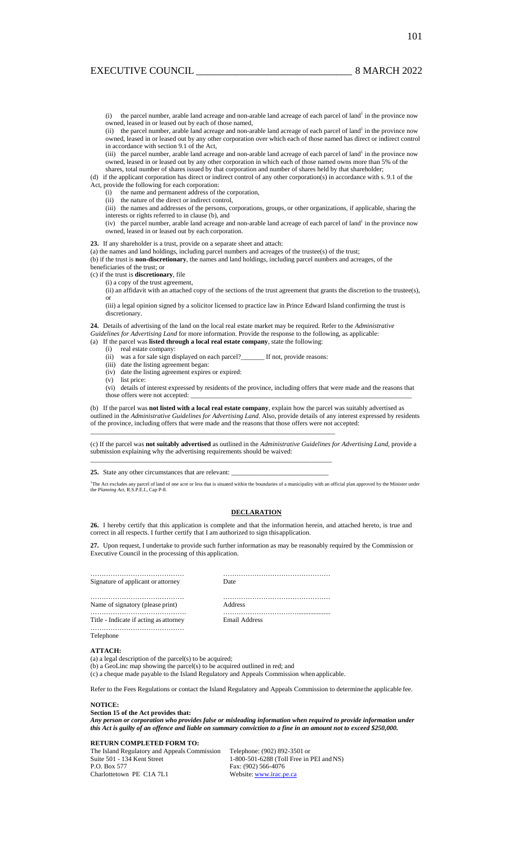(i) the parcel number, arable land acreage and non-arable land acreage of each parcel of land<sup>1</sup> in the province now owned, leased in or leased out by each of those named,

(ii) the parcel number, arable land acreage and non-arable land acreage of each parcel of land<sup>1</sup> in the province now owned, leased in or leased out by any other corporation over which each of those named has direct or indirect control in accordance with section 9.1 of the Act,

(iii) the parcel number, arable land acreage and non-arable land acreage of each parcel of land<sup>1</sup> in the province now owned, leased in or leased out by any other corporation in which each of those named owns more than 5% of the shares, total number of shares issued by that corporation and number of shares held by that shareholder;

(d) if the applicant corporation has direct or indirect control of any other corporation(s) in accordance with s. 9.1 of the Act, provide the following for each corporation:

- (i) the name and permanent address of the corporation,
- (ii) the nature of the direct or indirect control,
- (iii) the names and addresses of the persons, corporations, groups, or other organizations, if applicable, sharing the
- interests or rights referred to in clause (b), and
- (iv) the parcel number, arable land acreage and non-arable land acreage of each parcel of land<sup>1</sup> in the province now owned, leased in or leased out by each corporation.

**23.** If any shareholder is a trust, provide on a separate sheet and attach:

(a) the names and land holdings, including parcel numbers and acreages of the trustee(s) of the trust;

(b) if the trust is **non-discretionary**, the names and land holdings, including parcel numbers and acreages, of the

beneficiaries of the trust; or

(c) if the trust is **discretionary**, file

(i) a copy of the trust agreement,

(ii) an affidavit with an attached copy of the sections of the trust agreement that grants the discretion to the trustee(s), or

(iii) a legal opinion signed by a solicitor licensed to practice law in Prince Edward Island confirming the trust is discretionary.

**24.** Details of advertising of the land on the local real estate market may be required. Refer to the *Administrative* 

*Guidelines for Advertising Land* for more information. Provide the response to the following, as applicable: (a) If the parcel was **listed through a local real estate company**, state the following:

- (i) real estate company:
	- (ii) was a for sale sign displayed on each parcel?\_\_\_\_\_\_\_ If not, provide reasons:

 $\_$  , and the set of the set of the set of the set of the set of the set of the set of the set of the set of the set of the set of the set of the set of the set of the set of the set of the set of the set of the set of th

- (iii) date the listing agreement began:
- (iv) date the listing agreement expires or expired:
- (v) list price:

(vi) details of interest expressed by residents of the province, including offers that were made and the reasons that those offers were not accepted:

(b) If the parcel was **not listed with a local real estate company**, explain how the parcel was suitably advertised as outlined in the *Administrative Guidelines for Advertising Land*. Also, provide details of any interest expressed by residents of the province, including offers that were made and the reasons that those offers were not accepted: \_\_\_\_\_\_\_\_\_\_\_\_\_\_\_\_\_\_\_\_\_\_\_\_\_\_\_\_\_\_\_\_\_\_\_\_\_\_\_\_\_\_\_\_\_\_\_\_\_\_\_\_\_\_\_\_\_\_\_\_\_\_\_\_\_\_\_\_\_\_\_\_\_

(c) If the parcel was **not suitably advertised** as outlined in the *Administrative Guidelines for Advertising Land*, provide a submission explaining why the advertising requirements should be waived:

25. State any other circumstances that are relevant:

<sup>1</sup>The Act excludes any parcel of land of one acre or less that is situated within the boundaries of a municipality with an official plan approved by the Minister under the *Planning Act*, R.S.P.E.I., Cap P-8.

## **DECLARATION**

**26.** I hereby certify that this application is complete and that the information herein, and attached hereto, is true and correct in all respects. I further certify that I am authorized to sign this application.

**27.** Upon request, I undertake to provide such further information as may be reasonably required by the Commission or Executive Council in the processing of this application.

| Signature of applicant or attorney     | Date          |
|----------------------------------------|---------------|
| Name of signatory (please print)       | Address       |
| Title - Indicate if acting as attorney | Email Address |
| Telephone                              |               |

#### **ATTACH:**

(a) a legal description of the parcel(s) to be acquired;

(b) a GeoLinc map showing the parcel(s) to be acquired outlined in red; and

(c) a cheque made payable to the Island Regulatory and Appeals Commission when applicable.

Refer to the Fees Regulations or contact the Island Regulatory and Appeals Commission to determine the applicable fee.

#### **NOTICE:**

**Section 15 of the Act provides that:** 

*Any person or corporation who provides false or misleading information when required to provide information under this Act is guilty of an offence and liable on summary conviction to a fine in an amount not to exceed \$250,000.* 

## **RETURN COMPLETED FORM TO:**

The Island Regulatory and Appeals Commission Telephone: (902) 892-3501 or Suite 501 - 134 Kent Street P.O. Box 577 Charlottetown PE C1A 7L1

1-800-501-6288 (Toll Free in PEI and NS) Fax: (902) 566-4076 Website: [www.irac.pe.ca](http://www.irac.pe.ca/)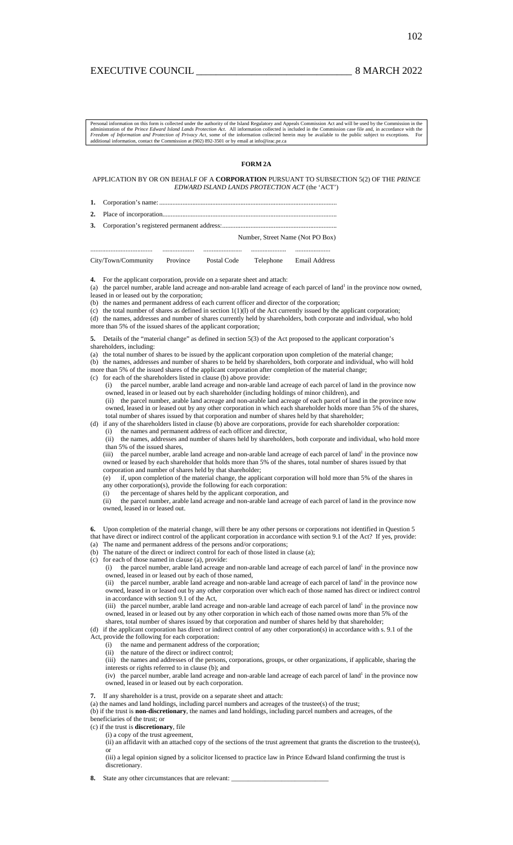# EXECUTIVE COUNCIL **EXECUTIVE** COUNCIL

Personal information on this form is collected under the authority of the Island Regulatory and Appeals Commission Act and will be used by the Commission in the administration of the *Prince Edward Island Lands Protection* 

# **FORM 2A**

## APPLICATION BY OR ON BEHALF OF A **CORPORATION** PURSUANT TO SUBSECTION 5(2) OF THE *PRINCE EDWARD ISLAND LANDS PROTECTION ACT* (the 'ACT')

- **1.** Corporation's name: ...... **2.** Place of incorporation.........................................................................................................
- **3.** Corporation's registered permanent address:........

Number, Street Name (Not PO Box)

..................................... ................... ....................... ..................... ..................... City/Town/Community Province Postal Code Telephone Email Address

**4.** For the applicant corporation, provide on a separate sheet and attach: (a) the parcel number, arable land acreage and non-arable land acreage of each parcel of land<sup>1</sup> in the province now owned,

- leased in or leased out by the corporation;
- (b) the names and permanent address of each current officer and director of the corporation;
- (c) the total number of shares as defined in section  $1(1)(1)$  of the Act currently issued by the applicant corporation;

(d) the names, addresses and number of shares currently held by shareholders, both corporate and individual, who hold more than 5% of the issued shares of the applicant corporation;

- **5.** Details of the "material change" as defined in section 5(3) of the Act proposed to the applicant corporation's shareholders, including:
- (a) the total number of shares to be issued by the applicant corporation upon completion of the material change;
- (b) the names, addresses and number of shares to be held by shareholders, both corporate and individual, who will hold more than 5% of the issued shares of the applicant corporation after completion of the material change;
- (c) for each of the shareholders listed in clause (b) above provide:
	- (i) the parcel number, arable land acreage and non-arable land acreage of each parcel of land in the province now owned, leased in or leased out by each shareholder (including holdings of minor children), and (ii) the parcel number, arable land acreage and non-arable land acreage of each parcel of land in the province now
	- owned, leased in or leased out by any other corporation in which each shareholder holds more than 5% of the shares, total number of shares issued by that corporation and number of shares held by that shareholder;
- (d) if any of the shareholders listed in clause (b) above are corporations, provide for each shareholder corporation: (i) the names and permanent address of each officer and director,

(ii) the names, addresses and number of shares held by shareholders, both corporate and individual, who hold more than 5% of the issued shares,

(iii) the parcel number, arable land acreage and non-arable land acreage of each parcel of land<sup>1</sup> in the province now owned or leased by each shareholder that holds more than 5% of the shares, total number of shares issued by that corporation and number of shares held by that shareholder;

(e) if, upon completion of the material change, the applicant corporation will hold more than 5% of the shares in any other corporation(s), provide the following for each corporation:

(i) the percentage of shares held by the applicant corporation, and

(ii) the parcel number, arable land acreage and non-arable land acreage of each parcel of land in the province now owned, leased in or leased out.

- **6.** Upon completion of the material change, will there be any other persons or corporations not identified in Question 5 that have direct or indirect control of the applicant corporation in accordance with section 9.1 of the Act? If yes, provide:
- (a) The name and permanent address of the persons and/or corporations;
- (b) The nature of the direct or indirect control for each of those listed in clause (a); (c) for each of those named in clause (a), provide:
	- (i) the parcel number, arable land acreage and non-arable land acreage of each parcel of land<sup>1</sup> in the province now owned, leased in or leased out by each of those named,

(ii) the parcel number, arable land acreage and non-arable land acreage of each parcel of land<sup>1</sup> in the province now owned, leased in or leased out by any other corporation over which each of those named has direct or indirect control in accordance with section 9.1 of the Act,

(iii) the parcel number, arable land acreage and non-arable land acreage of each parcel of land<sup>1</sup> in the province now owned, leased in or leased out by any other corporation in which each of those named owns more than 5% of the shares, total number of shares issued by that corporation and number of shares held by that shareholder;

(d) if the applicant corporation has direct or indirect control of any other corporation(s) in accordance with s. 9.1 of the

- Act, provide the following for each corporation:
	- (i) the name and permanent address of the corporation;
	- (ii) the nature of the direct or indirect control;

(iii) the names and addresses of the persons, corporations, groups, or other organizations, if applicable, sharing the interests or rights referred to in clause (b); and

 $(iv)$  the parcel number, arable land acreage and non-arable land acreage of each parcel of land<sup>1</sup> in the province now owned, leased in or leased out by each corporation.

**7.** If any shareholder is a trust, provide on a separate sheet and attach:

(a) the names and land holdings, including parcel numbers and acreages of the trustee(s) of the trust;

(b) if the trust is **non-discretionary**, the names and land holdings, including parcel numbers and acreages, of the beneficiaries of the trust; or

(c) if the trust is **discretionary**, file

(i) a copy of the trust agreement,

(ii) an affidavit with an attached copy of the sections of the trust agreement that grants the discretion to the trustee(s), or

(iii) a legal opinion signed by a solicitor licensed to practice law in Prince Edward Island confirming the trust is discretionary.

**8.** State any other circumstances that are relevant: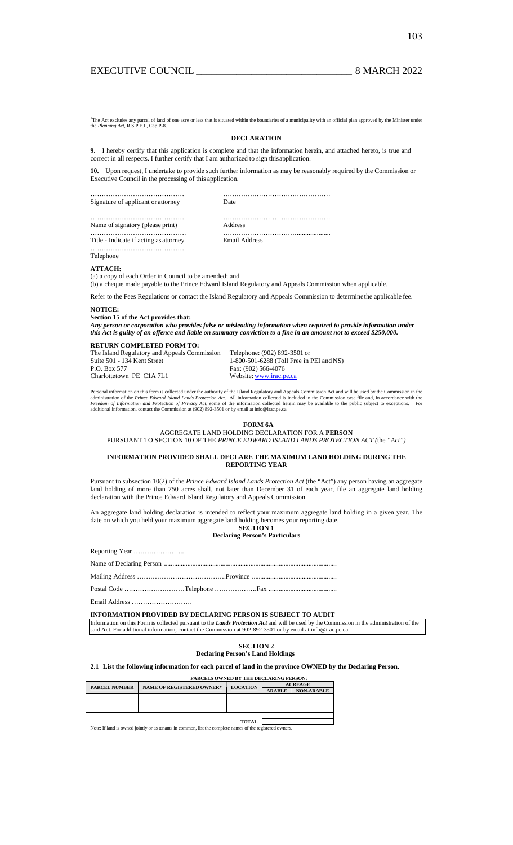<sup>1</sup>The Act excludes any parcel of land of the *Planning Act*, R.S.P.E.I., Cap P-8. Interest of land of one acre or less that is situated within the boundaries of a municipality with an official plan approved by the Minister under

## **DECLARATION**

**9.** I hereby certify that this application is complete and that the information herein, and attached hereto, is true and correct in all respects. I further certify that I am authorized to sign this application.

**10.** Upon request, I undertake to provide such further information as may be reasonably required by the Commission or Executive Council in the processing of this application.

……………………………………… Signature of applicant or attorney

……………………………………………

Date ………………………………………… Address

…………………………………………

……………………………………. Title - Indicate if acting as attorney …………………………………………

Name of signatory (please print)

…………………………….................... Email Address

Telephone

#### **ATTACH:**

(a) a copy of each Order in Council to be amended; and

(b) a cheque made payable to the Prince Edward Island Regulatory and Appeals Commission when applicable.

Refer to the Fees Regulations or contact the Island Regulatory and Appeals Commission to determine the applicable fee.

#### **NOTICE: Section 15 of the Act provides that:**

*Any person or corporation who provides false or misleading information when required to provide information under this Act is guilty of an offence and liable on summary conviction to a fine in an amount not to exceed \$250,000.* 

#### **RETURN COMPLETED FORM TO:**

Suite 501 - 134 Kent Street P.O. Box 577 Charlottetown PE C1A 7L1

The Island Regulatory and Appeals Commission Telephone: (902) 892-3501 or 1-800-501-6288 (Toll Free in PEI and NS) Fax: (902) 566-4076 Website: [www.irac.pe.ca](http://www.irac.pe.ca/)

Personal information on this form is collected under the authority of the Island Regulatory and Appeals Commission Act and will be used by the Commission in the<br>administration of the Prince Edward Island Lands Protection A additional information, contact the Commission at (902) 892-3501 or by email at info@irac.pe.ca

## **FORM 6A**

AGGREGATE LAND HOLDING DECLARATION FOR A **PERSON**

PURSUANT TO SECTION 10 OF THE *PRINCE EDWARD ISLAND LANDS PROTECTION ACT (*the *"Act")* 

#### **INFORMATION PROVIDED SHALL DECLARE THE MAXIMUM LAND HOLDING DURING THE REPORTING YEAR**

Pursuant to subsection 10(2) of the *Prince Edward Island Lands Protection Act* (the "Act") any person having an aggregate land holding of more than 750 acres shall, not later than December 31 of each year, file an aggregate land holding declaration with the Prince Edward Island Regulatory and Appeals Commission.

An aggregate land holding declaration is intended to reflect your maximum aggregate land holding in a given year. The date on which you held your maximum aggregate land holding becomes your reporting date. **SECTION 1** 

**Declaring Person's Particulars**

Name of Declaring Person ........................................................................................................

Mailing Address ………………………………….Province ...................................................

Postal Code ………………………Telephone ……………….Fax .........................................

Email Address ………………………

**INFORMATION PROVIDED BY DECLARING PERSON IS SUBJECT TO AUDIT** 

Information on this Form is collected pursuant to the *Lands Protection Act* and will be used by the Commission in the administration of the said **Act**. For additional information, contact the Commission at 902-892-3501 or by email at info@irac.pe.ca.

## **SECTION 2 Declaring Person's Land Holdings**

## **2.1 List the following information for each parcel of land in the province OWNED by the Declaring Person.**

**PARCELS OWNED BY THE DECLARING PERSON: PARCEL NUMBER** NAME OF REGISTERED OWNER\* LOCATION ARABLE NON-ARABLE **TOTAL** 

Note: If land is owned jointly or as tenants in common, list the complete names of the registered owners.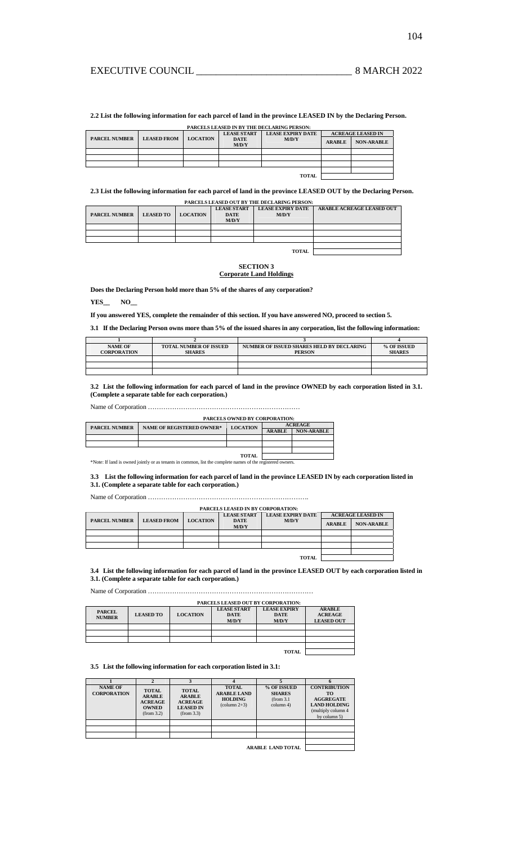**2.2 List the following information for each parcel of land in the province LEASED IN by the Declaring Person.** 

| PARCELS LEASED IN BY THE DECLARING PERSON: |                    |                 |                      |                          |                          |                   |  |
|--------------------------------------------|--------------------|-----------------|----------------------|--------------------------|--------------------------|-------------------|--|
|                                            |                    |                 | <b>LEASE START</b>   | <b>LEASE EXPIRY DATE</b> | <b>ACREAGE LEASED IN</b> |                   |  |
| <b>PARCEL NUMBER</b>                       | <b>LEASED FROM</b> | <b>LOCATION</b> | <b>DATE</b><br>M/D/Y | M/D/Y                    | <b>ARABLE</b>            | <b>NON-ARABLE</b> |  |
|                                            |                    |                 |                      |                          |                          |                   |  |
|                                            |                    |                 |                      |                          |                          |                   |  |
|                                            |                    |                 |                      |                          |                          |                   |  |
|                                            |                    |                 |                      |                          |                          |                   |  |
|                                            |                    |                 |                      |                          |                          |                   |  |

**2.3 List the following information for each parcel of land in the province LEASED OUT by the Declaring Person.** 

| <b>PARCELS LEASED OUT BY THE DECLARING PERSON:</b> |                  |                 |                                            |                                   |                                  |  |  |  |
|----------------------------------------------------|------------------|-----------------|--------------------------------------------|-----------------------------------|----------------------------------|--|--|--|
| <b>PARCEL NUMBER</b>                               | <b>LEASED TO</b> | <b>LOCATION</b> | <b>LEASE START</b><br><b>DATE</b><br>M/D/Y | <b>LEASE EXPIRY DATE</b><br>M/D/Y | <b>ARABLE ACREAGE LEASED OUT</b> |  |  |  |
|                                                    |                  |                 |                                            |                                   |                                  |  |  |  |
|                                                    |                  |                 |                                            |                                   |                                  |  |  |  |
|                                                    |                  |                 |                                            |                                   |                                  |  |  |  |
|                                                    |                  |                 |                                            |                                   |                                  |  |  |  |
|                                                    |                  |                 |                                            | <b>TOTAL</b>                      |                                  |  |  |  |

**SECTION 3 Corporate Land Holdings**

**Does the Declaring Person hold more than 5% of the shares of any corporation?** 

**YES\_\_ NO\_\_** 

**If you answered YES, complete the remainder of this section. If you have answered NO, proceed to section 5.** 

**3.1 If the Declaring Person owns more than 5% of the issued shares in any corporation, list the following information:**

| <b>NAME OF</b>     | <b>TOTAL NUMBER OF ISSUED</b> | NUMBER OF ISSUED SHARES HELD BY DECLARING | % OF ISSUED   |
|--------------------|-------------------------------|-------------------------------------------|---------------|
| <b>CORPORATION</b> | <b>SHARES</b>                 | <b>PERSON</b>                             | <b>SHARES</b> |
|                    |                               |                                           |               |
|                    |                               |                                           |               |
|                    |                               |                                           |               |

**3.2 List the following information for each parcel of land in the province OWNED by each corporation listed in 3.1. (Complete a separate table for each corporation.)**

Name of Corporation ……………………………………………………………

|                      | <b>PARCELS OWNED BY CORPORATION:</b> |                 |                |                   |  |  |  |  |
|----------------------|--------------------------------------|-----------------|----------------|-------------------|--|--|--|--|
| <b>PARCEL NUMBER</b> | <b>NAME OF REGISTERED OWNER*</b>     | <b>LOCATION</b> | <b>ACREAGE</b> |                   |  |  |  |  |
|                      |                                      |                 | <b>ARABLE</b>  | <b>NON-ARABLE</b> |  |  |  |  |
|                      |                                      |                 |                |                   |  |  |  |  |
|                      |                                      |                 |                |                   |  |  |  |  |
|                      |                                      |                 |                |                   |  |  |  |  |
|                      |                                      | TOTAL           |                |                   |  |  |  |  |

**TOTAL**  \*Note: If land is owned jointly or as tenants in common, list the complete names of the registered owners.

**3.3 List the following information for each parcel of land in the province LEASED IN by each corporation listed in 3.1. (Complete a separate table for each corporation.)**

Name of Corporation ……………………………………………………………….

| <b>PARCELS LEASED IN BY CORPORATION:</b> |                    |                 |                    |                          |               |                          |
|------------------------------------------|--------------------|-----------------|--------------------|--------------------------|---------------|--------------------------|
|                                          |                    |                 | <b>LEASE START</b> | <b>LEASE EXPIRY DATE</b> |               | <b>ACREAGE LEASED IN</b> |
| <b>PARCEL NUMBER</b>                     | <b>LEASED FROM</b> | <b>LOCATION</b> | <b>DATE</b>        | M/D/Y                    |               |                          |
|                                          |                    |                 | M/D/Y              |                          | <b>ARABLE</b> | <b>NON-ARABLE</b>        |
|                                          |                    |                 |                    |                          |               |                          |
|                                          |                    |                 |                    |                          |               |                          |
|                                          |                    |                 |                    |                          |               |                          |
|                                          |                    |                 |                    |                          |               |                          |
| <b>TOTAL</b>                             |                    |                 |                    |                          |               |                          |

**PARCELS LEASED IN BY CORPORATION:** 

**3.4 List the following information for each parcel of land in the province LEASED OUT by each corporation listed in 3.1. (Complete a separate table for each corporation.)**

Name of Corporation …………………………………………………………………

| PARCELS LEASED OUT BY CORPORATION: |                  |                 |                                            |                                             |                                                      |  |
|------------------------------------|------------------|-----------------|--------------------------------------------|---------------------------------------------|------------------------------------------------------|--|
| <b>PARCEL</b><br><b>NUMBER</b>     | <b>LEASED TO</b> | <b>LOCATION</b> | <b>LEASE START</b><br><b>DATE</b><br>M/D/Y | <b>LEASE EXPIRY</b><br><b>DATE</b><br>M/D/Y | <b>ARABLE</b><br><b>ACREAGE</b><br><b>LEASED OUT</b> |  |
|                                    |                  |                 |                                            |                                             |                                                      |  |
|                                    |                  |                 |                                            |                                             |                                                      |  |
|                                    |                  |                 |                                            |                                             |                                                      |  |
|                                    |                  |                 |                                            |                                             |                                                      |  |
|                                    |                  |                 |                                            | <b>TOTAL</b>                                |                                                      |  |

# **3.5 List the following information for each corporation listed in 3.1:**

|                                      | G                                                                             |                                                                                   |                                                                                |                                                         |                                                                                                             |
|--------------------------------------|-------------------------------------------------------------------------------|-----------------------------------------------------------------------------------|--------------------------------------------------------------------------------|---------------------------------------------------------|-------------------------------------------------------------------------------------------------------------|
| <b>NAME OF</b><br><b>CORPORATION</b> | <b>TOTAL</b><br><b>ARABLE</b><br><b>ACREAGE</b><br><b>OWNED</b><br>(from 3.2) | <b>TOTAL</b><br><b>ARABLE</b><br><b>ACREAGE</b><br><b>LEASED IN</b><br>(from 3.3) | <b>TOTAL</b><br><b>ARABLE LAND</b><br><b>HOLDING</b><br>$\text{(column } 2+3)$ | % OF ISSUED<br><b>SHARES</b><br>(from 3.1)<br>column 4) | <b>CONTRIBUTION</b><br>TО<br><b>AGGREGATE</b><br><b>LAND HOLDING</b><br>(multiply column 4)<br>by column 5) |
|                                      |                                                                               |                                                                                   |                                                                                |                                                         |                                                                                                             |
|                                      |                                                                               |                                                                                   |                                                                                |                                                         |                                                                                                             |
|                                      |                                                                               |                                                                                   |                                                                                |                                                         |                                                                                                             |
|                                      |                                                                               |                                                                                   |                                                                                | <b>ARABLE LAND TOTAL</b>                                |                                                                                                             |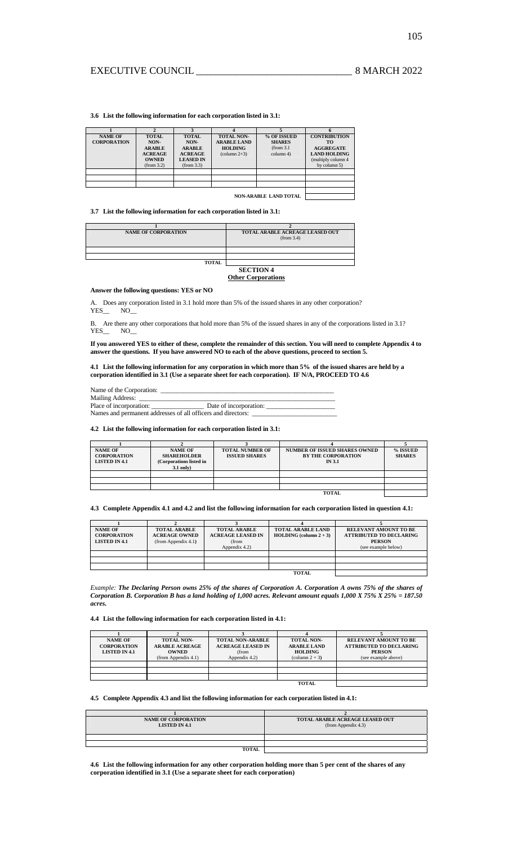# EXECUTIVE COUNCIL 2022

**3.6 List the following information for each corporation listed in 3.1:** 

| <b>NAME OF</b><br><b>CORPORATION</b> | <b>TOTAL</b><br>NON-<br><b>ARABLE</b><br><b>ACREAGE</b><br><b>OWNED</b><br>(from 3.2) | <b>TOTAL</b><br>NON-<br><b>ARABLE</b><br><b>ACREAGE</b><br><b>LEASED IN</b><br>(from 3.3) | <b>TOTAL NON-</b><br><b>ARABLE LAND</b><br><b>HOLDING</b><br>$\text{(column } 2+3)$ | % OF ISSUED<br><b>SHARES</b><br>(from 3.1)<br>column 4) | <b>CONTRIBUTION</b><br>TО<br><b>AGGREGATE</b><br><b>LAND HOLDING</b><br>(multiply column 4<br>by column 5) |
|--------------------------------------|---------------------------------------------------------------------------------------|-------------------------------------------------------------------------------------------|-------------------------------------------------------------------------------------|---------------------------------------------------------|------------------------------------------------------------------------------------------------------------|
|                                      |                                                                                       |                                                                                           |                                                                                     | <b>NON-ARABLE LAND TOTAL</b>                            |                                                                                                            |

**3.7 List the following information for each corporation listed in 3.1:** 

| <b>NAME OF CORPORATION</b> | TOTAL ARABLE ACREAGE LEASED OUT<br>(from 3.4) |
|----------------------------|-----------------------------------------------|
|                            |                                               |
|                            |                                               |
| <b>TOTAL</b>               |                                               |
|                            | <b>SECTION 4</b>                              |

## **Other Corporations**

**Answer the following questions: YES or NO** 

Does any corporation listed in 3.1 hold more than 5% of the issued shares in any other corporation? YES\_\_ NO\_\_

B. Are there any other corporations that hold more than 5% of the issued shares in any of the corporations listed in 3.1? YES\_\_ NO\_

## **If you answered YES to either of these, complete the remainder of this section. You will need to complete Appendix 4 to answer the questions. If you have answered NO to each of the above questions, proceed to section 5.**

#### **4.1 List the following information for any corporation in which more than 5% of the issued shares are held by a corporation identified in 3.1 (Use a separate sheet for each corporation). IF N/A, PROCEED TO 4.6**

| Name of the Corporation:                                     |                        |  |  |  |  |
|--------------------------------------------------------------|------------------------|--|--|--|--|
| Mailing Address:                                             |                        |  |  |  |  |
| Place of incorporation:                                      | Date of incorporation: |  |  |  |  |
| Names and permanent addresses of all officers and directors: |                        |  |  |  |  |

#### **4.2 List the following information for each corporation listed in 3.1:**

| <b>NAME OF</b><br><b>CORPORATION</b><br><b>LISTED IN 4.1</b> | <b>NAME OF</b><br><b>SHAREHOLDER</b><br>(Corporations listed in<br>$3.1$ only) | <b>TOTAL NUMBER OF</b><br><b>ISSUED SHARES</b> | <b>NUMBER OF ISSUED SHARES OWNED</b><br><b>BY THE CORPORATION</b><br><b>IN 3.1</b> | % ISSUED<br><b>SHARES</b> |
|--------------------------------------------------------------|--------------------------------------------------------------------------------|------------------------------------------------|------------------------------------------------------------------------------------|---------------------------|
|                                                              |                                                                                |                                                |                                                                                    |                           |
|                                                              |                                                                                |                                                |                                                                                    |                           |
|                                                              |                                                                                |                                                |                                                                                    |                           |
|                                                              |                                                                                |                                                | <b>TOTAL</b>                                                                       |                           |

## **4.3 Complete Appendix 4.1 and 4.2 and list the following information for each corporation listed in question 4.1:**

| <b>NAME OF</b><br><b>CORPORATION</b><br><b>LISTED IN 4.1</b> | <b>TOTAL ARABLE</b><br><b>ACREAGE OWNED</b><br>(from Appendix 4.1) | <b>TOTAL ARABLE</b><br><b>ACREAGE LEASED IN</b><br>(from<br>Appendix 4.2) | <b>TOTAL ARABLE LAND</b><br><b>HOLDING</b> (column $2 + 3$ ) | RELEVANT AMOUNT TO BE<br><b>ATTRIBUTED TO DECLARING</b><br><b>PERSON</b><br>(see example below) |
|--------------------------------------------------------------|--------------------------------------------------------------------|---------------------------------------------------------------------------|--------------------------------------------------------------|-------------------------------------------------------------------------------------------------|
|                                                              |                                                                    |                                                                           |                                                              |                                                                                                 |
|                                                              |                                                                    |                                                                           |                                                              |                                                                                                 |
|                                                              |                                                                    |                                                                           |                                                              |                                                                                                 |
|                                                              |                                                                    |                                                                           | TOTAL                                                        |                                                                                                 |

*Example: The Declaring Person owns 25% of the shares of Corporation A. Corporation A owns 75% of the shares of Corporation B. Corporation B has a land holding of 1,000 acres. Relevant amount equals 1,000 X 75% X 25% = 187.50 acres.*

## **4.4 List the following information for each corporation listed in 4.1:**

| <b>NAME OF</b><br><b>CORPORATION</b> | <b>TOTAL NON-</b><br><b>ARABLE ACREAGE</b> | <b>TOTAL NON-ARABLE</b><br><b>ACREAGE LEASED IN</b> | <b>TOTAL NON-</b><br><b>ARABLE LAND</b> | <b>RELEVANT AMOUNT TO BE</b><br><b>ATTRIBUTED TO DECLARING</b> |
|--------------------------------------|--------------------------------------------|-----------------------------------------------------|-----------------------------------------|----------------------------------------------------------------|
| <b>LISTED IN 4.1</b>                 | <b>OWNED</b>                               | (from                                               | <b>HOLDING</b>                          | <b>PERSON</b>                                                  |
|                                      | (from Appendix 4.1)                        | Appendix 4.2)                                       | $\text{(column } 2 + 3\text{)}$         | (see example above)                                            |
|                                      |                                            |                                                     |                                         |                                                                |
|                                      |                                            |                                                     |                                         |                                                                |
|                                      |                                            |                                                     |                                         |                                                                |
|                                      |                                            |                                                     | TOTAL                                   |                                                                |

#### **4.5 Complete Appendix 4.3 and list the following information for each corporation listed in 4.1:**

| TOTAL ARABLE ACREAGE LEASED OUT<br>(from Appendix 4.3) |
|--------------------------------------------------------|
|                                                        |
|                                                        |
|                                                        |
|                                                        |

**4.6 List the following information for any other corporation holding more than 5 per cent of the shares of any corporation identified in 3.1 (Use a separate sheet for each corporation)**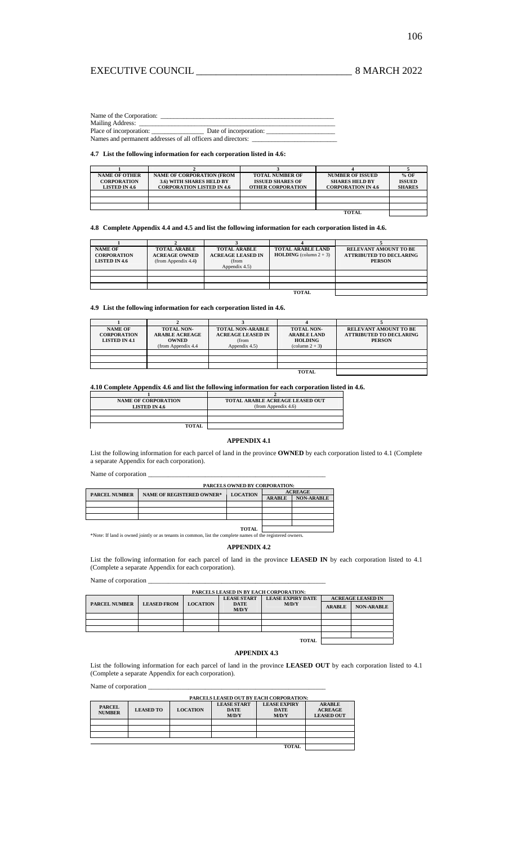# EXECUTIVE COUNCIL \_\_\_\_\_\_\_\_\_\_\_\_\_\_\_\_\_\_\_\_\_\_\_\_\_\_\_\_\_\_\_ 8 MARCH 2022

Name of the Corporation:

Mailing Address: Place of incorporation: \_\_\_\_\_\_\_\_\_\_\_\_\_\_\_\_ Date of incorporation: \_\_\_\_\_\_\_\_\_\_\_\_\_\_\_\_\_\_\_\_\_

Names and permanent addresses of all officers and directors: \_\_\_\_\_\_\_\_\_\_\_\_\_\_\_\_\_\_\_\_\_\_\_\_\_\_

## **4.7 List the following information for each corporation listed in 4.6:**

| <b>NAME OF OTHER</b> | <b>NAME OF CORPORATION (FROM</b> | <b>TOTAL NUMBER OF</b>   | <b>NUMBER OF ISSUED</b>   | % OF          |
|----------------------|----------------------------------|--------------------------|---------------------------|---------------|
| <b>CORPORATION</b>   | <b>3.6) WITH SHARES HELD BY</b>  | <b>ISSUED SHARES OF</b>  | <b>SHARES HELD BY</b>     | <b>ISSUED</b> |
| <b>LISTED IN 4.6</b> | <b>CORPORATION LISTED IN 4.6</b> | <b>OTHER CORPORATION</b> | <b>CORPORATION IN 4.6</b> | <b>SHARES</b> |
|                      |                                  |                          |                           |               |
|                      |                                  |                          |                           |               |
|                      |                                  |                          |                           |               |
|                      |                                  |                          | ТОТАТ.                    |               |

**4.8 Complete Appendix 4.4 and 4.5 and list the following information for each corporation listed in 4.6.** 

| <b>NAME OF</b><br><b>CORPORATION</b><br><b>LISTED IN 4.6</b> | <b>TOTAL ARABLE</b><br><b>ACREAGE OWNED</b><br>(from Appendix 4.4) | <b>TOTAL ARABLE</b><br><b>ACREAGE LEASED IN</b><br>(from<br>Appendix 4.5) | <b>TOTAL ARABLE LAND</b><br><b>HOLDING</b> (column $2 + 3$ ) | <b>RELEVANT AMOUNT TO BE</b><br><b>ATTRIBUTED TO DECLARING</b><br><b>PERSON</b> |
|--------------------------------------------------------------|--------------------------------------------------------------------|---------------------------------------------------------------------------|--------------------------------------------------------------|---------------------------------------------------------------------------------|
|                                                              |                                                                    |                                                                           |                                                              |                                                                                 |
|                                                              |                                                                    |                                                                           |                                                              |                                                                                 |
|                                                              |                                                                    |                                                                           |                                                              |                                                                                 |
|                                                              |                                                                    |                                                                           | <b>TOTAL</b>                                                 |                                                                                 |

**4.9 List the following information for each corporation listed in 4.6.** 

| <b>NAME OF</b><br><b>CORPORATION</b><br><b>LISTED IN 4.1</b> | <b>TOTAL NON-</b><br><b>ARABLE ACREAGE</b><br><b>OWNED</b><br>(from Appendix 4.4) | <b>TOTAL NON-ARABLE</b><br><b>ACREAGE LEASED IN</b><br>(from<br>Appendix 4.5) | <b>TOTAL NON-</b><br><b>ARABLE LAND</b><br><b>HOLDING</b><br>$\text{(column } 2 + 3\text{)}$ | <b>RELEVANT AMOUNT TO BE</b><br><b>ATTRIBUTED TO DECLARING</b><br><b>PERSON</b> |
|--------------------------------------------------------------|-----------------------------------------------------------------------------------|-------------------------------------------------------------------------------|----------------------------------------------------------------------------------------------|---------------------------------------------------------------------------------|
|                                                              |                                                                                   |                                                                               |                                                                                              |                                                                                 |
|                                                              |                                                                                   |                                                                               |                                                                                              |                                                                                 |
|                                                              |                                                                                   |                                                                               |                                                                                              |                                                                                 |
|                                                              |                                                                                   |                                                                               |                                                                                              |                                                                                 |

**4.10 Complete Appendix 4.6 and list the following information for each corporation listed in 4.6. 1 2** 

| <b>NAME OF CORPORATION</b><br><b>LISTED IN 4.6</b> | <b>TOTAL ARABLE ACREAGE LEASED OUT</b><br>(from Appendix 4.6) |
|----------------------------------------------------|---------------------------------------------------------------|
|                                                    |                                                               |
|                                                    |                                                               |
| <b>TOTAL</b>                                       |                                                               |

## **APPENDIX 4.1**

List the following information for each parcel of land in the province **OWNED** by each corporation listed to 4.1 (Complete a separate Appendix for each corporation).

Name of corporation \_

|                      | <b>PARCELS OWNED BY CORPORATION:</b> |                 |                |                   |  |  |
|----------------------|--------------------------------------|-----------------|----------------|-------------------|--|--|
| <b>PARCEL NUMBER</b> | <b>NAME OF REGISTERED OWNER*</b>     | <b>LOCATION</b> | <b>ACREAGE</b> |                   |  |  |
|                      |                                      |                 |                | <b>NON-ARABLE</b> |  |  |
|                      |                                      |                 |                |                   |  |  |
|                      |                                      |                 |                |                   |  |  |
|                      |                                      |                 |                |                   |  |  |
|                      |                                      |                 |                |                   |  |  |
| <b>TOTAL</b>         |                                      |                 |                |                   |  |  |

\*Note: If land is owned jointly or as tenants in common, list the complete names of t

## **APPENDIX 4.2**

List the following information for each parcel of land in the province **LEASED IN** by each corporation listed to 4.1 (Complete a separate Appendix for each corporation).

Name of corporation \_

| <b>PARCELS LEASED IN BY EACH CORPORATION:</b> |                    |                 |                             |                          |                                                                |  |  |
|-----------------------------------------------|--------------------|-----------------|-----------------------------|--------------------------|----------------------------------------------------------------|--|--|
|                                               |                    |                 | <b>LEASE START</b>          | <b>LEASE EXPIRY DATE</b> | <b>ACREAGE LEASED IN</b><br><b>ARABLE</b><br><b>NON-ARABLE</b> |  |  |
| <b>PARCEL NUMBER</b>                          | <b>LEASED FROM</b> | <b>LOCATION</b> | <b>DATE</b><br><b>M/D/Y</b> | M/D/Y                    |                                                                |  |  |
|                                               |                    |                 |                             |                          |                                                                |  |  |
|                                               |                    |                 |                             |                          |                                                                |  |  |
|                                               |                    |                 |                             |                          |                                                                |  |  |

## **APPENDIX 4.3**

List the following information for each parcel of land in the province **LEASED OUT** by each corporation listed to 4.1 (Complete a separate Appendix for each corporation).

Name of corporation \_

|                                | PARCELS LEASED OUT BY EACH CORPORATION: |                 |                                            |                                             |                                                      |
|--------------------------------|-----------------------------------------|-----------------|--------------------------------------------|---------------------------------------------|------------------------------------------------------|
| <b>PARCEL</b><br><b>NUMBER</b> | <b>LEASED TO</b>                        | <b>LOCATION</b> | <b>LEASE START</b><br><b>DATE</b><br>M/D/Y | <b>LEASE EXPIRY</b><br><b>DATE</b><br>M/D/Y | <b>ARABLE</b><br><b>ACREAGE</b><br><b>LEASED OUT</b> |
|                                |                                         |                 |                                            |                                             |                                                      |
|                                |                                         |                 |                                            |                                             |                                                      |
|                                |                                         |                 |                                            |                                             |                                                      |
|                                |                                         |                 |                                            |                                             |                                                      |

**TOTAL**

**TOTAL**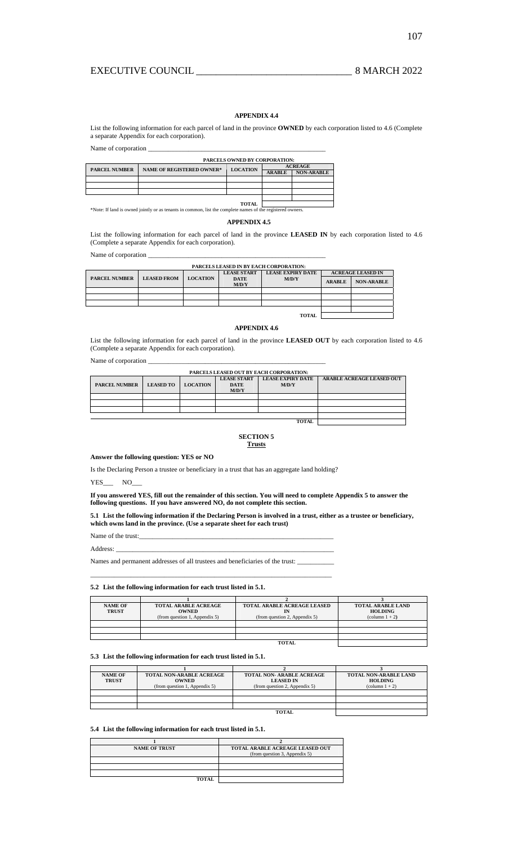# **APPENDIX 4.4**

List the following information for each parcel of land in the province **OWNED** by each corporation listed to 4.6 (Complete a separate Appendix for each corporation).

Name of corporation  $\_\_$ 

|                      | PARCELS OWNED BY CORPORATION:    |                 |                |                   |  |  |
|----------------------|----------------------------------|-----------------|----------------|-------------------|--|--|
| <b>PARCEL NUMBER</b> | <b>NAME OF REGISTERED OWNER*</b> | <b>LOCATION</b> | <b>ACREAGE</b> |                   |  |  |
|                      |                                  |                 | <b>ARABLE</b>  | <b>NON-ARABLE</b> |  |  |
|                      |                                  |                 |                |                   |  |  |
|                      |                                  |                 |                |                   |  |  |
|                      |                                  |                 |                |                   |  |  |
|                      |                                  |                 |                |                   |  |  |
|                      |                                  | <b>TOTAL</b>    |                |                   |  |  |

\*Note: If land is owned jointly or as tenants in common, list the complete names of the registered owners.

## **APPENDIX 4.5**

List the following information for each parcel of land in the province **LEASED IN** by each corporation listed to 4.6 (Complete a separate Appendix for each corporation).

Name of corporation \_

| <b>PARCELS LEASED IN BY EACH CORPORATION:</b> |                    |                 |                      |                          |                          |                   |  |
|-----------------------------------------------|--------------------|-----------------|----------------------|--------------------------|--------------------------|-------------------|--|
|                                               |                    |                 | <b>LEASE START</b>   | <b>LEASE EXPIRY DATE</b> | <b>ACREAGE LEASED IN</b> |                   |  |
| <b>PARCEL NUMBER</b>                          | <b>LEASED FROM</b> | <b>LOCATION</b> | <b>DATE</b><br>M/D/Y | M/D/Y                    | <b>ARABLE</b>            | <b>NON-ARABLE</b> |  |
|                                               |                    |                 |                      |                          |                          |                   |  |
|                                               |                    |                 |                      |                          |                          |                   |  |
|                                               |                    |                 |                      |                          |                          |                   |  |
|                                               |                    |                 |                      |                          |                          |                   |  |
| <b>TOTAL</b>                                  |                    |                 |                      |                          |                          |                   |  |

## **APPENDIX 4.6**

List the following information for each parcel of land in the province **LEASED OUT** by each corporation listed to 4.6 (Complete a separate Appendix for each corporation).

Name of corporation  $\overline{\phantom{a}}$ 

| PARCELS LEASED OUT BY EACH CORPORATION: |                  |                 |                    |                          |                                  |  |
|-----------------------------------------|------------------|-----------------|--------------------|--------------------------|----------------------------------|--|
|                                         |                  |                 | <b>LEASE START</b> | <b>LEASE EXPIRY DATE</b> | <b>ARABLE ACREAGE LEASED OUT</b> |  |
| <b>PARCEL NUMBER</b>                    | <b>LEASED TO</b> | <b>LOCATION</b> | <b>DATE</b>        | M/D/Y                    |                                  |  |
|                                         |                  |                 | M/D/Y              |                          |                                  |  |
|                                         |                  |                 |                    |                          |                                  |  |
|                                         |                  |                 |                    |                          |                                  |  |
|                                         |                  |                 |                    |                          |                                  |  |
|                                         |                  |                 |                    |                          |                                  |  |
|                                         |                  |                 |                    |                          |                                  |  |

## **SECTION 5 Trusts**

#### **Answer the following question: YES or NO**

Is the Declaring Person a trustee or beneficiary in a trust that has an aggregate land holding?

YES NO

**If you answered YES, fill out the remainder of this section. You will need to complete Appendix 5 to answer the following questions. If you have answered NO, do not complete this section.** 

**5.1 List the following information if the Declaring Person is involved in a trust, either as a trustee or beneficiary, which owns land in the province. (Use a separate sheet for each trust)** 

Name of the trust:

Address: \_\_\_\_\_\_\_\_\_\_\_\_\_\_\_\_\_\_\_\_\_\_\_\_\_\_\_\_\_\_\_\_\_\_\_\_\_\_\_\_\_\_\_\_\_\_\_\_\_\_\_\_\_\_\_\_\_\_\_\_\_\_\_\_\_

Names and permanent addresses of all trustees and beneficiaries of the trust: \_\_\_\_\_\_\_\_\_\_\_\_\_\_\_\_\_\_\_\_\_\_\_\_\_\_\_\_\_\_\_\_\_\_\_\_\_\_\_\_\_\_\_\_\_\_\_\_\_\_\_\_\_\_\_\_\_\_\_\_\_\_\_\_\_\_\_\_\_\_\_\_

## **5.2 List the following information for each trust listed in 5.1.**

| <b>NAME OF</b><br><b>TRUST</b> | <b>TOTAL ARABLE ACREAGE</b><br><b>OWNED</b><br>(from question 1, Appendix 5) | <b>TOTAL ARABLE ACREAGE LEASED</b><br>(from question 2, Appendix 5) | <b>TOTAL ARABLE LAND</b><br><b>HOLDING</b><br>$\text{(column 1 + 2)}$ |  |  |
|--------------------------------|------------------------------------------------------------------------------|---------------------------------------------------------------------|-----------------------------------------------------------------------|--|--|
|                                |                                                                              |                                                                     |                                                                       |  |  |
|                                |                                                                              |                                                                     |                                                                       |  |  |
|                                |                                                                              |                                                                     |                                                                       |  |  |
| <b>TOTAL</b>                   |                                                                              |                                                                     |                                                                       |  |  |

## **5.3 List the following information for each trust listed in 5.1.**

| <b>NAME OF</b><br><b>TRUST</b> | <b>TOTAL NON-ARABLE ACREAGE</b><br><b>OWNED</b><br>(from question 1, Appendix 5) | TOTAL NON-ARABLE ACREAGE<br><b>LEASED IN</b><br>(from question 2, Appendix 5) | TOTAL NON-ARABLE LAND<br><b>HOLDING</b><br>$\text{(column 1 + 2)}$ |  |  |
|--------------------------------|----------------------------------------------------------------------------------|-------------------------------------------------------------------------------|--------------------------------------------------------------------|--|--|
|                                |                                                                                  |                                                                               |                                                                    |  |  |
|                                |                                                                                  |                                                                               |                                                                    |  |  |
|                                |                                                                                  |                                                                               |                                                                    |  |  |
| <b>TOTAL</b>                   |                                                                                  |                                                                               |                                                                    |  |  |

## **5.4 List the following information for each trust listed in 5.1.**

| <b>NAME OF TRUST</b> | TOTAL ARABLE ACREAGE LEASED OUT<br>(from question 3, Appendix 5) |
|----------------------|------------------------------------------------------------------|
|                      |                                                                  |
|                      |                                                                  |
|                      |                                                                  |
| <b>TOTAL</b>         |                                                                  |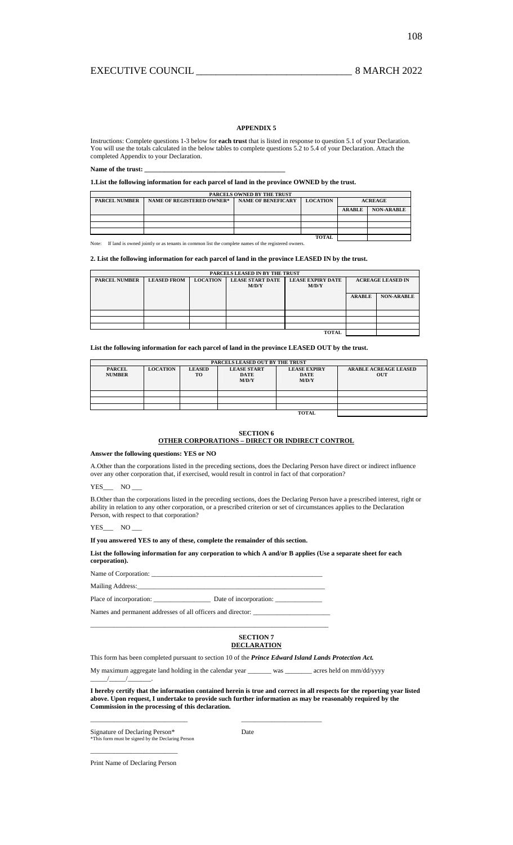## **APPENDIX 5**

Instructions: Complete questions 1-3 below for **each trust** that is listed in response to question 5.1 of your Declaration. You will use the totals calculated in the below tables to complete questions 5.2 to 5.4 of your Declaration. Attach the completed Appendix to your Declaration.

#### Name of the trust:

**1.List the following information for each parcel of land in the province OWNED by the trust.** 

| PARCELS OWNED BY THE TRUST                                                                                                 |  |  |  |               |                   |  |  |
|----------------------------------------------------------------------------------------------------------------------------|--|--|--|---------------|-------------------|--|--|
| <b>PARCEL NUMBER</b><br><b>NAME OF REGISTERED OWNER*</b><br><b>NAME OF BENEFICARY</b><br><b>LOCATION</b><br><b>ACREAGE</b> |  |  |  |               |                   |  |  |
|                                                                                                                            |  |  |  | <b>ARABLE</b> | <b>NON-ARABLE</b> |  |  |
|                                                                                                                            |  |  |  |               |                   |  |  |
|                                                                                                                            |  |  |  |               |                   |  |  |
|                                                                                                                            |  |  |  |               |                   |  |  |
|                                                                                                                            |  |  |  |               |                   |  |  |

Note: If land is owned jointly or as tenants in common list the complete names of the registered owners.

**2. List the following information for each parcel of land in the province LEASED IN by the trust.** 

|                      | PARCELS LEASED IN BY THE TRUST |                 |                         |                          |                          |                   |  |
|----------------------|--------------------------------|-----------------|-------------------------|--------------------------|--------------------------|-------------------|--|
| <b>PARCEL NUMBER</b> | <b>LEASED FROM</b>             | <b>LOCATION</b> | <b>LEASE START DATE</b> | <b>LEASE EXPIRY DATE</b> | <b>ACREAGE LEASED IN</b> |                   |  |
|                      |                                |                 | M/D/Y                   | M/D/Y                    |                          |                   |  |
|                      |                                |                 |                         |                          |                          |                   |  |
|                      |                                |                 |                         |                          | <b>ARABLE</b>            | <b>NON-ARABLE</b> |  |
|                      |                                |                 |                         |                          |                          |                   |  |
|                      |                                |                 |                         |                          |                          |                   |  |
|                      |                                |                 |                         |                          |                          |                   |  |
|                      |                                |                 |                         |                          |                          |                   |  |
|                      |                                |                 |                         |                          |                          |                   |  |
|                      |                                |                 |                         | <b>TOTAL</b>             |                          |                   |  |

**List the following information for each parcel of land in the province LEASED OUT by the trust.** 

|                                | PARCELS LEASED OUT BY THE TRUST |                     |                                            |                                             |                                            |  |
|--------------------------------|---------------------------------|---------------------|--------------------------------------------|---------------------------------------------|--------------------------------------------|--|
| <b>PARCEL</b><br><b>NUMBER</b> | <b>LOCATION</b>                 | <b>LEASED</b><br>TO | <b>LEASE START</b><br><b>DATE</b><br>M/D/Y | <b>LEASE EXPIRY</b><br><b>DATE</b><br>M/D/Y | <b>ARABLE ACREAGE LEASED</b><br><b>OUT</b> |  |
|                                |                                 |                     |                                            |                                             |                                            |  |
|                                |                                 |                     |                                            |                                             |                                            |  |
|                                |                                 |                     |                                            |                                             |                                            |  |
|                                |                                 |                     |                                            | <b>TOTAL</b>                                |                                            |  |

#### **SECTION 6**

# **OTHER CORPORATIONS – DIRECT OR INDIRECT CONTROL**

**Answer the following questions: YES or NO** 

A.Other than the corporations listed in the preceding sections, does the Declaring Person have direct or indirect influence over any other corporation that, if exercised, would result in control in fact of that corporation?

YES\_\_\_ NO\_

B.Other than the corporations listed in the preceding sections, does the Declaring Person have a prescribed interest, right or ability in relation to any other corporation, or a prescribed criterion or set of circumstances applies to the Declaration Person, with respect to that corporation?

YES\_\_\_\_ NO

**If you answered YES to any of these, complete the remainder of this section.** 

**List the following information for any corporation to which A and/or B applies (Use a separate sheet for each corporation).** 

Name of Corporation:

Mailing Address:

 $\frac{1}{1}$ 

Place of incorporation: \_\_\_\_\_\_\_\_\_\_\_\_\_\_\_\_\_ Date of incorporation: \_\_\_\_\_\_\_\_\_\_\_\_\_\_

\_\_\_\_\_\_\_\_\_\_\_\_\_\_\_\_\_\_\_\_\_\_\_\_\_\_\_\_\_\_\_\_\_\_\_\_\_\_\_\_\_\_\_\_\_\_\_\_\_\_\_\_\_\_\_\_\_\_\_\_\_\_\_\_\_\_\_\_\_\_\_

\_\_\_\_\_\_\_\_\_\_\_\_\_\_\_\_\_\_\_\_\_\_\_\_\_\_\_\_\_ \_\_\_\_\_\_\_\_\_\_\_\_\_\_\_\_\_\_\_\_\_\_\_\_

Names and permanent addresses of all officers and director:

## **SECTION 7 DECLARATION**

This form has been completed pursuant to section 10 of the *Prince Edward Island Lands Protection Act.* 

My maximum aggregate land holding in the calendar year \_\_\_\_\_\_\_\_ was \_\_\_\_\_\_\_\_\_ acres held on mm/dd/yyyy

**I hereby certify that the information contained herein is true and correct in all respects for the reporting year listed above. Upon request, I undertake to provide such further information as may be reasonably required by the Commission in the processing of this declaration.**

Signature of Declaring Person\* Date \*This form must be signed by the Declaring Person

 $\overline{\phantom{a}}$  , and the set of the set of the set of the set of the set of the set of the set of the set of the set of the set of the set of the set of the set of the set of the set of the set of the set of the set of the s Print Name of Declaring Person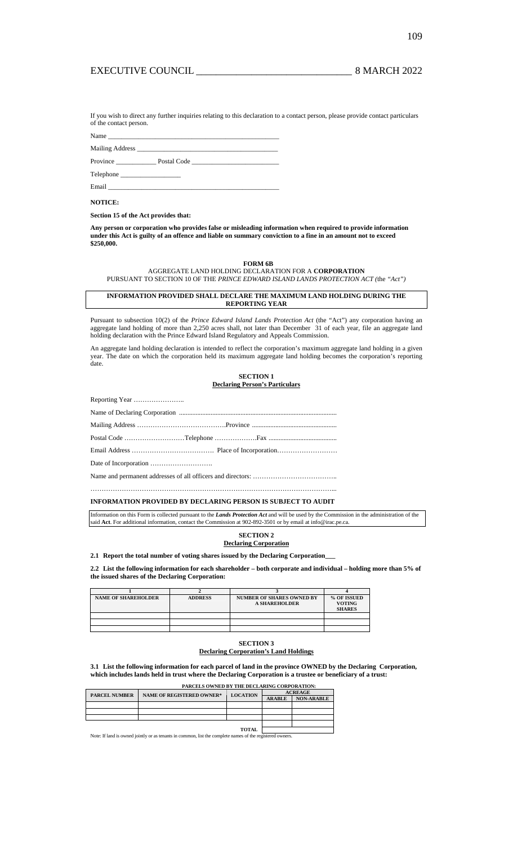109

If you wish to direct any further inquiries relating to this declaration to a contact person, please provide contact particulars of the contact person.

Name \_\_\_\_\_\_\_\_\_\_\_\_\_\_\_\_\_\_\_\_\_\_\_\_\_\_\_\_\_\_\_\_\_\_\_\_\_\_\_\_\_\_\_\_\_\_\_\_\_\_\_

Mailing Address \_\_\_\_\_\_\_\_\_\_\_\_\_\_\_\_\_\_\_\_\_\_\_\_\_\_\_\_\_\_\_\_\_\_\_\_\_\_\_\_\_\_

Province \_\_\_\_\_\_\_\_\_\_\_\_ Postal Code \_\_\_\_\_\_\_\_\_\_\_\_\_\_\_\_\_\_\_\_\_\_\_\_\_\_

Telephone \_\_\_\_\_\_\_\_\_\_\_\_\_\_\_\_\_\_

Email \_\_\_\_\_\_\_\_\_\_\_\_\_\_\_\_\_\_\_\_\_\_\_\_\_\_\_\_\_\_\_\_\_\_\_\_\_\_\_\_\_\_\_\_\_\_\_\_\_\_\_

## **NOTICE:**

**Section 15 of the Act provides that:** 

**Any person or corporation who provides false or misleading information when required to provide information under this Act is guilty of an offence and liable on summary conviction to a fine in an amount not to exceed \$250,000.** 

**FORM 6B**

AGGREGATE LAND HOLDING DECLARATION FOR A **CORPORATION** PURSUANT TO SECTION 10 OF THE *PRINCE EDWARD ISLAND LANDS PROTECTION ACT (*the *"Act")* 

## **INFORMATION PROVIDED SHALL DECLARE THE MAXIMUM LAND HOLDING DURING THE REPORTING YEAR**

Pursuant to subsection 10(2) of the *Prince Edward Island Lands Protection Act* (the "Act") any corporation having an aggregate land holding of more than 2,250 acres shall, not later than December 31 of each year, file an aggregate land holding declaration with the Prince Edward Island Regulatory and Appeals Commission.

An aggregate land holding declaration is intended to reflect the corporation's maximum aggregate land holding in a given year. The date on which the corporation held its maximum aggregate land holding becomes the corporation's reporting date.

| <b>SECTION 1</b>                      |
|---------------------------------------|
| <b>Declaring Person's Particulars</b> |

## **INFORMATION PROVIDED BY DECLARING PERSON IS SUBJECT TO AUDIT**

Information on this Form is collected pursuant to the *Lands Protection Act* and will be used by the Commission in the administration of the said **Act**. For additional information, contact the Commission at 902-892-3501 or by email at info@irac.pe.ca.

## **SECTION 2 Declaring Corporation**

**2.1 Report the total number of voting shares issued by the Declaring Corporation\_\_\_**

**2.2 List the following information for each shareholder – both corporate and individual – holding more than 5% of the issued shares of the Declaring Corporation:**

| <b>NAME OF SHAREHOLDER</b> | <b>ADDRESS</b> | <b>NUMBER OF SHARES OWNED BY</b> | % OF ISSUED   |
|----------------------------|----------------|----------------------------------|---------------|
|                            |                | <b>A SHAREHOLDER</b>             | <b>VOTING</b> |
|                            |                |                                  | <b>SHARES</b> |
|                            |                |                                  |               |
|                            |                |                                  |               |
|                            |                |                                  |               |

#### **SECTION 3 Declaring Corporation's Land Holdings**

**3.1 List the following information for each parcel of land in the province OWNED by the Declaring Corporation, which includes lands held in trust where the Declaring Corporation is a trustee or beneficiary of a trust:** 

|                      | PARCELS OWNED BY THE DECLARING CORPORATION:                                                               |                 |                |                   |  |  |
|----------------------|-----------------------------------------------------------------------------------------------------------|-----------------|----------------|-------------------|--|--|
| <b>PARCEL NUMBER</b> | <b>NAME OF REGISTERED OWNER*</b>                                                                          | <b>LOCATION</b> | <b>ACREAGE</b> |                   |  |  |
|                      |                                                                                                           |                 | <b>ARABLE</b>  | <b>NON-ARABLE</b> |  |  |
|                      |                                                                                                           |                 |                |                   |  |  |
|                      |                                                                                                           |                 |                |                   |  |  |
|                      |                                                                                                           |                 |                |                   |  |  |
|                      |                                                                                                           |                 |                |                   |  |  |
|                      |                                                                                                           |                 |                |                   |  |  |
|                      | Note: If land is owned jointly or as tenants in common, list the complete names of the registered owners. |                 |                |                   |  |  |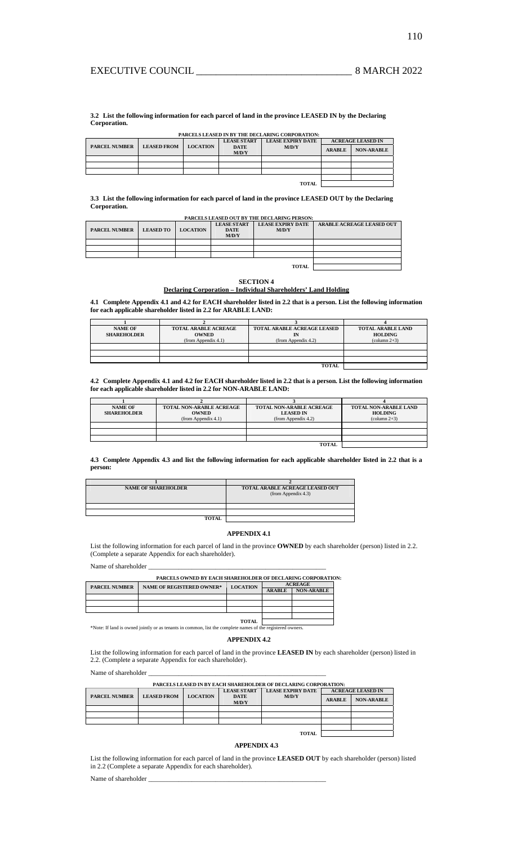**3.2 List the following information for each parcel of land in the province LEASED IN by the Declaring Corporation.**

|                      | PARCELS LEASED IN BY THE DECLARING CORPORATION: |                 |                      |                          |                          |                   |
|----------------------|-------------------------------------------------|-----------------|----------------------|--------------------------|--------------------------|-------------------|
|                      |                                                 |                 | <b>LEASE START</b>   | <b>LEASE EXPIRY DATE</b> | <b>ACREAGE LEASED IN</b> |                   |
| <b>PARCEL NUMBER</b> | <b>LEASED FROM</b>                              | <b>LOCATION</b> | <b>DATE</b><br>M/D/Y | M/D/Y                    | <b>ARABLE</b>            | <b>NON-ARABLE</b> |
|                      |                                                 |                 |                      |                          |                          |                   |
|                      |                                                 |                 |                      |                          |                          |                   |
|                      |                                                 |                 |                      |                          |                          |                   |
|                      |                                                 |                 |                      |                          |                          |                   |
|                      |                                                 |                 |                      | <b>TOTAL</b>             |                          |                   |

**3.3 List the following information for each parcel of land in the province LEASED OUT by the Declaring Corporation.** 

| PARCELS LEASED OUT BY THE DECLARING PERSON: |                  |                 |                                   |                                   |                                  |
|---------------------------------------------|------------------|-----------------|-----------------------------------|-----------------------------------|----------------------------------|
| <b>PARCEL NUMBER</b>                        | <b>LEASED TO</b> | <b>LOCATION</b> | <b>LEASE START</b><br><b>DATE</b> | <b>LEASE EXPIRY DATE</b><br>M/D/Y | <b>ARABLE ACREAGE LEASED OUT</b> |
|                                             |                  |                 | M/D/Y                             |                                   |                                  |
|                                             |                  |                 |                                   |                                   |                                  |
|                                             |                  |                 |                                   |                                   |                                  |
|                                             |                  |                 |                                   |                                   |                                  |
|                                             |                  |                 |                                   |                                   |                                  |
| <b>TOTAL</b>                                |                  |                 |                                   |                                   |                                  |

## **SECTION 4 Declaring Corporation – Individual Shareholders' Land Holding**

**4.1 Complete Appendix 4.1 and 4.2 for EACH shareholder listed in 2.2 that is a person. List the following information for each applicable shareholder listed in 2.2 for ARABLE LAND:** 

| <b>NAME OF</b><br><b>SHAREHOLDER</b> | <b>TOTAL ARABLE ACREAGE</b><br><b>OWNED</b><br>(from Appendix 4.1) | <b>TOTAL ARABLE ACREAGE LEASED</b><br>(from Appendix 4.2) | <b>TOTAL ARABLE LAND</b><br><b>HOLDING</b><br>$\text{(column } 2+3)$ |
|--------------------------------------|--------------------------------------------------------------------|-----------------------------------------------------------|----------------------------------------------------------------------|
|                                      |                                                                    |                                                           |                                                                      |
|                                      |                                                                    |                                                           |                                                                      |
|                                      |                                                                    |                                                           |                                                                      |
|                                      |                                                                    | TOTAL                                                     |                                                                      |

## **4.2 Complete Appendix 4.1 and 4.2 for EACH shareholder listed in 2.2 that is a person. List the following information for each applicable shareholder listed in 2.2 for NON-ARABLE LAND:**

| <b>NAME OF</b>     | <b>TOTAL NON-ARABLE ACREAGE</b> | <b>TOTAL NON-ARABLE ACREAGE</b> | TOTAL NON-ARABLE LAND  |
|--------------------|---------------------------------|---------------------------------|------------------------|
| <b>SHAREHOLDER</b> | <b>OWNED</b>                    | <b>LEASED IN</b>                | <b>HOLDING</b>         |
|                    | (from Appendix 4.1)             | (from Appendix 4.2)             | $\text{(column } 2+3)$ |
|                    |                                 |                                 |                        |
|                    |                                 |                                 |                        |
|                    |                                 |                                 |                        |
|                    |                                 | <b>TOTAL</b>                    |                        |
|                    |                                 |                                 |                        |

## **4.3 Complete Appendix 4.3 and list the following information for each applicable shareholder listed in 2.2 that is a person:**

| <b>NAME OF SHAREHOLDER</b> | TOTAL ARABLE ACREAGE LEASED OUT<br>(from Appendix 4.3) |
|----------------------------|--------------------------------------------------------|
|                            |                                                        |
|                            |                                                        |
| <b>TOTAL</b>               |                                                        |

## **APPENDIX 4.1**

List the following information for each parcel of land in the province **OWNED** by each shareholder (person) listed in 2.2. (Complete a separate Appendix for each shareholder).

Name of shareholder \_

| <b>PARCELS OWNED BY EACH SHAREHOLDER OF DECLARING CORPORATION:</b> |                                  |                 |                |                   |  |  |
|--------------------------------------------------------------------|----------------------------------|-----------------|----------------|-------------------|--|--|
| <b>PARCEL NUMBER</b>                                               | <b>NAME OF REGISTERED OWNER*</b> | <b>LOCATION</b> | <b>ACREAGE</b> |                   |  |  |
|                                                                    |                                  |                 | <b>ARABLE</b>  | <b>NON-ARABLE</b> |  |  |
|                                                                    |                                  |                 |                |                   |  |  |
|                                                                    |                                  |                 |                |                   |  |  |
|                                                                    |                                  |                 |                |                   |  |  |
|                                                                    |                                  |                 |                |                   |  |  |

**TOTAL**  \*Note: If land is owned jointly or as tenants in common, list the complete names of the registered owners.

## **APPENDIX 4.2**

List the following information for each parcel of land in the province **LEASED IN** by each shareholder (person) listed in 2.2. (Complete a separate Appendix for each shareholder).

┑

Name of shareholder  $\__$ 

|                      | <b>PARCELS LEASED IN BY EACH SHAREHOLDER OF DECLARING CORPORATION:</b> |                 |                      |                          |                          |                   |
|----------------------|------------------------------------------------------------------------|-----------------|----------------------|--------------------------|--------------------------|-------------------|
|                      |                                                                        |                 | <b>LEASE START</b>   | <b>LEASE EXPIRY DATE</b> | <b>ACREAGE LEASED IN</b> |                   |
| <b>PARCEL NUMBER</b> | <b>LEASED FROM</b>                                                     | <b>LOCATION</b> | <b>DATE</b><br>M/D/Y | M/D/Y                    | <b>ARABLE</b>            | <b>NON-ARABLE</b> |
|                      |                                                                        |                 |                      |                          |                          |                   |
|                      |                                                                        |                 |                      |                          |                          |                   |
|                      |                                                                        |                 |                      |                          |                          |                   |
|                      |                                                                        |                 |                      |                          |                          |                   |
|                      |                                                                        |                 |                      | <b>TOTAL</b>             |                          |                   |

## **APPENDIX 4.3**

List the following information for each parcel of land in the province **LEASED OUT** by each shareholder (person) listed in 2.2 (Complete a separate Appendix for each shareholder).

Name of shareholder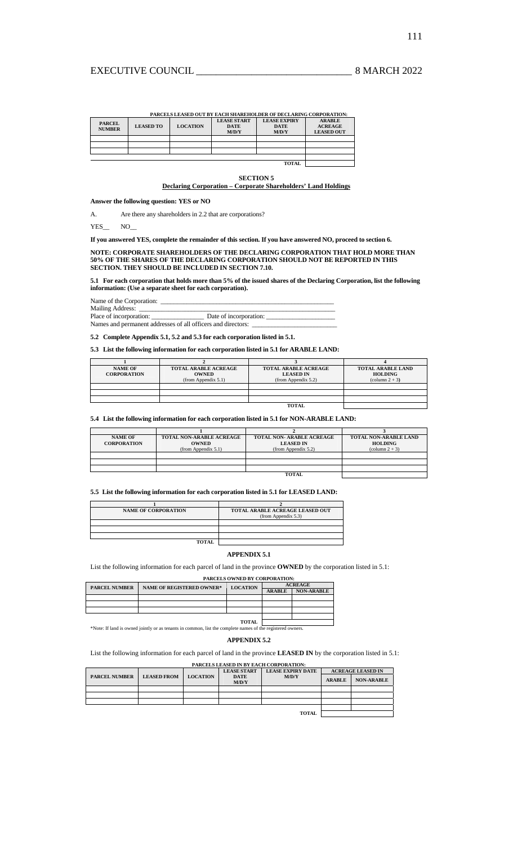|                                | PARCELS LEASED OUT BY EACH SHAREHOLDER OF DECLARING CORPORATION: |                 |                                            |                                             |                                                      |  |
|--------------------------------|------------------------------------------------------------------|-----------------|--------------------------------------------|---------------------------------------------|------------------------------------------------------|--|
| <b>PARCEL</b><br><b>NUMBER</b> | <b>LEASED TO</b>                                                 | <b>LOCATION</b> | <b>LEASE START</b><br><b>DATE</b><br>M/D/Y | <b>LEASE EXPIRY</b><br><b>DATE</b><br>M/D/Y | <b>ARABLE</b><br><b>ACREAGE</b><br><b>LEASED OUT</b> |  |
|                                |                                                                  |                 |                                            |                                             |                                                      |  |
|                                |                                                                  |                 |                                            |                                             |                                                      |  |
|                                |                                                                  |                 |                                            |                                             |                                                      |  |
|                                |                                                                  |                 |                                            |                                             |                                                      |  |
| <b>TOTAL</b>                   |                                                                  |                 |                                            |                                             |                                                      |  |

#### **SECTION 5**

# **Declaring Corporation – Corporate Shareholders' Land Holdings**

**Answer the following question: YES or NO** 

A. Are there any shareholders in 2.2 that are corporations?

YES\_\_ NO\_

**If you answered YES, complete the remainder of this section. If you have answered NO, proceed to section 6.** 

**NOTE: CORPORATE SHAREHOLDERS OF THE DECLARING CORPORATION THAT HOLD MORE THAN 50% OF THE SHARES OF THE DECLARING CORPORATION SHOULD NOT BE REPORTED IN THIS SECTION. THEY SHOULD BE INCLUDED IN SECTION 7.10.** 

**5.1 For each corporation that holds more than 5% of the issued shares of the Declaring Corporation, list the following information: (Use a separate sheet for each corporation).** 

| Name of the Corporation: |  |
|--------------------------|--|
|                          |  |

Mailing Address:

Place of incorporation: \_\_\_\_\_\_\_\_\_\_\_\_\_\_\_\_ Date of incorporation: \_\_\_\_\_\_\_\_\_\_\_\_\_\_\_\_\_\_\_\_\_ Names and permanent addresses of all officers and directors:

**5.2 Complete Appendix 5.1, 5.2 and 5.3 for each corporation listed in 5.1.** 

## **5.3 List the following information for each corporation listed in 5.1 for ARABLE LAND:**

| <b>NAME OF</b>     | <b>TOTAL ARABLE ACREAGE</b> | <b>TOTAL ARABLE ACREAGE</b> | <b>TOTAL ARABLE LAND</b> |
|--------------------|-----------------------------|-----------------------------|--------------------------|
| <b>CORPORATION</b> | <b>OWNED</b>                | <b>LEASED IN</b>            | HOLDING                  |
|                    | (from Appendix 5.1)         | (from Appendix $5.2$ )      | $\text{(column } 2 + 3)$ |
|                    |                             |                             |                          |
|                    |                             |                             |                          |
|                    |                             |                             |                          |
|                    |                             | <b>TOTAL</b>                |                          |

## **5.4 List the following information for each corporation listed in 5.1 for NON-ARABLE LAND:**

| <b>NAME OF</b><br><b>CORPORATION</b> | <b>TOTAL NON-ARABLE ACREAGE</b><br><b>OWNED</b><br>(from Appendix 5.1) | <b>TOTAL NON- ARABLE ACREAGE</b><br><b>LEASED IN</b><br>(from Appendix 5.2) | <b>TOTAL NON-ARABLE LAND</b><br><b>HOLDING</b><br>$\text{(column } 2 + 3)$ |
|--------------------------------------|------------------------------------------------------------------------|-----------------------------------------------------------------------------|----------------------------------------------------------------------------|
|                                      |                                                                        |                                                                             |                                                                            |
|                                      |                                                                        |                                                                             |                                                                            |
|                                      |                                                                        |                                                                             |                                                                            |
|                                      |                                                                        |                                                                             |                                                                            |
|                                      |                                                                        | <b>TOTAL</b>                                                                |                                                                            |

# **5.5 List the following information for each corporation listed in 5.1 for LEASED LAND:**

| <b>NAME OF CORPORATION</b> | TOTAL ARABLE ACREAGE LEASED OUT<br>(from Appendix 5.3) |
|----------------------------|--------------------------------------------------------|
|                            |                                                        |
|                            |                                                        |
|                            |                                                        |
| <b>TOTAL</b>               |                                                        |

## **APPENDIX 5.1**

List the following information for each parcel of land in the province **OWNED** by the corporation listed in 5.1:

## **PARCELS OWNED BY CORPORATION:**

| <b>PARCEL NUMBER</b> | <b>NAME OF REGISTERED OWNER*</b> | <b>LOCATION</b> |               | <b>ACREAGE</b>    |  |
|----------------------|----------------------------------|-----------------|---------------|-------------------|--|
|                      |                                  |                 | <b>ARABLE</b> | <b>NON-ARABLE</b> |  |
|                      |                                  |                 |               |                   |  |
|                      |                                  |                 |               |                   |  |
|                      |                                  |                 |               |                   |  |
|                      |                                  |                 |               |                   |  |
|                      |                                  | <b>TOTAL</b>    |               |                   |  |

\*Note: If land is owned jointly or as tenants in common, list the complete names of the registered owners.

## **APPENDIX 5.2**

List the following information for each parcel of land in the province **LEASED IN** by the corporation listed in 5.1:

## **PARCELS LEASED IN BY EACH CORPORATION: LEASE START DATE LEASE EXPIRY DATE ACREAGE LEASED IN PARCEL NUMBER LEASED FROM LOCATION M/D/Y ARABLE** NON-ARABLE **TOTAL**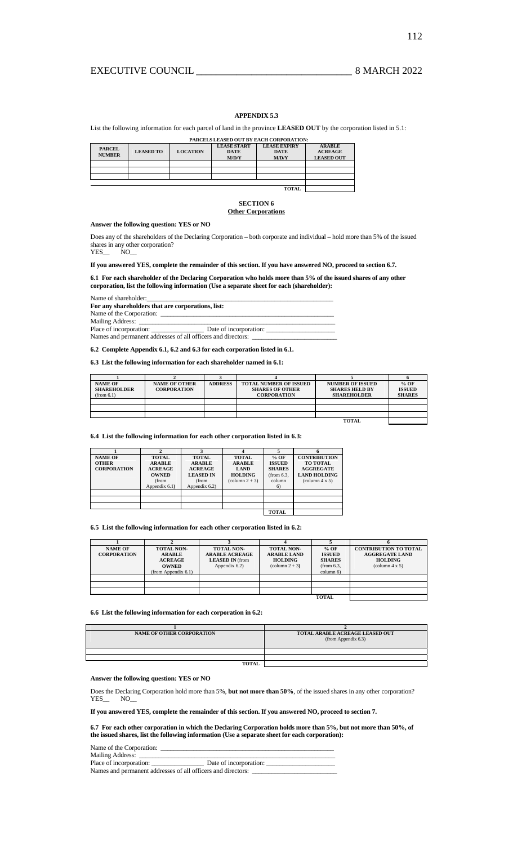# EXECUTIVE COUNCIL 2022

## **APPENDIX 5.3**

## List the following information for each parcel of land in the province **LEASED OUT** by the corporation listed in 5.1:

|                                | PARCELS LEASED OUT BY EACH CORPORATION: |                 |                                            |                                             |                                                      |  |  |
|--------------------------------|-----------------------------------------|-----------------|--------------------------------------------|---------------------------------------------|------------------------------------------------------|--|--|
| <b>PARCEL</b><br><b>NUMBER</b> | <b>LEASED TO</b>                        | <b>LOCATION</b> | <b>LEASE START</b><br><b>DATE</b><br>M/D/Y | <b>LEASE EXPIRY</b><br><b>DATE</b><br>M/D/Y | <b>ARABLE</b><br><b>ACREAGE</b><br><b>LEASED OUT</b> |  |  |
|                                |                                         |                 |                                            |                                             |                                                      |  |  |
|                                |                                         |                 |                                            |                                             |                                                      |  |  |
|                                |                                         |                 |                                            |                                             |                                                      |  |  |
|                                |                                         |                 |                                            |                                             |                                                      |  |  |
|                                |                                         |                 |                                            | <b>TOTAL</b>                                |                                                      |  |  |

## **SECTION 6 Other Corporations**

## **Answer the following question: YES or NO**

Does any of the shareholders of the Declaring Corporation – both corporate and individual – hold more than 5% of the issued shares in any other corporation?

YES\_\_ NO\_\_

**If you answered YES, complete the remainder of this section. If you have answered NO, proceed to section 6.7.** 

**6.1 For each shareholder of the Declaring Corporation who holds more than 5% of the issued shares of any other corporation, list the following information (Use a separate sheet for each (shareholder):** 

Name of shareholder: **For any shareholders that are corporations, list:**  Name of the Corporation: Mailing Address: \_\_\_\_\_\_\_\_\_\_\_\_\_\_\_\_\_\_\_\_\_\_\_\_\_\_\_\_\_\_\_\_\_\_\_\_\_\_\_\_\_\_\_\_\_\_\_\_\_\_\_\_\_\_\_\_\_\_\_\_  $\_$  Date of incorporation:  $\_$ Names and permanent addresses of all officers and directors:

# **6.2 Complete Appendix 6.1, 6.2 and 6.3 for each corporation listed in 6.1.**

## **6.3 List the following information for each shareholder named in 6.1:**

| <b>NAME OF</b>     | <b>NAME OF OTHER</b> | <b>ADDRESS</b> | <b>TOTAL NUMBER OF ISSUED</b> | <b>NUMBER OF ISSUED</b> | $%$ OF        |
|--------------------|----------------------|----------------|-------------------------------|-------------------------|---------------|
| <b>SHAREHOLDER</b> | <b>CORPORATION</b>   |                | <b>SHARES OF OTHER</b>        | <b>SHARES HELD BY</b>   | <b>ISSUED</b> |
| (from 6.1)         |                      |                | <b>CORPORATION</b>            | <b>SHAREHOLDER</b>      | <b>SHARES</b> |
|                    |                      |                |                               |                         |               |
|                    |                      |                |                               |                         |               |
|                    |                      |                |                               |                         |               |
|                    |                      |                |                               | <b>TOTAL</b>            |               |

**6.4 List the following information for each other corporation listed in 6.3:** 

| <b>NAME OF</b><br><b>OTHER</b><br><b>CORPORATION</b> | <b>TOTAL</b><br><b>ARABLE</b><br><b>ACREAGE</b><br><b>OWNED</b><br>(from<br>Appendix 6.1) | <b>TOTAL</b><br><b>ARABLE</b><br><b>ACREAGE</b><br><b>LEASED IN</b><br>(from<br>Appendix 6.2) | <b>TOTAL</b><br><b>ARABLE</b><br><b>LAND</b><br><b>HOLDING</b><br>$\text{(column } 2 + 3\text{)}$ | $%$ OF<br><b>ISSUED</b><br><b>SHARES</b><br>(from 6.3,<br>column<br>6) | <b>CONTRIBUTION</b><br><b>TO TOTAL</b><br><b>AGGREGATE</b><br><b>LAND HOLDING</b><br>$\text{(column 4 x 5)}$ |
|------------------------------------------------------|-------------------------------------------------------------------------------------------|-----------------------------------------------------------------------------------------------|---------------------------------------------------------------------------------------------------|------------------------------------------------------------------------|--------------------------------------------------------------------------------------------------------------|
|                                                      |                                                                                           |                                                                                               |                                                                                                   | <b>TOTAL</b>                                                           |                                                                                                              |

**6.5 List the following information for each other corporation listed in 6.2:** 

| <b>NAME OF</b><br><b>CORPORATION</b> | <b>TOTAL NON-</b><br><b>ARABLE</b><br><b>ACREAGE</b><br><b>OWNED</b><br>(from Appendix 6.1) | <b>TOTAL NON-</b><br><b>ARABLE ACREAGE</b><br><b>LEASED IN</b> (from<br>Appendix 6.2) | <b>TOTAL NON-</b><br><b>ARABLE LAND</b><br><b>HOLDING</b><br>$\text{(column } 2 + 3\text{)}$ | $%$ OF<br><b>ISSUED</b><br><b>SHARES</b><br>(from 6.3,<br>column 6) | <b>CONTRIBUTION TO TOTAL</b><br><b>AGGREGATE LAND</b><br><b>HOLDING</b><br>$\text{(column 4 x 5)}$ |
|--------------------------------------|---------------------------------------------------------------------------------------------|---------------------------------------------------------------------------------------|----------------------------------------------------------------------------------------------|---------------------------------------------------------------------|----------------------------------------------------------------------------------------------------|
|                                      |                                                                                             |                                                                                       |                                                                                              |                                                                     |                                                                                                    |
|                                      |                                                                                             |                                                                                       |                                                                                              |                                                                     |                                                                                                    |
|                                      |                                                                                             |                                                                                       |                                                                                              |                                                                     |                                                                                                    |
|                                      |                                                                                             |                                                                                       |                                                                                              | <b>TOTAL</b>                                                        |                                                                                                    |

## **6.6 List the following information for each corporation in 6.2:**

| <b>NAME OF OTHER CORPORATION</b> | TOTAL ARABLE ACREAGE LEASED OUT<br>(from Appendix 6.3) |
|----------------------------------|--------------------------------------------------------|
|                                  |                                                        |
|                                  |                                                        |
| <b>TOTAL</b>                     |                                                        |

## **Answer the following question: YES or NO**

Does the Declaring Corporation hold more than 5%, **but not more than 50%**, of the issued shares in any other corporation?  $YES$   $NO$ 

**If you answered YES, complete the remainder of this section. If you answered NO, proceed to section 7.** 

**6.7 For each other corporation in which the Declaring Corporation holds more than 5%, but not more than 50%, of the issued shares, list the following information (Use a separate sheet for each corporation):** 

Name of the Corporation:

| Mailing Address:                                             |                        |
|--------------------------------------------------------------|------------------------|
| Place of incorporation:                                      | Date of incorporation: |
| Names and permanent addresses of all officers and directors: |                        |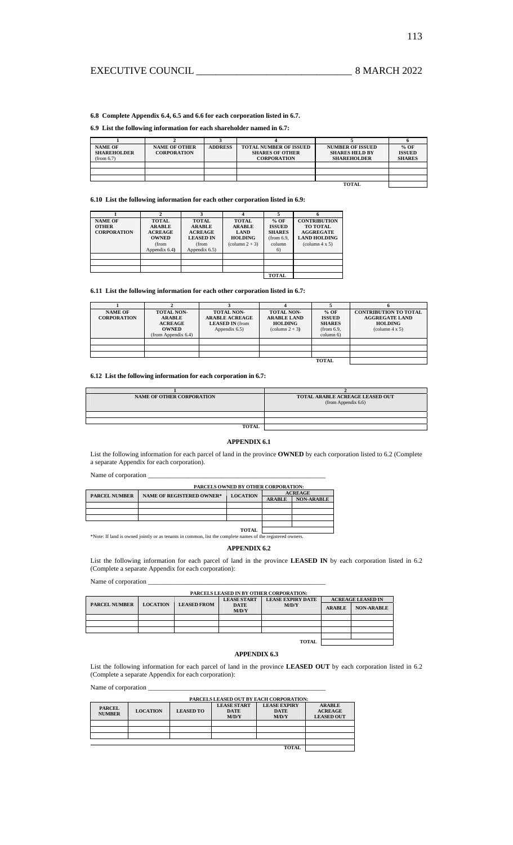# EXECUTIVE COUNCIL \_\_\_\_\_\_\_\_\_\_\_\_\_\_\_\_\_\_\_\_\_\_\_\_\_\_\_\_\_\_\_ 8 MARCH 2022

**6.8 Complete Appendix 6.4, 6.5 and 6.6 for each corporation listed in 6.7.** 

## **6.9 List the following information for each shareholder named in 6.7:**

| <b>NAME OF</b>     | <b>NAME OF OTHER</b> | <b>ADDRESS</b> | <b>TOTAL NUMBER OF ISSUED</b> | <b>NUMBER OF ISSUED</b> | $%$ OF        |  |
|--------------------|----------------------|----------------|-------------------------------|-------------------------|---------------|--|
| <b>SHAREHOLDER</b> | <b>CORPORATION</b>   |                | <b>SHARES OF OTHER</b>        | <b>SHARES HELD BY</b>   | <b>ISSUED</b> |  |
| (from 6.7)         |                      |                | <b>CORPORATION</b>            | <b>SHAREHOLDER</b>      | <b>SHARES</b> |  |
|                    |                      |                |                               |                         |               |  |
|                    |                      |                |                               |                         |               |  |
|                    |                      |                |                               |                         |               |  |
| TOTAL              |                      |                |                               |                         |               |  |

**6.10 List the following information for each other corporation listed in 6.9:** 

| <b>NAME OF</b><br><b>OTHER</b><br><b>CORPORATION</b> | <b>TOTAL</b><br><b>ARABLE</b><br><b>ACREAGE</b><br><b>OWNED</b><br>(from<br>Appendix 6.4) | <b>TOTAL</b><br><b>ARABLE</b><br><b>ACREAGE</b><br><b>LEASED IN</b><br>(from<br>Appendix 6.5) | <b>TOTAL</b><br><b>ARABLE</b><br><b>LAND</b><br><b>HOLDING</b><br>$\text{(column } 2 + 3)$ | $%$ OF<br><b>ISSUED</b><br><b>SHARES</b><br>(from 6.9,<br>column<br>6) | <b>CONTRIBUTION</b><br><b>TO TOTAL</b><br><b>AGGREGATE</b><br><b>LAND HOLDING</b><br>$\text{(column 4 x 5)}$ |
|------------------------------------------------------|-------------------------------------------------------------------------------------------|-----------------------------------------------------------------------------------------------|--------------------------------------------------------------------------------------------|------------------------------------------------------------------------|--------------------------------------------------------------------------------------------------------------|
|                                                      |                                                                                           |                                                                                               |                                                                                            |                                                                        |                                                                                                              |
|                                                      |                                                                                           |                                                                                               |                                                                                            | <b>TOTAL</b>                                                           |                                                                                                              |

**6.11 List the following information for each other corporation listed in 6.7:** 

| <b>NAME OF</b><br><b>CORPORATION</b> | <b>TOTAL NON-</b><br><b>ARABLE</b><br><b>ACREAGE</b><br><b>OWNED</b><br>(from Appendix $6.4$ ) | <b>TOTAL NON-</b><br><b>ARABLE ACREAGE</b><br><b>LEASED IN (from</b><br>Appendix 6.5) | <b>TOTAL NON-</b><br><b>ARABLE LAND</b><br><b>HOLDING</b><br>$\text{(column } 2 + 3\text{)}$ | $%$ OF<br><b>ISSUED</b><br><b>SHARES</b><br>(from 6.9,<br>column 6) | <b>CONTRIBUTION TO TOTAL</b><br><b>AGGREGATE LAND</b><br><b>HOLDING</b><br>$\text{(column 4 x 5)}$ |
|--------------------------------------|------------------------------------------------------------------------------------------------|---------------------------------------------------------------------------------------|----------------------------------------------------------------------------------------------|---------------------------------------------------------------------|----------------------------------------------------------------------------------------------------|
|                                      |                                                                                                |                                                                                       |                                                                                              |                                                                     |                                                                                                    |
|                                      |                                                                                                |                                                                                       |                                                                                              |                                                                     |                                                                                                    |
|                                      |                                                                                                |                                                                                       |                                                                                              |                                                                     |                                                                                                    |
|                                      |                                                                                                |                                                                                       |                                                                                              | <b>TOTAL</b>                                                        |                                                                                                    |

## **6.12 List the following information for each corporation in 6.7:**

| <b>NAME OF OTHER CORPORATION</b> | TOTAL ARABLE ACREAGE LEASED OUT<br>(from Appendix 6.6) |
|----------------------------------|--------------------------------------------------------|
|                                  |                                                        |
|                                  |                                                        |
| <b>TOTAL</b>                     |                                                        |

## **APPENDIX 6.1**

List the following information for each parcel of land in the province **OWNED** by each corporation listed to 6.2 (Complete a separate Appendix for each corporation).

Name of corporation  $\_\_$ 

|                                                                                                            | PARCELS OWNED BY OTHER CORPORATION: |                 |                |                   |  |  |  |
|------------------------------------------------------------------------------------------------------------|-------------------------------------|-----------------|----------------|-------------------|--|--|--|
| <b>PARCEL NUMBER</b>                                                                                       | <b>NAME OF REGISTERED OWNER*</b>    | <b>LOCATION</b> | <b>ACREAGE</b> |                   |  |  |  |
|                                                                                                            |                                     |                 | <b>ARABLE</b>  | <b>NON-ARABLE</b> |  |  |  |
|                                                                                                            |                                     |                 |                |                   |  |  |  |
|                                                                                                            |                                     |                 |                |                   |  |  |  |
|                                                                                                            |                                     |                 |                |                   |  |  |  |
|                                                                                                            |                                     |                 |                |                   |  |  |  |
| <b>TOTAL</b>                                                                                               |                                     |                 |                |                   |  |  |  |
| *Note: If land is owned jointly or as tenants in common, list the complete names of the registered owners. |                                     |                 |                |                   |  |  |  |

## **APPENDIX 6.2**

List the following information for each parcel of land in the province **LEASED IN** by each corporation listed in 6.2 (Complete a separate Appendix for each corporation):

Name of corporation  $\overline{\phantom{a}}$ 

## **PARCELS LEASED IN BY OTHER CORPORATION:**

|                      | PARCELS LEASED IN B1 OTHER CORPORATION: |                    |                      |                          |               |                          |
|----------------------|-----------------------------------------|--------------------|----------------------|--------------------------|---------------|--------------------------|
|                      |                                         |                    | <b>LEASE START</b>   | <b>LEASE EXPIRY DATE</b> |               | <b>ACREAGE LEASED IN</b> |
| <b>PARCEL NUMBER</b> | <b>LOCATION</b>                         | <b>LEASED FROM</b> | <b>DATE</b><br>M/D/Y | M/D/Y                    | <b>ARABLE</b> | <b>NON-ARABLE</b>        |
|                      |                                         |                    |                      |                          |               |                          |
|                      |                                         |                    |                      |                          |               |                          |
|                      |                                         |                    |                      |                          |               |                          |
|                      |                                         |                    |                      |                          |               |                          |
|                      |                                         |                    |                      | <b>TOTAL</b>             |               |                          |

# **APPENDIX 6.3**

List the following information for each parcel of land in the province **LEASED OUT** by each corporation listed in 6.2 (Complete a separate Appendix for each corporation):

Name of corporation \_

|                                | PARCELS LEASED OUT BY EACH CORPORATION: |                  |                                            |                                             |                                                      |  |  |
|--------------------------------|-----------------------------------------|------------------|--------------------------------------------|---------------------------------------------|------------------------------------------------------|--|--|
| <b>PARCEL</b><br><b>NUMBER</b> | <b>LOCATION</b>                         | <b>LEASED TO</b> | <b>LEASE START</b><br><b>DATE</b><br>M/D/Y | <b>LEASE EXPIRY</b><br><b>DATE</b><br>M/D/Y | <b>ARABLE</b><br><b>ACREAGE</b><br><b>LEASED OUT</b> |  |  |
|                                |                                         |                  |                                            |                                             |                                                      |  |  |
|                                |                                         |                  |                                            |                                             |                                                      |  |  |
|                                |                                         |                  |                                            |                                             |                                                      |  |  |
|                                |                                         |                  |                                            |                                             |                                                      |  |  |
|                                |                                         |                  |                                            |                                             |                                                      |  |  |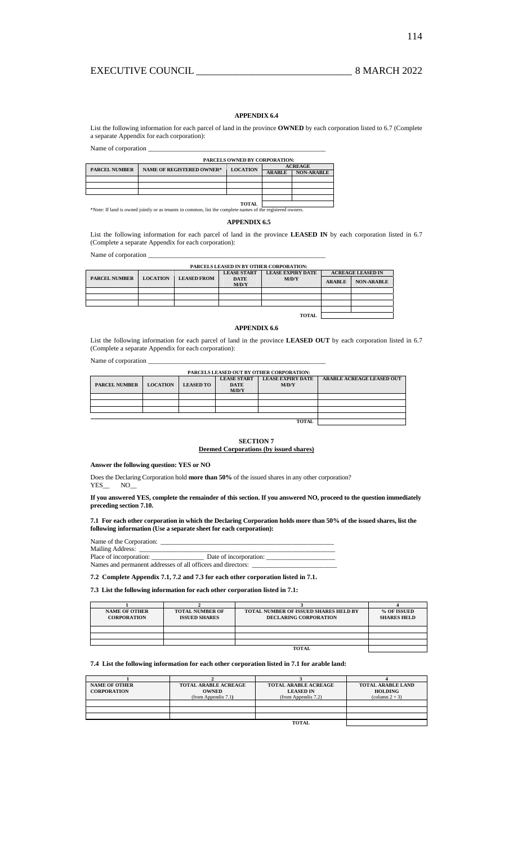# **APPENDIX 6.4**

List the following information for each parcel of land in the province **OWNED** by each corporation listed to 6.7 (Complete a separate Appendix for each corporation):

Name of corporation  $\overline{\phantom{a}}$ 

| PARCELS OWNED BY CORPORATION: |                                  |                 |                |                   |  |  |
|-------------------------------|----------------------------------|-----------------|----------------|-------------------|--|--|
| <b>PARCEL NUMBER</b>          | <b>NAME OF REGISTERED OWNER*</b> |                 | <b>ACREAGE</b> |                   |  |  |
|                               |                                  | <b>LOCATION</b> | <b>ARABLE</b>  | <b>NON-ARABLE</b> |  |  |
|                               |                                  |                 |                |                   |  |  |
|                               |                                  |                 |                |                   |  |  |
|                               |                                  |                 |                |                   |  |  |
|                               |                                  |                 |                |                   |  |  |
|                               |                                  | <b>TOTAL</b>    |                |                   |  |  |

\*Note: If land is owned jointly or as tenants in common, list the complete names of the registered owners.

## **APPENDIX 6.5**

List the following information for each parcel of land in the province **LEASED IN** by each corporation listed in 6.7 (Complete a separate Appendix for each corporation):

Name of corporation \_

| <b>PARCELS LEASED IN BY OTHER CORPORATION:</b> |                 |                    |                      |                          |               |                          |  |
|------------------------------------------------|-----------------|--------------------|----------------------|--------------------------|---------------|--------------------------|--|
|                                                |                 |                    | <b>LEASE START</b>   | <b>LEASE EXPIRY DATE</b> |               | <b>ACREAGE LEASED IN</b> |  |
| <b>PARCEL NUMBER</b>                           | <b>LOCATION</b> | <b>LEASED FROM</b> | <b>DATE</b><br>M/D/Y | M/D/Y                    | <b>ARABLE</b> | <b>NON-ARABLE</b>        |  |
|                                                |                 |                    |                      |                          |               |                          |  |
|                                                |                 |                    |                      |                          |               |                          |  |
|                                                |                 |                    |                      |                          |               |                          |  |
|                                                |                 |                    |                      |                          |               |                          |  |
|                                                |                 |                    |                      | <b>TOTAL</b>             |               |                          |  |

### **APPENDIX 6.6**

List the following information for each parcel of land in the province **LEASED OUT** by each corporation listed in 6.7 (Complete a separate Appendix for each corporation):

Name of corporation \_

| <b>PARCELS LEASED OUT BY OTHER CORPORATION:</b> |                 |                  |                    |                          |                                  |
|-------------------------------------------------|-----------------|------------------|--------------------|--------------------------|----------------------------------|
|                                                 |                 |                  | <b>LEASE START</b> | <b>LEASE EXPIRY DATE</b> | <b>ARABLE ACREAGE LEASED OUT</b> |
| <b>PARCEL NUMBER</b>                            | <b>LOCATION</b> | <b>LEASED TO</b> | <b>DATE</b>        | M/D/Y                    |                                  |
|                                                 |                 |                  | M/D/Y              |                          |                                  |
|                                                 |                 |                  |                    |                          |                                  |
|                                                 |                 |                  |                    |                          |                                  |
|                                                 |                 |                  |                    |                          |                                  |
|                                                 |                 |                  |                    |                          |                                  |
|                                                 |                 |                  |                    |                          |                                  |

# **SECTION 7**

# **Deemed Corporations (by issued shares)**

**Answer the following question: YES or NO** 

Does the Declaring Corporation hold **more than 50%** of the issued shares in any other corporation? YES\_\_ NO\_

## **If you answered YES, complete the remainder of this section. If you answered NO, proceed to the question immediately preceding section 7.10.**

**7.1 For each other corporation in which the Declaring Corporation holds more than 50% of the issued shares, list the following information (Use a separate sheet for each corporation):** 

Name of the Corporation: \_\_\_\_\_\_\_\_\_\_\_\_\_\_\_\_\_\_\_\_\_\_\_\_\_\_\_\_\_\_\_\_\_\_\_\_\_\_\_\_\_\_\_\_\_\_\_\_\_\_\_\_\_ Mailing Address: \_\_\_\_\_\_\_\_\_\_\_\_\_\_\_\_\_\_\_\_\_\_\_\_\_\_\_\_\_\_\_\_\_\_\_\_\_\_\_\_\_\_\_\_\_\_\_\_\_\_\_\_\_\_\_\_\_\_\_\_ Place of incorporation: \_\_\_\_\_\_\_\_\_\_\_\_\_\_\_\_ Date of incorporation: \_\_\_\_\_\_\_\_\_\_\_\_\_\_\_\_\_\_\_\_\_ Names and permanent addresses of all officers and directors:

# **7.2 Complete Appendix 7.1, 7.2 and 7.3 for each other corporation listed in 7.1.**

## **7.3 List the following information for each other corporation listed in 7.1:**

| <b>NAME OF OTHER</b><br><b>CORPORATION</b> | <b>TOTAL NUMBER OF</b><br><b>ISSUED SHARES</b> | <b>TOTAL NUMBER OF ISSUED SHARES HELD BY</b><br><b>DECLARING CORPORATION</b> | % OF ISSUED<br><b>SHARES HELD</b> |  |  |  |
|--------------------------------------------|------------------------------------------------|------------------------------------------------------------------------------|-----------------------------------|--|--|--|
|                                            |                                                |                                                                              |                                   |  |  |  |
|                                            |                                                |                                                                              |                                   |  |  |  |
|                                            |                                                |                                                                              |                                   |  |  |  |
| TOTAL                                      |                                                |                                                                              |                                   |  |  |  |

## **7.4 List the following information for each other corporation listed in 7.1 for arable land:**

| <b>NAME OF OTHER</b><br><b>CORPORATION</b> | <b>TOTAL ARABLE ACREAGE</b><br><b>OWNED</b><br>(from Appendix 7.1) | <b>TOTAL ARABLE ACREAGE</b><br><b>LEASED IN</b><br>(from Appendix 7.2) | <b>TOTAL ARABLE LAND</b><br><b>HOLDING</b><br>$\text{(column } 2 + 3)$ |
|--------------------------------------------|--------------------------------------------------------------------|------------------------------------------------------------------------|------------------------------------------------------------------------|
|                                            |                                                                    |                                                                        |                                                                        |
|                                            |                                                                    |                                                                        |                                                                        |
|                                            |                                                                    |                                                                        |                                                                        |
| <b>TOTAL</b>                               |                                                                    |                                                                        |                                                                        |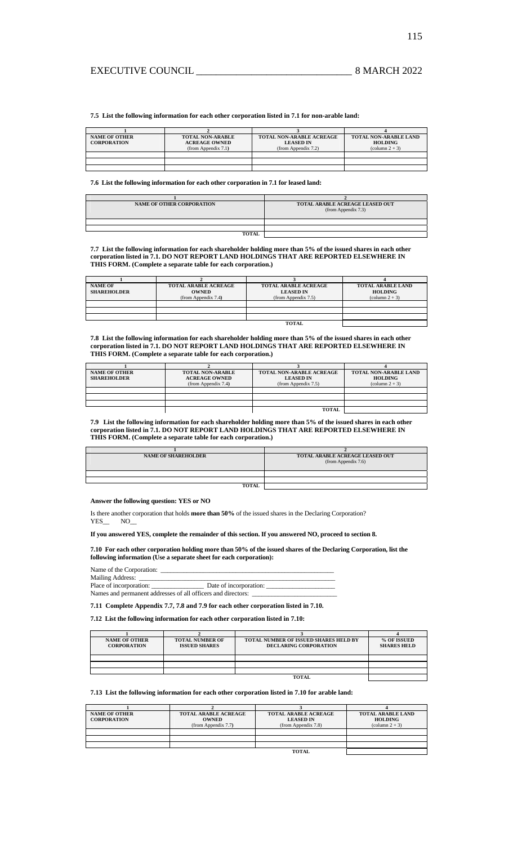**7.5 List the following information for each other corporation listed in 7.1 for non-arable land:** 

| <b>NAME OF OTHER</b> | <b>TOTAL NON-ARABLE</b>  | <b>TOTAL NON-ARABLE ACREAGE</b> | <b>TOTAL NON-ARABLE LAND</b> |
|----------------------|--------------------------|---------------------------------|------------------------------|
| <b>CORPORATION</b>   | <b>ACREAGE OWNED</b>     | <b>LEASED IN</b>                | <b>HOLDING</b>               |
|                      | $(from$ Appendix $7.1$ ) | $(from$ Appendix $7.2$ )        | $\text{(column } 2 + 3)$     |
|                      |                          |                                 |                              |
|                      |                          |                                 |                              |
|                      |                          |                                 |                              |

**7.6 List the following information for each other corporation in 7.1 for leased land:** 

| <b>NAME OF OTHER CORPORATION</b> | TOTAL ARABLE ACREAGE LEASED OUT<br>(from Appendix 7.3) |
|----------------------------------|--------------------------------------------------------|
|                                  |                                                        |
|                                  |                                                        |
| <b>TOTAL</b>                     |                                                        |

**7.7 List the following information for each shareholder holding more than 5% of the issued shares in each other corporation listed in 7.1. DO NOT REPORT LAND HOLDINGS THAT ARE REPORTED ELSEWHERE IN THIS FORM. (Complete a separate table for each corporation.)** 

| <b>NAME OF</b>     | <b>TOTAL ARABLE ACREAGE</b> | <b>TOTAL ARABLE ACREAGE</b> | <b>TOTAL ARABLE LAND</b> |
|--------------------|-----------------------------|-----------------------------|--------------------------|
| <b>SHAREHOLDER</b> | <b>OWNED</b>                | <b>LEASED IN</b>            | <b>HOLDING</b>           |
|                    | (from Appendix 7.4)         | (from Appendix $7.5$ )      | $\text{(column } 2 + 3)$ |
|                    |                             |                             |                          |
|                    |                             |                             |                          |
|                    |                             |                             |                          |
|                    |                             | <b>TOTAL</b>                |                          |

**7.8 List the following information for each shareholder holding more than 5% of the issued shares in each other corporation listed in 7.1. DO NOT REPORT LAND HOLDINGS THAT ARE REPORTED ELSEWHERE IN THIS FORM. (Complete a separate table for each corporation.)**  

| <b>NAME OF OTHER</b><br><b>SHAREHOLDER</b> | <b>TOTAL NON-ARABLE</b><br><b>ACREAGE OWNED</b><br>(from Appendix 7.4) | <b>TOTAL NON-ARABLE ACREAGE</b><br><b>LEASED IN</b><br>(from Appendix 7.5) | <b>TOTAL NON-ARABLE LAND</b><br><b>HOLDING</b><br>$\text{(column } 2 + 3)$ |
|--------------------------------------------|------------------------------------------------------------------------|----------------------------------------------------------------------------|----------------------------------------------------------------------------|
|                                            |                                                                        |                                                                            |                                                                            |
|                                            |                                                                        |                                                                            |                                                                            |
|                                            |                                                                        |                                                                            |                                                                            |
|                                            |                                                                        | TOTAL                                                                      |                                                                            |

**7.9 List the following information for each shareholder holding more than 5% of the issued shares in each other corporation listed in 7.1. DO NOT REPORT LAND HOLDINGS THAT ARE REPORTED ELSEWHERE IN THIS FORM. (Complete a separate table for each corporation.)** 

| <b>NAME OF SHAREHOLDER</b> | TOTAL ARABLE ACREAGE LEASED OUT<br>(from Appendix 7.6) |
|----------------------------|--------------------------------------------------------|
|                            |                                                        |
|                            |                                                        |
| <b>TOTAL</b>               |                                                        |

**Answer the following question: YES or NO** 

Is there another corporation that holds **more than 50%** of the issued shares in the Declaring Corporation? YES\_\_ NO\_

**If you answered YES, complete the remainder of this section. If you answered NO, proceed to section 8.** 

## **7.10 For each other corporation holding more than 50% of the issued shares of the Declaring Corporation, list the following information (Use a separate sheet for each corporation):**

Name of the Corporation:

| Mailing Address:                                             |                        |
|--------------------------------------------------------------|------------------------|
| Place of incorporation:                                      | Date of incorporation: |
| Names and permanent addresses of all officers and directors: |                        |

### **7.11 Complete Appendix 7.7, 7.8 and 7.9 for each other corporation listed in 7.10.**

**7.12 List the following information for each other corporation listed in 7.10:** 

| <b>NAME OF OTHER</b> | <b>TOTAL NUMBER OF</b> | <b>TOTAL NUMBER OF ISSUED SHARES HELD BY</b> | % OF ISSUED        |
|----------------------|------------------------|----------------------------------------------|--------------------|
| <b>CORPORATION</b>   | <b>ISSUED SHARES</b>   | <b>DECLARING CORPORATION</b>                 | <b>SHARES HELD</b> |
|                      |                        |                                              |                    |
|                      |                        |                                              |                    |
|                      |                        |                                              |                    |
|                      |                        |                                              |                    |
| TOTAL                |                        |                                              |                    |

# **7.13 List the following information for each other corporation listed in 7.10 for arable land:**

| <b>NAME OF OTHER</b><br><b>CORPORATION</b> | <b>TOTAL ARABLE ACREAGE</b><br><b>OWNED</b><br>(from Appendix 7.7) | <b>TOTAL ARABLE ACREAGE</b><br><b>LEASED IN</b><br>(from Appendix 7.8) | <b>TOTAL ARABLE LAND</b><br><b>HOLDING</b><br>$\text{(column } 2 + 3)$ |
|--------------------------------------------|--------------------------------------------------------------------|------------------------------------------------------------------------|------------------------------------------------------------------------|
|                                            |                                                                    |                                                                        |                                                                        |
|                                            |                                                                    |                                                                        |                                                                        |
|                                            |                                                                    |                                                                        |                                                                        |
|                                            |                                                                    | <b>TOTAL</b>                                                           |                                                                        |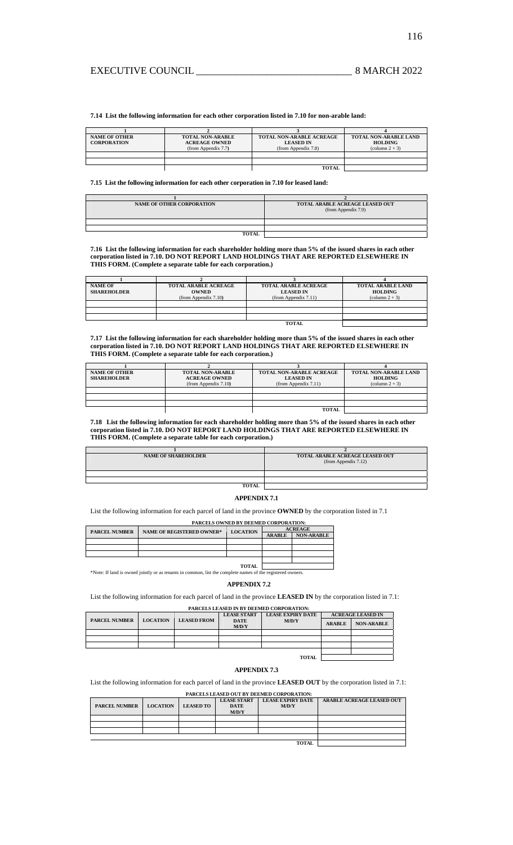**7.14 List the following information for each other corporation listed in 7.10 for non-arable land:** 

| <b>NAME OF OTHER</b><br><b>CORPORATION</b> | <b>TOTAL NON-ARABLE</b><br><b>ACREAGE OWNED</b> | <b>TOTAL NON-ARABLE ACREAGE</b><br><b>LEASED IN</b> | <b>TOTAL NON-ARABLE LAND</b><br><b>HOLDING</b> |
|--------------------------------------------|-------------------------------------------------|-----------------------------------------------------|------------------------------------------------|
|                                            | (from Appendix 7.7)                             | (from Appendix 7.8)                                 | $\text{(column } 2 + 3)$                       |
|                                            |                                                 |                                                     |                                                |
|                                            |                                                 |                                                     |                                                |
|                                            |                                                 | <b>TOTAL</b>                                        |                                                |

**7.15 List the following information for each other corporation in 7.10 for leased land:** 

| <b>NAME OF OTHER CORPORATION</b> | TOTAL ARABLE ACREAGE LEASED OUT |
|----------------------------------|---------------------------------|
|                                  | (from Appendix 7.9)             |
|                                  |                                 |
|                                  |                                 |
|                                  |                                 |
| <b>TOTAL</b>                     |                                 |

**7.16 List the following information for each shareholder holding more than 5% of the issued shares in each other corporation listed in 7.10. DO NOT REPORT LAND HOLDINGS THAT ARE REPORTED ELSEWHERE IN THIS FORM. (Complete a separate table for each corporation.)** 

| <b>NAME OF</b>     | <b>TOTAL ARABLE ACREAGE</b> | <b>TOTAL ARABLE ACREAGE</b> | <b>TOTAL ARABLE LAND</b> |
|--------------------|-----------------------------|-----------------------------|--------------------------|
| <b>SHAREHOLDER</b> | <b>OWNED</b>                | <b>LEASED IN</b>            | <b>HOLDING</b>           |
|                    | (from Appendix 7.10)        | (from Appendix 7.11)        | $\text{(column } 2 + 3)$ |
|                    |                             |                             |                          |
|                    |                             |                             |                          |
|                    |                             |                             |                          |
|                    |                             | <b>TOTAL</b>                |                          |

**7.17 List the following information for each shareholder holding more than 5% of the issued shares in each other corporation listed in 7.10. DO NOT REPORT LAND HOLDINGS THAT ARE REPORTED ELSEWHERE IN THIS FORM. (Complete a separate table for each corporation.)**  

| <b>NAME OF OTHER</b><br><b>SHAREHOLDER</b> | <b>TOTAL NON-ARABLE</b><br><b>ACREAGE OWNED</b><br>(from Appendix 7.10) | <b>TOTAL NON-ARABLE ACREAGE</b><br><b>LEASED IN</b><br>(from Appendix 7.11) | <b>TOTAL NON-ARABLE LAND</b><br><b>HOLDING</b><br>$\text{(column } 2 + 3)$ |  |
|--------------------------------------------|-------------------------------------------------------------------------|-----------------------------------------------------------------------------|----------------------------------------------------------------------------|--|
|                                            |                                                                         |                                                                             |                                                                            |  |
|                                            |                                                                         |                                                                             |                                                                            |  |
|                                            |                                                                         |                                                                             |                                                                            |  |
|                                            |                                                                         | TOTAL                                                                       |                                                                            |  |

**7.18 List the following information for each shareholder holding more than 5% of the issued shares in each other corporation listed in 7.10. DO NOT REPORT LAND HOLDINGS THAT ARE REPORTED ELSEWHERE IN THIS FORM. (Complete a separate table for each corporation.)** 

| <b>NAME OF SHAREHOLDER</b> | TOTAL ARABLE ACREAGE LEASED OUT<br>(from Appendix 7.12) |
|----------------------------|---------------------------------------------------------|
|                            |                                                         |
|                            |                                                         |
| TOTAI                      |                                                         |

## **APPENDIX 7.1**

List the following information for each parcel of land in the province **OWNED** by the corporation listed in 7.1

|                      | <b>PARCELS OWNED BY DEEMED CORPORATION:</b> |                 |                |                   |  |  |  |  |
|----------------------|---------------------------------------------|-----------------|----------------|-------------------|--|--|--|--|
| <b>PARCEL NUMBER</b> | <b>NAME OF REGISTERED OWNER*</b>            | <b>LOCATION</b> | <b>ACREAGE</b> |                   |  |  |  |  |
|                      |                                             |                 | <b>ARABLE</b>  | <b>NON-ARABLE</b> |  |  |  |  |
|                      |                                             |                 |                |                   |  |  |  |  |
|                      |                                             |                 |                |                   |  |  |  |  |
|                      |                                             |                 |                |                   |  |  |  |  |
|                      |                                             |                 |                |                   |  |  |  |  |
|                      |                                             | ТОТАІ           |                |                   |  |  |  |  |

**TOTAL**  \*Note: If land is owned jointly or as tenants in common, list the complete names of the registered owners.

## **APPENDIX 7.2**

List the following information for each parcel of land in the province **LEASED IN** by the corporation listed in 7.1: **PARCELS LEASED IN BY DEEMED CORPORATION:** 

| TARCELS LEASED IN BT DEEMED CONTONATION. |                 |                    |                             |                          |               |                          |  |  |
|------------------------------------------|-----------------|--------------------|-----------------------------|--------------------------|---------------|--------------------------|--|--|
|                                          |                 |                    | <b>LEASE START</b>          | <b>LEASE EXPIRY DATE</b> |               | <b>ACREAGE LEASED IN</b> |  |  |
| <b>PARCEL NUMBER</b>                     | <b>LOCATION</b> | <b>LEASED FROM</b> | <b>DATE</b><br><b>M/D/Y</b> | M/D/Y                    | <b>ARABLE</b> | <b>NON-ARABLE</b>        |  |  |
|                                          |                 |                    |                             |                          |               |                          |  |  |
|                                          |                 |                    |                             |                          |               |                          |  |  |
|                                          |                 |                    |                             |                          |               |                          |  |  |

#### **APPENDIX 7.3**

List the following information for each parcel of land in the province **LEASED OUT** by the corporation listed in 7.1:

| PARCELS LEASED OUT BY DEEMED CORPORATION: |                 |                  |                                   |                                   |                                  |  |  |
|-------------------------------------------|-----------------|------------------|-----------------------------------|-----------------------------------|----------------------------------|--|--|
| <b>PARCEL NUMBER</b>                      | <b>LOCATION</b> | <b>LEASED TO</b> | <b>LEASE START</b><br><b>DATE</b> | <b>LEASE EXPIRY DATE</b><br>M/D/Y | <b>ARABLE ACREAGE LEASED OUT</b> |  |  |
|                                           |                 |                  | M/D/Y                             |                                   |                                  |  |  |
|                                           |                 |                  |                                   |                                   |                                  |  |  |
|                                           |                 |                  |                                   |                                   |                                  |  |  |
|                                           |                 |                  |                                   |                                   |                                  |  |  |
|                                           |                 |                  |                                   |                                   |                                  |  |  |
|                                           |                 |                  |                                   |                                   |                                  |  |  |

**TOTAL**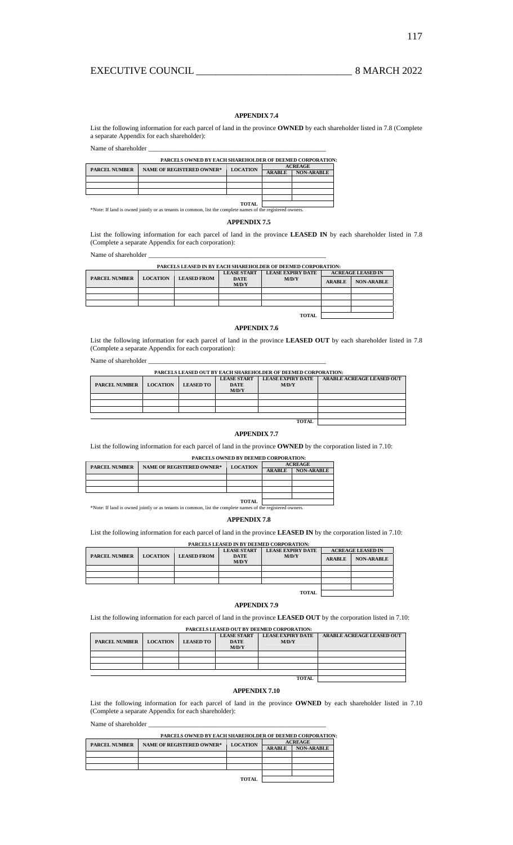# **APPENDIX 7.4**

List the following information for each parcel of land in the province **OWNED** by each shareholder listed in 7.8 (Complete a separate Appendix for each shareholder):

Name of shareholder  $\__$ 

|  | <b>PARCELS OWNED BY EACH SHAREHOLDER OF DEEMED CORPORATION:</b>             |               |                   |  |  |
|--|-----------------------------------------------------------------------------|---------------|-------------------|--|--|
|  | <b>NAME OF REGISTERED OWNER*</b><br><b>LOCATION</b><br><b>PARCEL NUMBER</b> |               | <b>ACREAGE</b>    |  |  |
|  |                                                                             | <b>ARABLE</b> | <b>NON-ARABLE</b> |  |  |
|  |                                                                             |               |                   |  |  |
|  |                                                                             |               |                   |  |  |
|  |                                                                             |               |                   |  |  |
|  |                                                                             |               |                   |  |  |
|  |                                                                             | <b>TOTAL</b>  |                   |  |  |

**TOTAL**  \*Note: If land is owned jointly or as tenants in common, list the complete names of the registered owners.

## **APPENDIX 7.5**

List the following information for each parcel of land in the province **LEASED IN** by each shareholder listed in 7.8 (Complete a separate Appendix for each corporation):

Name of shareholder \_

| PARCELS LEASED IN BY EACH SHAREHOLDER OF DEEMED CORPORATION: |                 |                    |                      |                          |                          |                   |  |  |
|--------------------------------------------------------------|-----------------|--------------------|----------------------|--------------------------|--------------------------|-------------------|--|--|
|                                                              |                 |                    | <b>LEASE START</b>   | <b>LEASE EXPIRY DATE</b> | <b>ACREAGE LEASED IN</b> |                   |  |  |
| <b>PARCEL NUMBER</b>                                         | <b>LOCATION</b> | <b>LEASED FROM</b> | <b>DATE</b><br>M/D/Y | M/D/Y                    | <b>ARABLE</b>            | <b>NON-ARABLE</b> |  |  |
|                                                              |                 |                    |                      |                          |                          |                   |  |  |
|                                                              |                 |                    |                      |                          |                          |                   |  |  |
|                                                              |                 |                    |                      |                          |                          |                   |  |  |
|                                                              |                 |                    |                      |                          |                          |                   |  |  |
| <b>TOTAL</b>                                                 |                 |                    |                      |                          |                          |                   |  |  |

### **APPENDIX 7.6**

List the following information for each parcel of land in the province **LEASED OUT** by each shareholder listed in 7.8 (Complete a separate Appendix for each corporation):

Name of shareholder \_\_\_\_\_\_\_\_\_\_\_\_\_\_\_\_\_\_\_\_\_\_\_\_\_\_\_\_\_\_\_\_\_\_\_\_\_\_\_\_\_\_\_\_\_\_\_\_\_\_\_\_\_

| <b>PARCELS LEASED OUT BY EACH SHAREHOLDER OF DEEMED CORPORATION:</b> |                 |                  |                                            |                           |  |  |  |
|----------------------------------------------------------------------|-----------------|------------------|--------------------------------------------|---------------------------|--|--|--|
| <b>PARCEL NUMBER</b>                                                 | <b>LOCATION</b> | <b>LEASED TO</b> | <b>LEASE START</b><br><b>DATE</b><br>M/D/Y | ARABLE ACREAGE LEASED OUT |  |  |  |
|                                                                      |                 |                  |                                            |                           |  |  |  |
|                                                                      |                 |                  |                                            |                           |  |  |  |
|                                                                      |                 |                  |                                            |                           |  |  |  |
|                                                                      |                 |                  |                                            |                           |  |  |  |
|                                                                      | <b>TOTAL</b>    |                  |                                            |                           |  |  |  |

## **APPENDIX 7.7**

List the following information for each parcel of land in the province **OWNED** by the corporation listed in 7.10:

## **PARCELS OWNED BY DEEMED CORPORATION:**

| <b>PARCEL NUMBER</b>                                                                                       | <b>NAME OF REGISTERED OWNER*</b> | <b>LOCATION</b> | <b>ACREAGE</b> |                   |  |  |  |
|------------------------------------------------------------------------------------------------------------|----------------------------------|-----------------|----------------|-------------------|--|--|--|
|                                                                                                            |                                  |                 | <b>ARABLE</b>  | <b>NON-ARABLE</b> |  |  |  |
|                                                                                                            |                                  |                 |                |                   |  |  |  |
|                                                                                                            |                                  |                 |                |                   |  |  |  |
|                                                                                                            |                                  |                 |                |                   |  |  |  |
|                                                                                                            |                                  |                 |                |                   |  |  |  |
| TOTAL                                                                                                      |                                  |                 |                |                   |  |  |  |
| *Note: If land is owned jointly or as tenants in common, list the complete names of the registered owners. |                                  |                 |                |                   |  |  |  |

# **APPENDIX 7.8**

List the following information for each parcel of land in the province **LEASED IN** by the corporation listed in 7.10:

#### **PARCELS LEASED IN BY DEEMED CORPORATION: ACREAGE LEASED IN PARCEL NUMBER LOCATION LEASED FROM LEASE START DATE LEASE EXPIRY DATE M/D/Y**  ARABLE NON-ARABLE **TOTAL**

## **APPENDIX 7.9**

List the following information for each parcel of land in the province **LEASED OUT** by the corporation listed in 7.10:

| PARCELS LEASED OUT BY DEEMED CORPORATION: |                 |                  |                                   |                                   |                                  |  |  |
|-------------------------------------------|-----------------|------------------|-----------------------------------|-----------------------------------|----------------------------------|--|--|
| <b>PARCEL NUMBER</b>                      | <b>LOCATION</b> | <b>LEASED TO</b> | <b>LEASE START</b><br><b>DATE</b> | <b>LEASE EXPIRY DATE</b><br>M/D/Y | <b>ARABLE ACREAGE LEASED OUT</b> |  |  |
|                                           |                 |                  | M/D/Y                             |                                   |                                  |  |  |
|                                           |                 |                  |                                   |                                   |                                  |  |  |
|                                           |                 |                  |                                   |                                   |                                  |  |  |
|                                           |                 |                  |                                   |                                   |                                  |  |  |
|                                           |                 |                  |                                   |                                   |                                  |  |  |
| <b>TOTAL</b>                              |                 |                  |                                   |                                   |                                  |  |  |

## **APPENDIX 7.10**

List the following information for each parcel of land in the province **OWNED** by each shareholder listed in 7.10 (Complete a separate Appendix for each shareholder):

Name of shareholder \_\_\_\_\_\_\_\_\_\_\_\_\_\_\_\_\_\_\_\_\_\_\_\_\_\_\_\_\_\_\_\_\_\_\_\_\_\_\_\_\_\_\_\_\_\_\_\_\_\_\_\_\_

| <b>PARCELS OWNED BY EACH SHAREHOLDER OF DEEMED CORPORATION:</b> |                                  |                 |                |                   |  |  |  |  |
|-----------------------------------------------------------------|----------------------------------|-----------------|----------------|-------------------|--|--|--|--|
| <b>PARCEL NUMBER</b>                                            | <b>NAME OF REGISTERED OWNER*</b> | <b>LOCATION</b> | <b>ACREAGE</b> |                   |  |  |  |  |
|                                                                 |                                  |                 | <b>ARABLE</b>  | <b>NON-ARABLE</b> |  |  |  |  |
|                                                                 |                                  |                 |                |                   |  |  |  |  |
|                                                                 |                                  |                 |                |                   |  |  |  |  |
|                                                                 |                                  |                 |                |                   |  |  |  |  |
|                                                                 |                                  |                 |                |                   |  |  |  |  |

**TOTAL**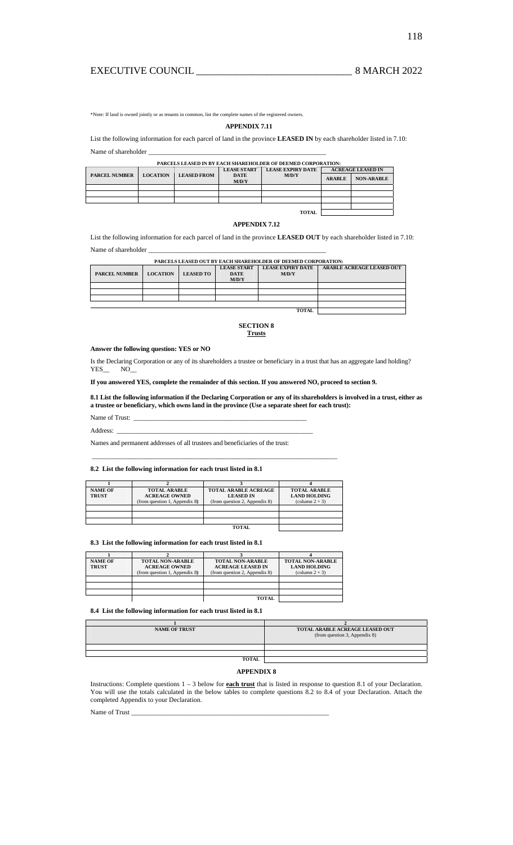# EXECUTIVE COUNCIL \_\_\_\_\_\_\_\_\_\_\_\_\_\_\_\_\_\_\_\_\_\_\_\_\_\_\_\_\_\_\_ 8 MARCH 2022

\*Note: If land is owned jointly or as tenants in common, list the complete names of the registered owners.

# **APPENDIX 7.11**

List the following information for each parcel of land in the province **LEASED IN** by each shareholder listed in 7.10: Name of shareholder \_\_\_\_\_\_\_\_\_\_\_\_\_\_\_\_\_\_\_\_\_\_\_\_\_\_\_\_\_\_\_\_\_\_\_\_\_\_\_\_\_\_\_\_\_\_\_\_\_\_\_\_\_

#### **PARCELS LEASED IN BY EACH SHAREHOLDER OF DEEMED CORPORATION:**

|                      |                 |                    | <b>LEASE START</b>   | <b>LEASE EXPIRY DATE</b> | <b>ACREAGE LEASED IN</b> |                   |  |  |  |
|----------------------|-----------------|--------------------|----------------------|--------------------------|--------------------------|-------------------|--|--|--|
| <b>PARCEL NUMBER</b> | <b>LOCATION</b> | <b>LEASED FROM</b> | <b>DATE</b><br>M/D/Y | M/D/Y                    | <b>ARABLE</b>            | <b>NON-ARABLE</b> |  |  |  |
|                      |                 |                    |                      |                          |                          |                   |  |  |  |
|                      |                 |                    |                      |                          |                          |                   |  |  |  |
|                      |                 |                    |                      |                          |                          |                   |  |  |  |
|                      |                 |                    |                      |                          |                          |                   |  |  |  |
| <b>TOTAL</b>         |                 |                    |                      |                          |                          |                   |  |  |  |

# **APPENDIX 7.12**

List the following information for each parcel of land in the province **LEASED OUT** by each shareholder listed in 7.10: Name of shareholder

| PARCELS LEASED OUT BY EACH SHAREHOLDER OF DEEMED CORPORATION: |                 |                  |                                   |                                   |                                  |  |
|---------------------------------------------------------------|-----------------|------------------|-----------------------------------|-----------------------------------|----------------------------------|--|
| <b>PARCEL NUMBER</b>                                          | <b>LOCATION</b> | <b>LEASED TO</b> | <b>LEASE START</b><br><b>DATE</b> | <b>LEASE EXPIRY DATE</b><br>M/D/Y | <b>ARABLE ACREAGE LEASED OUT</b> |  |
|                                                               |                 |                  | M/D/Y                             |                                   |                                  |  |
|                                                               |                 |                  |                                   |                                   |                                  |  |
|                                                               |                 |                  |                                   |                                   |                                  |  |
|                                                               |                 |                  |                                   |                                   |                                  |  |
|                                                               |                 |                  |                                   |                                   |                                  |  |
| <b>TOTAL</b>                                                  |                 |                  |                                   |                                   |                                  |  |

#### **SECTION 8 Trusts**

## **Answer the following question: YES or NO**

Is the Declaring Corporation or any of its shareholders a trustee or beneficiary in a trust that has an aggregate land holding?  $YES$   $NO$ 

**If you answered YES, complete the remainder of this section. If you answered NO, proceed to section 9.** 

**8.1 List the following information if the Declaring Corporation or any of its shareholders is involved in a trust, either as a trustee or beneficiary, which owns land in the province (Use a separate sheet for each trust):** 

Name of Trust: \_

Address: \_\_\_\_\_\_\_\_\_\_\_\_\_\_\_\_\_\_\_\_\_\_\_\_\_\_\_\_\_\_\_\_\_\_\_\_\_\_\_\_\_\_\_\_\_\_\_\_\_\_\_\_\_\_\_\_\_\_\_\_

Names and permanent addresses of all trustees and beneficiaries of the trust:

#### **8.2 List the following information for each trust listed in 8.1**

| <b>NAME OF</b><br><b>TRUST</b> | <b>TOTAL ARABLE</b><br><b>ACREAGE OWNED</b><br>(from question 1, Appendix 8) | <b>TOTAL ARABLE ACREAGE</b><br><b>LEASED IN</b><br>(from question 2, Appendix 8) | <b>TOTAL ARABLE</b><br><b>LAND HOLDING</b><br>$\text{(column } 2 + 3)$ |  |
|--------------------------------|------------------------------------------------------------------------------|----------------------------------------------------------------------------------|------------------------------------------------------------------------|--|
|                                |                                                                              |                                                                                  |                                                                        |  |
|                                |                                                                              |                                                                                  |                                                                        |  |
|                                |                                                                              |                                                                                  |                                                                        |  |
| <b>TOTAL</b>                   |                                                                              |                                                                                  |                                                                        |  |

\_\_\_\_\_\_\_\_\_\_\_\_\_\_\_\_\_\_\_\_\_\_\_\_\_\_\_\_\_\_\_\_\_\_\_\_\_\_\_\_\_\_\_\_\_\_\_\_\_\_\_\_\_\_\_\_\_\_\_\_\_\_\_\_\_\_\_\_\_\_\_\_\_\_\_

## **8.3 List the following information for each trust listed in 8.1**

| <b>NAME OF</b><br><b>TRUST</b> | <b>TOTAL NON-ARABLE</b><br><b>ACREAGE OWNED</b><br>(from question 1, Appendix 8) | <b>TOTAL NON-ARABLE</b><br><b>ACREAGE LEASED IN</b><br>(from question 2, Appendix 8) | <b>TOTAL NON-ARABLE</b><br><b>LAND HOLDING</b><br>$\text{(column } 2 + 3)$ |
|--------------------------------|----------------------------------------------------------------------------------|--------------------------------------------------------------------------------------|----------------------------------------------------------------------------|
|                                |                                                                                  |                                                                                      |                                                                            |
|                                |                                                                                  |                                                                                      |                                                                            |
|                                |                                                                                  |                                                                                      |                                                                            |
|                                |                                                                                  | <b>TOTAL</b>                                                                         |                                                                            |

## **8.4 List the following information for each trust listed in 8.1**

| <b>NAME OF TRUST</b> | TOTAL ARABLE ACREAGE LEASED OUT<br>(from question 3, Appendix 8) |
|----------------------|------------------------------------------------------------------|
|                      |                                                                  |
|                      |                                                                  |
| <b>TOTAL</b>         |                                                                  |

## **APPENDIX 8**

Instructions: Complete questions 1 – 3 below for **each trust** that is listed in response to question 8.1 of your Declaration. You will use the totals calculated in the below tables to complete questions 8.2 to 8.4 of your Declaration. Attach the completed Appendix to your Declaration.

Name of Trust\_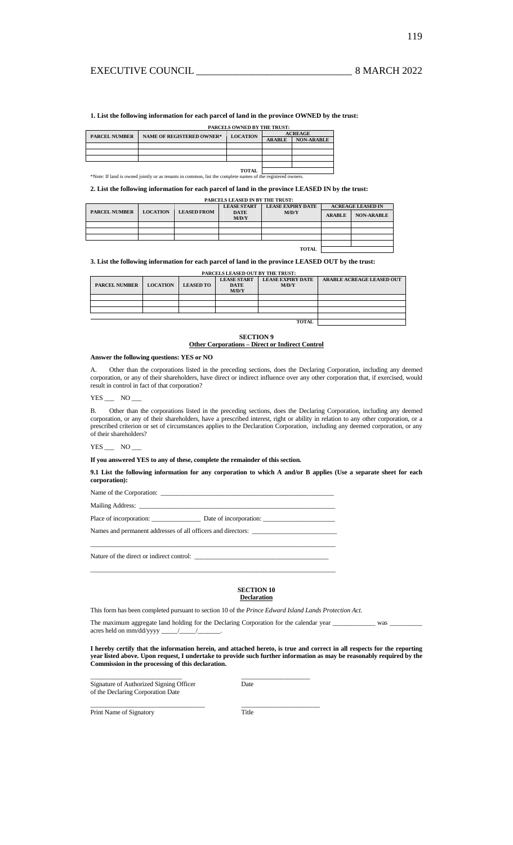**1. List the following information for each parcel of land in the province OWNED by the trust:** 

|                      |                                                                                                            | <b>PARCELS OWNED BY THE TRUST:</b> |                |                   |  |
|----------------------|------------------------------------------------------------------------------------------------------------|------------------------------------|----------------|-------------------|--|
| <b>PARCEL NUMBER</b> | <b>NAME OF REGISTERED OWNER*</b>                                                                           | <b>LOCATION</b>                    | <b>ACREAGE</b> |                   |  |
|                      |                                                                                                            |                                    | <b>ARABLE</b>  | <b>NON-ARABLE</b> |  |
|                      |                                                                                                            |                                    |                |                   |  |
|                      |                                                                                                            |                                    |                |                   |  |
|                      |                                                                                                            |                                    |                |                   |  |
|                      |                                                                                                            |                                    |                |                   |  |
|                      |                                                                                                            | TOTAL                              |                |                   |  |
|                      | *Note: If land is owned jointly or as tenants in common, list the complete names of the registered owners. |                                    |                |                   |  |

**2. List the following information for each parcel of land in the province LEASED IN by the trust:** 

|              | <b>PARCELS LEASED IN BY THE TRUST:</b> |                 |                    |                      |                          |                          |                   |  |
|--------------|----------------------------------------|-----------------|--------------------|----------------------|--------------------------|--------------------------|-------------------|--|
|              |                                        |                 |                    | <b>LEASE START</b>   | <b>LEASE EXPIRY DATE</b> | <b>ACREAGE LEASED IN</b> |                   |  |
|              | <b>PARCEL NUMBER</b>                   | <b>LOCATION</b> | <b>LEASED FROM</b> | <b>DATE</b><br>M/D/Y | M/D/Y                    | <b>ARABLE</b>            | <b>NON-ARABLE</b> |  |
|              |                                        |                 |                    |                      |                          |                          |                   |  |
|              |                                        |                 |                    |                      |                          |                          |                   |  |
|              |                                        |                 |                    |                      |                          |                          |                   |  |
|              |                                        |                 |                    |                      |                          |                          |                   |  |
| <b>TOTAL</b> |                                        |                 |                    |                      |                          |                          |                   |  |

**3. List the following information for each parcel of land in the province LEASED OUT by the trust:** 

| PARCELS LEASED OUT BY THE TRUST: |                 |                  |                                            |                                   |                                  |  |
|----------------------------------|-----------------|------------------|--------------------------------------------|-----------------------------------|----------------------------------|--|
| <b>PARCEL NUMBER</b>             | <b>LOCATION</b> | <b>LEASED TO</b> | <b>LEASE START</b><br><b>DATE</b><br>M/D/Y | <b>LEASE EXPIRY DATE</b><br>M/D/Y | <b>ARABLE ACREAGE LEASED OUT</b> |  |
|                                  |                 |                  |                                            |                                   |                                  |  |
|                                  |                 |                  |                                            |                                   |                                  |  |
|                                  |                 |                  |                                            |                                   |                                  |  |
|                                  |                 |                  |                                            |                                   |                                  |  |
|                                  |                 |                  |                                            | <b>TOTAL</b>                      |                                  |  |

**SECTION 9 Other Corporations – Direct or Indirect Control**

## **Answer the following questions: YES or NO**

A. Other than the corporations listed in the preceding sections, does the Declaring Corporation, including any deemed corporation, or any of their shareholders, have direct or indirect influence over any other corporation that, if exercised, would result in control in fact of that corporation?

 $YES$   $NO$ 

B. Other than the corporations listed in the preceding sections, does the Declaring Corporation, including any deemed corporation, or any of their shareholders, have a prescribed interest, right or ability in relation to any other corporation, or a prescribed criterion or set of circumstances applies to the Declaration Corporation, including any deemed corporation, or any of their shareholders?

YES NO

## **If you answered YES to any of these, complete the remainder of this section.**

**9.1 List the following information for any corporation to which A and/or B applies (Use a separate sheet for each corporation):** 

Name of the Corporation:  $\Box$ 

Mailing Address: \_

Place of incorporation: \_\_\_\_\_\_\_\_\_\_\_\_\_\_\_ Date of incorporation: \_\_\_\_\_\_\_\_\_\_\_\_\_\_\_\_\_\_\_\_\_\_

Names and permanent addresses of all officers and directors: \_\_\_\_\_\_\_\_\_\_\_\_\_\_\_\_\_\_\_\_\_\_\_\_\_\_

 $\_$  , and the set of the set of the set of the set of the set of the set of the set of the set of the set of the set of the set of the set of the set of the set of the set of the set of the set of the set of the set of th

\_\_\_\_\_\_\_\_\_\_\_\_\_\_\_\_\_\_\_\_\_\_\_\_\_\_\_\_\_\_\_\_\_\_\_\_\_\_\_\_\_\_\_\_\_\_\_\_\_\_\_\_\_\_\_\_\_\_\_\_\_\_\_\_\_\_\_\_\_\_\_\_\_\_\_

Nature of the direct or indirect control:  $\_\_$ 

# **SECTION 10**

## **Declaration**

This form has been completed pursuant to section 10 of the *Prince Edward Island Lands Protection Act*.

The maximum aggregate land holding for the Declaring Corporation for the calendar year \_\_\_\_\_\_\_\_\_\_\_\_\_ was \_\_\_\_\_\_\_\_\_\_ acres held on mm/dd/yyyy \_\_\_\_\_/\_\_\_\_\_/\_\_\_\_\_\_\_.

**I hereby certify that the information herein, and attached hereto, is true and correct in all respects for the reporting year listed above. Upon request, I undertake to provide such further information as may be reasonably required by the Commission in the processing of this declaration.** 

| Signature of Authorized Signing Officer<br>of the Declaring Corporation Date | Date  |  |
|------------------------------------------------------------------------------|-------|--|
| Print Name of Signatory                                                      | Title |  |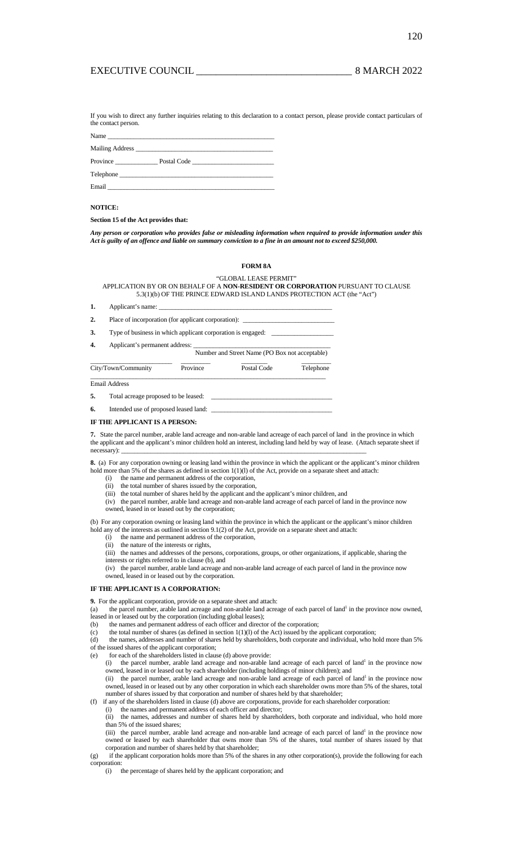120

If you wish to direct any further inquiries relating to this declaration to a contact person, please provide contact particulars of the contact person.

|          | Name $\frac{1}{\sqrt{1-\frac{1}{2}}\sqrt{1-\frac{1}{2}}\sqrt{1-\frac{1}{2}}\sqrt{1-\frac{1}{2}}\sqrt{1-\frac{1}{2}}\sqrt{1-\frac{1}{2}}\sqrt{1-\frac{1}{2}}\sqrt{1-\frac{1}{2}}\sqrt{1-\frac{1}{2}}\sqrt{1-\frac{1}{2}}\sqrt{1-\frac{1}{2}}\sqrt{1-\frac{1}{2}}\sqrt{1-\frac{1}{2}}\sqrt{1-\frac{1}{2}}\sqrt{1-\frac{1}{2}}\sqrt{1-\frac{1}{2}}\sqrt{1-\frac{1}{2}}\sqrt{1-\frac{1}{2}}\sqrt{1-\frac{1}{2}}\$ |  |
|----------|---------------------------------------------------------------------------------------------------------------------------------------------------------------------------------------------------------------------------------------------------------------------------------------------------------------------------------------------------------------------------------------------------------------|--|
|          |                                                                                                                                                                                                                                                                                                                                                                                                               |  |
| Province | Postal Code                                                                                                                                                                                                                                                                                                                                                                                                   |  |
|          |                                                                                                                                                                                                                                                                                                                                                                                                               |  |
| Email    |                                                                                                                                                                                                                                                                                                                                                                                                               |  |

### **NOTICE:**

**Section 15 of the Act provides that:** 

*Any person or corporation who provides false or misleading information when required to provide information under this Act is guilty of an offence and liable on summary conviction to a fine in an amount not to exceed \$250,000.* 

#### **FORM 8A**

"GLOBAL LEASE PERMIT"

APPLICATION BY OR ON BEHALF OF A **NON-RESIDENT OR CORPORATION** PURSUANT TO CLAUSE 5.3(1)(b) OF THE PRINCE EDWARD ISLAND LANDS PROTECTION ACT (the "Act")

| 1. |                                                                                   | Applicant's name:                                   |             |           |  |  |  |  |
|----|-----------------------------------------------------------------------------------|-----------------------------------------------------|-------------|-----------|--|--|--|--|
| 2. |                                                                                   | Place of incorporation (for applicant corporation): |             |           |  |  |  |  |
| 3. | Type of business in which applicant corporation is engaged: _____________________ |                                                     |             |           |  |  |  |  |
| 4. | Applicant's permanent address:<br>Number and Street Name (PO Box not acceptable)  |                                                     |             |           |  |  |  |  |
|    | City/Town/Community                                                               | Province                                            | Postal Code | Telephone |  |  |  |  |
|    | <b>Email Address</b>                                                              |                                                     |             |           |  |  |  |  |
| 5. | Total acreage proposed to be leased:                                              |                                                     |             |           |  |  |  |  |
| 6. | Intended use of proposed leased land:                                             |                                                     |             |           |  |  |  |  |

#### **IF THE APPLICANT IS A PERSON:**

**7.** State the parcel number, arable land acreage and non-arable land acreage of each parcel of land in the province in which the applicant and the applicant's minor children hold an interest, including land held by way of lease. (Attach separate sheet if necessary): \_\_\_\_\_\_\_\_\_\_\_\_\_\_\_\_\_\_\_\_\_\_\_\_\_\_\_\_\_\_\_\_\_\_\_\_\_\_\_\_\_\_\_\_\_\_\_\_\_\_\_\_\_\_\_\_\_\_\_\_\_\_\_\_\_\_\_\_\_\_\_\_\_\_\_

**8.** (a) For any corporation owning or leasing land within the province in which the applicant or the applicant's minor children hold more than 5% of the shares as defined in section 1(1)(l) of the Act, provide on a separate sheet and attach:

- (i) the name and permanent address of the corporation,
- (ii) the total number of shares issued by the corporation,
- (iii) the total number of shares held by the applicant and the applicant's minor children, and
- (iv) the parcel number, arable land acreage and non-arable land acreage of each parcel of land in the province now
- owned, leased in or leased out by the corporation;

(b) For any corporation owning or leasing land within the province in which the applicant or the applicant's minor children hold any of the interests as outlined in section 9.1(2) of the Act, provide on a separate sheet and attach:

- (i) the name and permanent address of the corporation,
- (ii) the nature of the interests or rights,
- (iii) the names and addresses of the persons, corporations, groups, or other organizations, if applicable, sharing the

interests or rights referred to in clause (b), and

(iv) the parcel number, arable land acreage and non-arable land acreage of each parcel of land in the province now owned, leased in or leased out by the corporation.

## **IF THE APPLICANT IS A CORPORATION:**

**9.** For the applicant corporation, provide on a separate sheet and attach:

(a) the parcel number, arable land acreage and non-arable land acreage of each parcel of land<sup>1</sup> in the province now owned, leased in or leased out by the corporation (including global leases);

- (b) the names and permanent address of each officer and director of the corporation;
- (c) the total number of shares (as defined in section 1(1)(l) of the Act) issued by the applicant corporation;
- (d) the names, addresses and number of shares held by shareholders, both corporate and individual, who hold more than 5%
- of the issued shares of the applicant corporation;
- (e) for each of the shareholders listed in clause (d) above provide:

 $(i)$  the parcel number, arable land acreage and non-arable land acreage of each parcel of land<sup>1</sup> in the province now owned, leased in or leased out by each shareholder (including holdings of minor children); and

(ii) the parcel number, arable land acreage and non-arable land acreage of each parcel of land<sup>1</sup> in the province now owned, leased in or leased out by any other corporation in which each shareholder owns more than 5% of the shares, total number of shares issued by that corporation and number of shares held by that shareholder;

(f) if any of the shareholders listed in clause (d) above are corporations, provide for each shareholder corporation:

(i) the names and permanent address of each officer and director; (ii) the names, addresses and number of shares held by shareholders, both corporate and individual, who hold more than 5% of the issued shares;

(iii) the parcel number, arable land acreage and non-arable land acreage of each parcel of land<sup>1</sup> in the province now owned or leased by each shareholder that owns more than 5% of the shares, total number of shares issued by that

corporation and number of shares held by that shareholder; (g) if the applicant corporation holds more than 5% of the shares in any other corporation(s), provide the following for each corporation:

(i) the percentage of shares held by the applicant corporation; and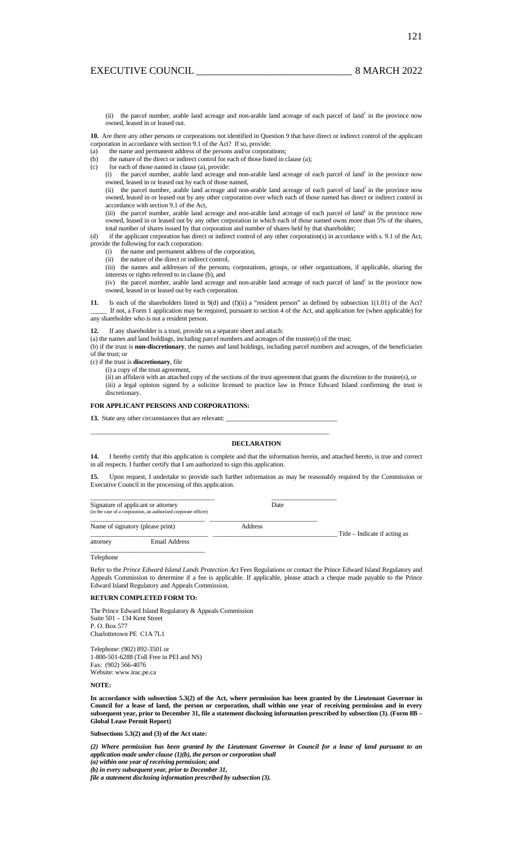(ii) the parcel number, arable land acreage and non-arable land acreage of each parcel of land<sup>1</sup> in the province now owned, leased in or leased out.

**10.** Are there any other persons or corporations not identified in Question 9 that have direct or indirect control of the applicant corporation in accordance with section 9.1 of the Act? If so, provide:

(a) the name and permanent address of the persons and/or corporations;

(b) the nature of the direct or indirect control for each of those listed in clause (a);

(c) for each of those named in clause (a), provide:

 $(i)$  the parcel number, arable land acreage and non-arable land acreage of each parcel of land<sup>1</sup> in the province now owned, leased in or leased out by each of those named,

(ii) the parcel number, arable land acreage and non-arable land acreage of each parcel of land<sup>1</sup> in the province now owned, leased in or leased out by any other corporation over which each of those named has direct or indirect control in accordance with section 9.1 of the Act,

(iii) the parcel number, arable land acreage and non-arable land acreage of each parcel of land<sup>1</sup> in the province now owned, leased in or leased out by any other corporation in which each of those named owns more than 5% of the shares, total number of shares issued by that corporation and number of shares held by that shareholder;

(d) if the applicant corporation has direct or indirect control of any other corporation(s) in accordance with s. 9.1 of the Act, provide the following for each corporation:

(i) the name and permanent address of the corporation,

(ii) the nature of the direct or indirect control,

(iii) the names and addresses of the persons, corporations, groups, or other organizations, if applicable, sharing the interests or rights referred to in clause (b), and

 $(iv)$  the parcel number, arable land acreage and non-arable land acreage of each parcel of land<sup>1</sup> in the province now owned, leased in or leased out by each corporation.

**11.** Is each of the shareholders listed in 9(d) and (f)(ii) a "resident person" as defined by subsection 1(1.01) of the Act? If not, a Form 1 application may be required, pursuant to section 4 of the Act, and application fee (when applicable) for any shareholder who is not a resident person.

#### **12.** If any shareholder is a trust, provide on a separate sheet and attach:

(a) the names and land holdings, including parcel numbers and acreages of the trustee(s) of the trust;

\_\_\_\_\_\_\_\_\_\_\_\_\_\_\_\_\_\_\_\_\_\_\_\_\_\_\_\_\_\_\_\_\_\_\_\_\_\_\_\_\_\_\_\_\_\_\_\_\_\_\_\_\_\_\_\_\_\_\_\_\_\_\_\_\_\_\_\_\_\_\_\_\_

\_\_\_\_\_\_\_\_\_\_\_\_\_\_\_\_\_\_\_\_\_\_\_\_\_\_\_\_\_\_\_\_\_\_\_\_\_\_ \_\_\_\_\_\_\_\_\_\_\_\_\_\_\_\_\_\_\_\_

\_\_\_\_\_\_\_\_\_\_\_\_\_\_\_\_\_\_\_\_\_\_\_\_\_\_\_\_\_\_\_\_\_\_\_ \_\_\_\_\_\_\_\_\_\_\_\_\_\_\_\_\_\_\_\_\_\_\_\_\_\_\_\_\_\_\_\_\_

(b) if the trust is **non-discretionary**, the names and land holdings, including parcel numbers and acreages, of the beneficiaries of the trust; or

(c) if the trust is **discretionary**, file

(i) a copy of the trust agreement,

(ii) an affidavit with an attached copy of the sections of the trust agreement that grants the discretion to the trustee(s), or (iii) a legal opinion signed by a solicitor licensed to practice law in Prince Edward Island confirming the trust is discretionary.

### **FOR APPLICANT PERSONS AND CORPORATIONS:**

**13.** State any other circumstances that are relevant:

#### **DECLARATION**

**14.** I hereby certify that this application is complete and that the information herein, and attached hereto, is true and correct in all respects. I further certify that I am authorized to sign this application.

**15.** Upon request, I undertake to provide such further information as may be reasonably required by the Commission or Executive Council in the processing of this application.

Signature of applicant or attorney Date (interfaced corporate officer)

Name of signatory (please print) Address

Title – Indicate if acting as<br>  $\frac{1}{2}$  Title – Indicate if acting as

\_\_\_\_\_\_\_\_\_\_\_\_\_\_\_\_\_\_\_\_\_\_\_\_\_\_\_\_\_\_\_\_\_\_\_ Telephone

Refer to the *Prince Edward Island Lands Protection Act* Fees Regulations or contact the Prince Edward Island Regulatory and Appeals Commission to determine if a fee is applicable. If applicable, please attach a cheque made payable to the Prince Edward Island Regulatory and Appeals Commission.

# **RETURN COMPLETED FORM TO:**

The Prince Edward Island Regulatory & Appeals Commission Suite 501 – 134 Kent Street P. O. Box 577 Charlottetown PE C1A 7L1

**Email Address** 

Telephone: (902) 892-3501 or 1-800-501-6288 (Toll Free in PEI and NS) Fax: (902) 566-4076 Website: www.irac.pe.ca

**NOTE:** 

**In accordance with subsection 5.3(2) of the Act, where permission has been granted by the Lieutenant Governor in Council for a lease of land, the person or corporation, shall within one year of receiving permission and in every subsequent year, prior to December 31, file a statement disclosing information prescribed by subsection (3). (Form 8B – Global Lease Permit Report)** 

**Subsections 5.3(2) and (3) of the Act state:** 

*(2) Where permission has been granted by the Lieutenant Governor in Council for a lease of land pursuant to an application made under clause (1)(b), the person or corporation shall* 

*(a) within one year of receiving permission; and (b) in every subsequent year, prior to December 31,* 

*file a statement disclosing information prescribed by subsection (3).*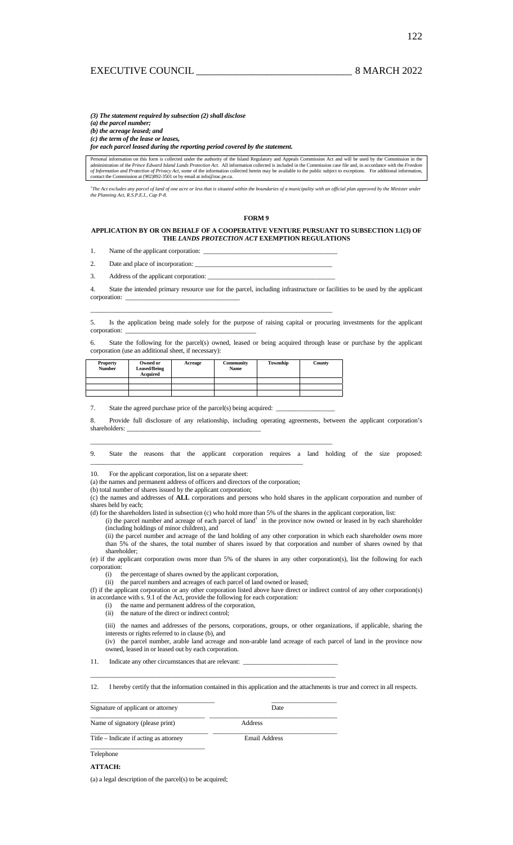*(3) The statement required by subsection (2) shall disclose (a) the parcel number; (b) the acreage leased; and (c) the term of the lease or leases,* 

*for each parcel leased during the reporting period covered by the statement.* 

Personal information on this form is collected under the authority of the Island Regulatory and Appeals Commission Act and will be used by the Commission in the<br>administration of the Prince Edward Island Lands Protection A of Information and Protection of Privacy Act, some of the information collected herein may be available to the public subject to exceptions. For additional information, contact the Commission at (902)892-3501 or by email a

<sup>1</sup>The Act excludes any parcel of land of one acre or less that is situated within the boundaries of a municipality with an official plan approved by the Minister under<br>the Planning Act, R.S.P.E.I., Cap P-8.

#### **FORM 9**

## **APPLICATION BY OR ON BEHALF OF A COOPERATIVE VENTURE PURSUANT TO SUBSECTION 1.1(3) OF THE** *LANDS PROTECTION ACT* **EXEMPTION REGULATIONS**

1. Name of the applicant corporation:

2. Date and place of incorporation:

3. Address of the applicant corporation:

4. State the intended primary resource use for the parcel, including infrastructure or facilities to be used by the applicant corporation:

5. Is the application being made solely for the purpose of raising capital or procuring investments for the applicant corporation:

State the following for the parcel(s) owned, leased or being acquired through lease or purchase by the applicant corporation (use an additional sheet, if necessary):

| <b>Property</b><br><b>Number</b> | Owned or<br><b>Leased/Being</b><br><b>Acquired</b> | Acreage | Community<br>Name | Township | County |
|----------------------------------|----------------------------------------------------|---------|-------------------|----------|--------|
|                                  |                                                    |         |                   |          |        |
|                                  |                                                    |         |                   |          |        |
|                                  |                                                    |         |                   |          |        |

\_\_\_\_\_\_\_\_\_\_\_\_\_\_\_\_\_\_\_\_\_\_\_\_\_\_\_\_\_\_\_\_\_\_\_\_\_\_\_\_\_\_\_\_\_\_\_\_\_\_\_\_\_\_\_\_\_\_\_\_\_\_\_\_\_\_\_\_\_\_\_\_\_\_

\_\_\_\_\_\_\_\_\_\_\_\_\_\_\_\_\_\_\_\_\_\_\_\_\_\_\_\_\_\_\_\_\_\_\_\_\_\_\_\_\_\_\_\_\_\_\_\_\_\_\_\_\_\_\_\_\_\_\_\_\_\_\_\_\_\_\_\_\_\_\_\_\_\_

7. State the agreed purchase price of the parcel(s) being acquired: \_

8. Provide full disclosure of any relationship, including operating agreements, between the applicant corporation's shareholders:

9. State the reasons that the applicant corporation requires a land holding of the size proposed: \_\_\_\_\_\_\_\_\_\_\_\_\_\_\_\_\_\_\_\_\_\_\_\_\_\_\_\_\_\_\_\_\_\_\_\_\_\_\_\_\_\_\_\_\_\_\_\_\_\_\_\_\_\_\_\_\_\_\_\_\_\_\_\_\_

10. For the applicant corporation, list on a separate sheet:

(a) the names and permanent address of officers and directors of the corporation;

(b) total number of shares issued by the applicant corporation;

(c) the names and addresses of **ALL** corporations and persons who hold shares in the applicant corporation and number of shares held by each;

(d) for the shareholders listed in subsection (c) who hold more than 5% of the shares in the applicant corporation, list:

(i) the parcel number and acreage of each parcel of land<sup>1</sup> in the province now owned or leased in by each shareholder (including holdings of minor children), and

(ii) the parcel number and acreage of the land holding of any other corporation in which each shareholder owns more than 5% of the shares, the total number of shares issued by that corporation and number of shares owned by that shareholder;

(e) if the applicant corporation owns more than 5% of the shares in any other corporation(s), list the following for each corporation:

(i) the percentage of shares owned by the applicant corporation,

(ii) the parcel numbers and acreages of each parcel of land owned or leased; (f) if the applicant corporation or any other corporation listed above have direct or indirect control of any other corporation(s) in accordance with s. 9.1 of the Act, provide the following for each corporation:

(i) the name and permanent address of the corporation,

(ii) the nature of the direct or indirect control;

(iii) the names and addresses of the persons, corporations, groups, or other organizations, if applicable, sharing the interests or rights referred to in clause (b), and (iv) the parcel number, arable land acreage and non-arable land acreage of each parcel of land in the province now

owned, leased in or leased out by each corporation.

11. Indicate any other circumstances that are relevant:  $\Box$ 

12. I hereby certify that the information contained in this application and the attachments is true and correct in all respects.

\_\_\_\_\_\_\_\_\_\_\_\_\_\_\_\_\_\_\_\_\_\_\_\_\_\_\_\_\_\_\_\_\_\_\_\_\_\_ \_\_\_\_\_\_\_\_\_\_\_\_\_\_\_\_\_\_\_\_ Signature of applicant or attorney Date \_\_\_\_\_\_\_\_\_\_\_\_\_\_\_\_\_\_\_\_\_\_\_\_\_\_\_\_\_\_\_\_\_\_\_ \_\_\_\_\_\_\_\_\_\_\_\_\_\_\_\_\_\_\_\_\_\_\_\_\_\_\_\_\_\_\_\_\_\_\_\_\_\_\_ Name of signatory (please print) Address \_\_\_\_\_\_\_\_\_\_\_\_\_\_\_\_\_\_\_\_\_\_\_\_\_\_\_\_\_\_\_\_\_\_\_\_ \_\_\_\_\_\_\_\_\_\_\_\_\_\_\_\_\_\_\_\_\_\_\_\_\_\_\_\_\_\_\_\_\_\_\_\_\_\_

\_\_\_\_\_\_\_\_\_\_\_\_\_\_\_\_\_\_\_\_\_\_\_\_\_\_\_\_\_\_\_\_\_\_\_\_\_\_\_\_\_\_\_\_\_\_\_\_\_\_\_\_\_\_\_\_\_\_\_\_\_\_\_\_\_\_\_\_\_\_\_\_\_\_\_

Title – Indicate if acting as attorney Email Address  $\mathcal{L}_\text{max}$  and  $\mathcal{L}_\text{max}$  and  $\mathcal{L}_\text{max}$  and  $\mathcal{L}_\text{max}$ 

Telephone

## **ATTACH:**

(a) a legal description of the parcel(s) to be acquired;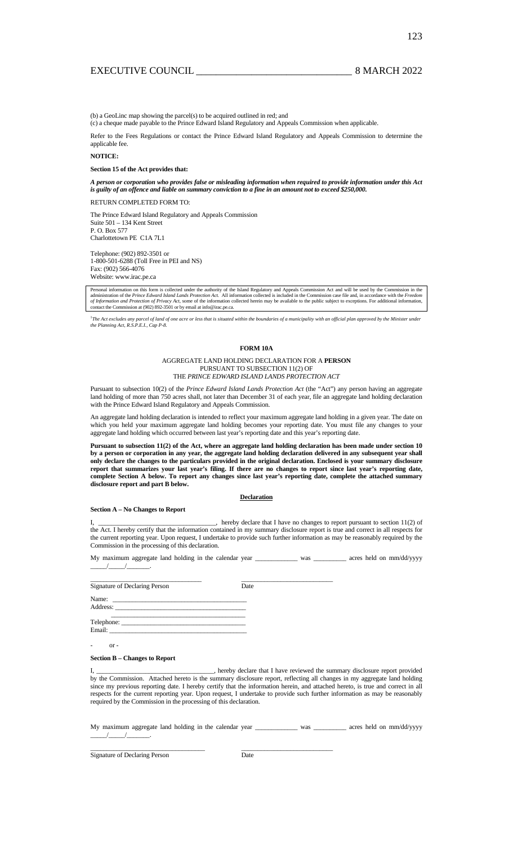123

(b) a GeoLinc map showing the parcel(s) to be acquired outlined in red; and

(c) a cheque made payable to the Prince Edward Island Regulatory and Appeals Commission when applicable.

Refer to the Fees Regulations or contact the Prince Edward Island Regulatory and Appeals Commission to determine the applicable fee.

#### **NOTICE:**

#### **Section 15 of the Act provides that:**

*A person or corporation who provides false or misleading information when required to provide information under this Act is guilty of an offence and liable on summary conviction to a fine in an amount not to exceed \$250,000.*

RETURN COMPLETED FORM TO:

The Prince Edward Island Regulatory and Appeals Commission Suite 501 – 134 Kent Street P. O. Box 577 Charlottetown PE C1A 7L1

Telephone: (902) 892-3501 or 1-800-501-6288 (Toll Free in PEI and NS) Fax: (902) 566-4076 Website: www.irac.pe.ca

Personal information on this form is collected under the authority of the Island Regulatory and Appeals Commission Act and will be used by the Commission in the administration of the *Prince Edward Island Lands Protection* 

<sup>1</sup>The Act excludes any parcel of land of one acre or less that is situated within the boundaries of a municipality with an official plan approved by the Minister under<br>the Planning Act, R.S.P.E.I., Cap P-8.

## **FORM 10A**

#### AGGREGATE LAND HOLDING DECLARATION FOR A **PERSON**  PURSUANT TO SUBSECTION 11(2) OF THE *PRINCE EDWARD ISLAND LANDS PROTECTION ACT*

Pursuant to subsection 10(2) of the *Prince Edward Island Lands Protection Act* (the "Act") any person having an aggregate land holding of more than 750 acres shall, not later than December 31 of each year, file an aggregate land holding declaration with the Prince Edward Island Regulatory and Appeals Commission.

An aggregate land holding declaration is intended to reflect your maximum aggregate land holding in a given year. The date on which you held your maximum aggregate land holding becomes your reporting date. You must file any changes to your aggregate land holding which occurred between last year's reporting date and this year's reporting date.

**Pursuant to subsection 11(2) of the Act, where an aggregate land holding declaration has been made under section 10 by a person or corporation in any year, the aggregate land holding declaration delivered in any subsequent year shall only declare the changes to the particulars provided in the original declaration. Enclosed is your summary disclosure report that summarizes your last year's filing. If there are no changes to report since last year's reporting date, complete Section A below. To report any changes since last year's reporting date, complete the attached summary disclosure report and part B below.** 

#### **Declaration**

#### **Section A – No Changes to Report**

1, hereby declare that I have no changes to report pursuant to section 11(2) of the Act. I hereby certify that the information contained in my summary disclosure report is true and correct in all respects for the current reporting year. Upon request, I undertake to provide such further information as may be reasonably required by the Commission in the processing of this declaration.

My maximum aggregate land holding in the calendar year \_\_\_\_\_\_\_\_\_\_\_\_\_\_ was \_\_\_\_\_\_\_\_\_\_ acres held on mm/dd/yyyy  $\frac{1}{2}$ 

| Signature of Declaring Person | Date |  |
|-------------------------------|------|--|
|                               |      |  |
|                               |      |  |

\_\_\_\_\_\_\_\_\_\_\_\_\_\_\_\_\_\_\_\_\_\_\_\_\_\_\_\_\_\_\_\_\_\_\_ \_\_\_\_\_\_\_\_\_\_\_\_\_\_\_\_\_\_\_\_\_\_\_\_\_\_\_\_

### **Section B – Changes to Report**

I, the eby declare that I have reviewed the summary disclosure report provided by the Commission. Attached hereto is the summary disclosure report, reflecting all changes in my aggregate land holding since my previous reporting date. I hereby certify that the information herein, and attached hereto, is true and correct in all respects for the current reporting year. Upon request, I undertake to provide such further information as may be reasonably required by the Commission in the processing of this declaration.

My maximum aggregate land holding in the calendar year \_\_\_\_\_\_\_\_\_\_\_\_\_ was \_\_\_\_\_\_\_\_\_ acres held on mm/dd/yyyy  $\frac{1}{2}$ 

 $or -$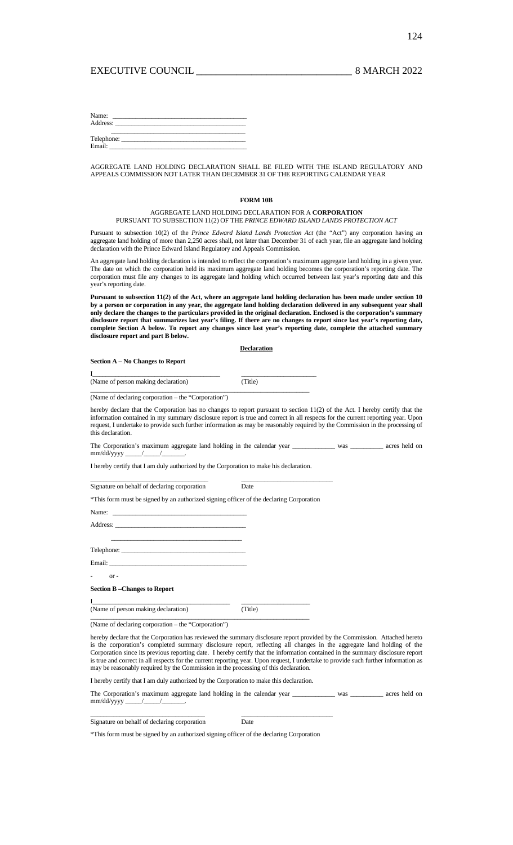| Name:      |  |  |
|------------|--|--|
| Address:   |  |  |
|            |  |  |
| Telephone: |  |  |
| Email:     |  |  |

AGGREGATE LAND HOLDING DECLARATION SHALL BE FILED WITH THE ISLAND REGULATORY AND APPEALS COMMISSION NOT LATER THAN DECEMBER 31 OF THE REPORTING CALENDAR YEAR

## **FORM 10B**

## AGGREGATE LAND HOLDING DECLARATION FOR A **CORPORATION** PURSUANT TO SUBSECTION 11(2) OF THE *PRINCE EDWARD ISLAND LANDS PROTECTION ACT*

Pursuant to subsection 10(2) of the *Prince Edward Island Lands Protection Act* (the "Act") any corporation having an aggregate land holding of more than 2,250 acres shall, not later than December 31 of each year, file an aggregate land holding declaration with the Prince Edward Island Regulatory and Appeals Commission.

An aggregate land holding declaration is intended to reflect the corporation's maximum aggregate land holding in a given year. The date on which the corporation held its maximum aggregate land holding becomes the corporation's reporting date. The corporation must file any changes to its aggregate land holding which occurred between last year's reporting date and this year's reporting date.

**Pursuant to subsection 11(2) of the Act, where an aggregate land holding declaration has been made under section 10 by a person or corporation in any year, the aggregate land holding declaration delivered in any subsequent year shall only declare the changes to the particulars provided in the original declaration. Enclosed is the corporation's summary disclosure report that summarizes last year's filing. If there are no changes to report since last year's reporting date, complete Section A below. To report any changes since last year's reporting date, complete the attached summary disclosure report and part B below.** 

**Declaration**

## **Section A – No Changes to Report**

| (Name of person making declaration) | (Title) |  |
|-------------------------------------|---------|--|
|                                     |         |  |

(Name of declaring corporation – the "Corporation")

hereby declare that the Corporation has no changes to report pursuant to section 11(2) of the Act. I hereby certify that the information contained in my summary disclosure report is true and correct in all respects for the current reporting year. Upon request, I undertake to provide such further information as may be reasonably required by the Commission in the processing of this declaration.

The Corporation's maximum aggregate land holding in the calendar year \_\_\_\_\_\_\_\_\_\_\_\_ was \_\_\_\_\_\_\_\_\_\_ acres held on mm/dd/yyyy \_\_\_\_\_/\_\_\_\_\_/\_\_\_\_\_\_\_.

I hereby certify that I am duly authorized by the Corporation to make his declaration.

 $\_$  , and the set of the set of the set of the set of the set of the set of the set of the set of the set of the set of the set of the set of the set of the set of the set of the set of the set of the set of the set of th

| Signature on behalf of declaring corporation                                                                                                                                                                                  | Date |
|-------------------------------------------------------------------------------------------------------------------------------------------------------------------------------------------------------------------------------|------|
| *This form must be signed by an authorized signing officer of the declaring Corporation                                                                                                                                       |      |
|                                                                                                                                                                                                                               |      |
|                                                                                                                                                                                                                               |      |
| the control of the control of the control of the control of the control of the control of the control of the control of the control of the control of the control of the control of the control of the control of the control |      |
|                                                                                                                                                                                                                               |      |
|                                                                                                                                                                                                                               |      |
| $-$ or $-$                                                                                                                                                                                                                    |      |
| <b>Section B-Changes to Report</b>                                                                                                                                                                                            |      |

(Name of person making declaration) (Title)

I\_\_\_\_\_\_\_\_\_\_\_\_\_\_\_\_\_\_\_\_\_\_\_\_\_\_\_\_\_\_\_\_\_\_\_\_\_\_\_\_\_\_ \_\_\_\_\_\_\_\_\_\_\_\_\_\_\_\_\_\_\_\_\_

\_\_\_\_\_\_\_\_\_\_\_\_\_\_\_\_\_\_\_\_\_\_\_\_\_\_\_\_\_\_\_\_\_\_\_\_\_\_\_\_\_\_\_\_\_\_\_\_\_\_\_\_\_\_\_\_\_\_\_\_\_\_\_\_\_\_\_

(Name of declaring corporation – the "Corporation")

hereby declare that the Corporation has reviewed the summary disclosure report provided by the Commission. Attached hereto is the corporation's completed summary disclosure report, reflecting all changes in the aggregate land holding of the Corporation since its previous reporting date. I hereby certify that the information contained in the summary disclosure report is true and correct in all respects for the current reporting year. Upon request, I undertake to provide such further information as may be reasonably required by the Commission in the processing of this declaration.

I hereby certify that I am duly authorized by the Corporation to make this declaration.

The Corporation's maximum aggregate land holding in the calendar year \_\_\_\_\_\_\_\_\_\_\_\_\_ was \_\_\_\_\_\_\_\_\_\_\_ acres held on mm/dd/yyyy \_\_\_\_\_/\_\_\_\_\_/\_\_\_\_\_\_\_.

| Signature on behalf of declaring corporation |  | Date |
|----------------------------------------------|--|------|
|                                              |  |      |

\_\_\_\_\_\_\_\_\_\_\_\_\_\_\_\_\_\_\_\_\_\_\_\_\_\_\_\_\_\_\_\_\_\_\_ \_\_\_\_\_\_\_\_\_\_\_\_\_\_\_\_\_\_\_\_\_\_\_\_\_\_\_\_

\*This form must be signed by an authorized signing officer of the declaring Corporation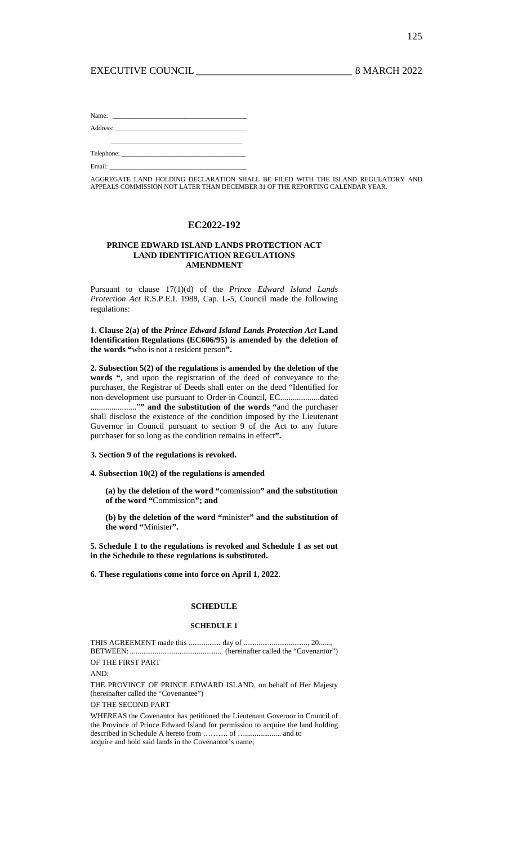# EXECUTIVE COUNCIL 2022

| Name: $\frac{1}{\sqrt{1-\frac{1}{2}} \left(\frac{1}{2}-\frac{1}{2}\right)^2}$                                   |  |  |  |
|-----------------------------------------------------------------------------------------------------------------|--|--|--|
|                                                                                                                 |  |  |  |
|                                                                                                                 |  |  |  |
|                                                                                                                 |  |  |  |
| Email: The Commission of the Commission of the Commission of the Commission of the Commission of the Commission |  |  |  |

AGGREGATE LAND HOLDING DECLARATION SHALL BE FILED WITH THE ISLAND REGULATORY AND APPEALS COMMISSION NOT LATER THAN DECEMBER 31 OF THE REPORTING CALENDAR YEAR.

# **EC2022-192**

## **PRINCE EDWARD ISLAND LANDS PROTECTION ACT LAND IDENTIFICATION REGULATIONS AMENDMENT**

Pursuant to clause 17(1)(d) of the *Prince Edward Island Lands Protection Act* R.S.P.E.I. 1988, Cap. L-5, Council made the following regulations:

**1. Clause 2(a) of the** *Prince Edward Island Lands Protection Act* **Land Identification Regulations (EC606/95) is amended by the deletion of the words "**who is not a resident person**".** 

**2. Subsection 5(2) of the regulations is amended by the deletion of the words "**, and upon the registration of the deed of conveyance to the purchaser, the Registrar of Deeds shall enter on the deed "Identified for non-development use pursuant to Order-in-Council, EC...................dated ......................."**" and the substitution of the words "**and the purchaser shall disclose the existence of the condition imposed by the Lieutenant Governor in Council pursuant to section 9 of the Act to any future purchaser for so long as the condition remains in effect**".** 

## **3. Section 9 of the regulations is revoked.**

**4. Subsection 10(2) of the regulations is amended** 

**(a) by the deletion of the word "**commission**" and the substitution of the word "**Commission**"; and** 

**(b) by the deletion of the word "**minister**" and the substitution of the word "**Minister**".** 

**5. Schedule 1 to the regulations is revoked and Schedule 1 as set out in the Schedule to these regulations is substituted.** 

**6. These regulations come into force on April 1, 2022.** 

# **SCHEDULE**

## **SCHEDULE 1**

THIS AGREEMENT made this ................. day of .................................., 20......, BETWEEN: ................................................ (hereinafter called the "Covenantor")

OF THE FIRST PART

AND:

THE PROVINCE OF PRINCE EDWARD ISLAND, on behalf of Her Majesty (hereinafter called the "Covenantee")

OF THE SECOND PART

WHEREAS the Covenantor has petitioned the Lieutenant Governor in Council of the Province of Prince Edward Island for permission to acquire the land holding described in Schedule A hereto from ………. of …................... and to acquire and hold said lands in the Covenantor's name;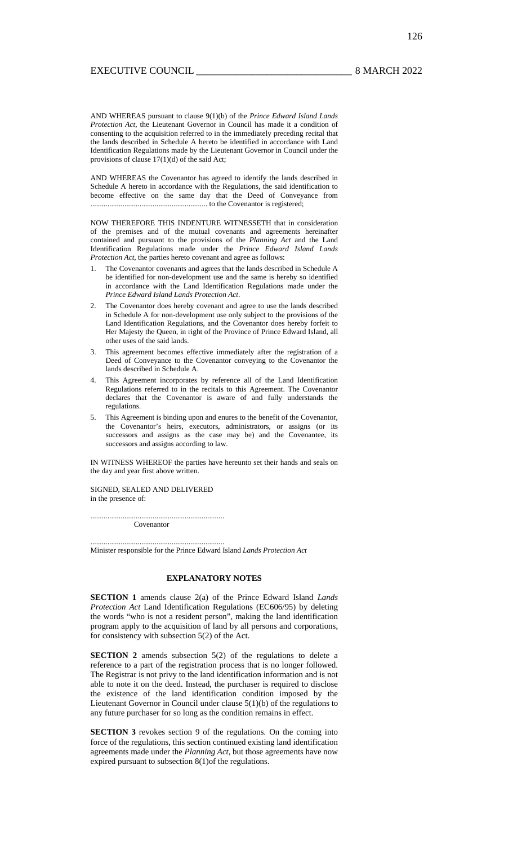AND WHEREAS pursuant to clause 9(1)(b) of the *Prince Edward Island Lands Protection Act*, the Lieutenant Governor in Council has made it a condition of consenting to the acquisition referred to in the immediately preceding recital that the lands described in Schedule A hereto be identified in accordance with Land Identification Regulations made by the Lieutenant Governor in Council under the provisions of clause 17(1)(d) of the said Act;

AND WHEREAS the Covenantor has agreed to identify the lands described in Schedule A hereto in accordance with the Regulations, the said identification to become effective on the same day that the Deed of Conveyance from .............................................................. to the Covenantor is registered;

NOW THEREFORE THIS INDENTURE WITNESSETH that in consideration of the premises and of the mutual covenants and agreements hereinafter contained and pursuant to the provisions of the *Planning Act* and the Land Identification Regulations made under the *Prince Edward Island Lands Protection Act*, the parties hereto covenant and agree as follows:

- 1. The Covenantor covenants and agrees that the lands described in Schedule A be identified for non-development use and the same is hereby so identified in accordance with the Land Identification Regulations made under the *Prince Edward Island Lands Protection Act*.
- 2. The Covenantor does hereby covenant and agree to use the lands described in Schedule A for non-development use only subject to the provisions of the Land Identification Regulations, and the Covenantor does hereby forfeit to Her Majesty the Queen, in right of the Province of Prince Edward Island, all other uses of the said lands.
- 3. This agreement becomes effective immediately after the registration of a Deed of Conveyance to the Covenantor conveying to the Covenantor the lands described in Schedule A.
- 4. This Agreement incorporates by reference all of the Land Identification Regulations referred to in the recitals to this Agreement. The Covenantor declares that the Covenantor is aware of and fully understands the regulations.
- 5. This Agreement is binding upon and enures to the benefit of the Covenantor, the Covenantor's heirs, executors, administrators, or assigns (or its successors and assigns as the case may be) and the Covenantee, its successors and assigns according to law.

IN WITNESS WHEREOF the parties have hereunto set their hands and seals on the day and year first above written.

SIGNED, SEALED AND DELIVERED in the presence of:

....................................................................... Covenantor

.......................................................................

Minister responsible for the Prince Edward Island *Lands Protection Act*

# **EXPLANATORY NOTES**

**SECTION 1** amends clause 2(a) of the Prince Edward Island *Lands Protection Act* Land Identification Regulations (EC606/95) by deleting the words "who is not a resident person", making the land identification program apply to the acquisition of land by all persons and corporations, for consistency with subsection 5(2) of the Act.

**SECTION 2** amends subsection 5(2) of the regulations to delete a reference to a part of the registration process that is no longer followed. The Registrar is not privy to the land identification information and is not able to note it on the deed. Instead, the purchaser is required to disclose the existence of the land identification condition imposed by the Lieutenant Governor in Council under clause 5(1)(b) of the regulations to any future purchaser for so long as the condition remains in effect.

**SECTION 3** revokes section 9 of the regulations. On the coming into force of the regulations, this section continued existing land identification agreements made under the *Planning Act*, but those agreements have now expired pursuant to subsection 8(1)of the regulations.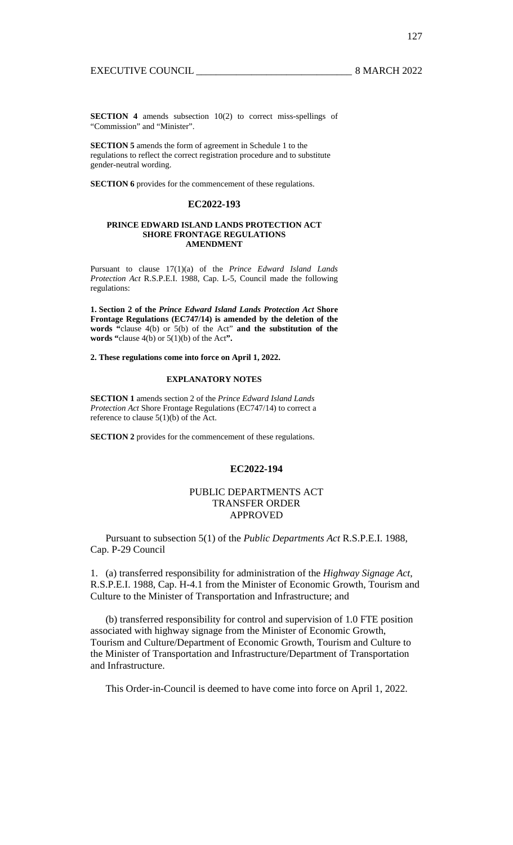**SECTION 4** amends subsection 10(2) to correct miss-spellings of "Commission" and "Minister".

**SECTION 5** amends the form of agreement in Schedule 1 to the regulations to reflect the correct registration procedure and to substitute gender-neutral wording.

**SECTION 6** provides for the commencement of these regulations.

## **EC2022-193**

## **PRINCE EDWARD ISLAND LANDS PROTECTION ACT SHORE FRONTAGE REGULATIONS AMENDMENT**

Pursuant to clause 17(1)(a) of the *Prince Edward Island Lands Protection Act* R.S.P.E.I. 1988, Cap. L-5, Council made the following regulations:

**1. Section 2 of the** *Prince Edward Island Lands Protection Act* **Shore Frontage Regulations (EC747/14) is amended by the deletion of the words "**clause 4(b) or 5(b) of the Act" **and the substitution of the words "**clause 4(b) or 5(1)(b) of the Act**".** 

**2. These regulations come into force on April 1, 2022.** 

# **EXPLANATORY NOTES**

**SECTION 1** amends section 2 of the *Prince Edward Island Lands Protection Act* Shore Frontage Regulations (EC747/14) to correct a reference to clause 5(1)(b) of the Act.

**SECTION 2** provides for the commencement of these regulations.

## **EC2022-194**

# PUBLIC DEPARTMENTS ACT TRANSFER ORDER APPROVED

 Pursuant to subsection 5(1) of the *Public Departments Act* R.S.P.E.I. 1988, Cap. P-29 Council

1. (a) transferred responsibility for administration of the *Highway Signage Act*, R.S.P.E.I. 1988, Cap. H-4.1 from the Minister of Economic Growth, Tourism and Culture to the Minister of Transportation and Infrastructure; and

 (b) transferred responsibility for control and supervision of 1.0 FTE position associated with highway signage from the Minister of Economic Growth, Tourism and Culture/Department of Economic Growth, Tourism and Culture to the Minister of Transportation and Infrastructure/Department of Transportation and Infrastructure.

This Order-in-Council is deemed to have come into force on April 1, 2022.